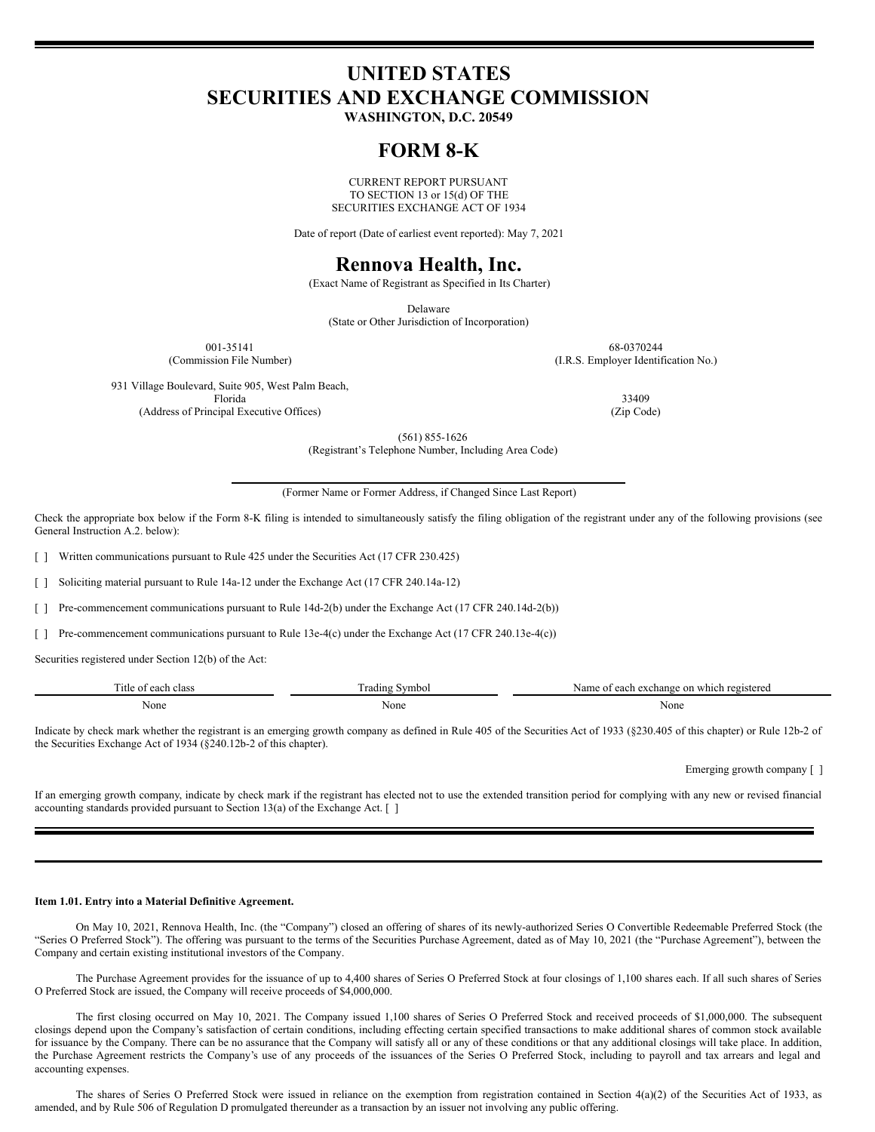# **UNITED STATES SECURITIES AND EXCHANGE COMMISSION**

**WASHINGTON, D.C. 20549**

## **FORM 8-K**

CURRENT REPORT PURSUANT TO SECTION 13 or 15(d) OF THE SECURITIES EXCHANGE ACT OF 1934

Date of report (Date of earliest event reported): May 7, 2021

## **Rennova Health, Inc.**

(Exact Name of Registrant as Specified in Its Charter)

Delaware

(State or Other Jurisdiction of Incorporation)

001-35141 68-0370244 (Commission File Number) (I.R.S. Employer Identification No.)

931 Village Boulevard, Suite 905, West Palm Beach, Florida 33409

(Address of Principal Executive Offices) (Zip Code)

(561) 855-1626

(Registrant's Telephone Number, Including Area Code)

(Former Name or Former Address, if Changed Since Last Report)

Check the appropriate box below if the Form 8-K filing is intended to simultaneously satisfy the filing obligation of the registrant under any of the following provisions (see General Instruction A.2. below):

Written communications pursuant to Rule 425 under the Securities Act (17 CFR 230.425)

[ ] Soliciting material pursuant to Rule 14a-12 under the Exchange Act (17 CFR 240.14a-12)

[ ] Pre-commencement communications pursuant to Rule 14d-2(b) under the Exchange Act (17 CFR 240.14d-2(b))

[ ] Pre-commencement communications pursuant to Rule 13e-4(c) under the Exchange Act (17 CFR 240.13e-4(c))

Securities registered under Section 12(b) of the Act:

| --         | $\overline{\phantom{a}}$ | which registered |
|------------|--------------------------|------------------|
| ntle of    | radin                    | Name of each     |
| each class | Symbo.                   | exchange on      |
| None<br>.  | None                     | None             |

Indicate by check mark whether the registrant is an emerging growth company as defined in Rule 405 of the Securities Act of 1933 (§230.405 of this chapter) or Rule 12b-2 of the Securities Exchange Act of 1934 (§240.12b-2 of this chapter).

Emerging growth company [ ]

If an emerging growth company, indicate by check mark if the registrant has elected not to use the extended transition period for complying with any new or revised financial accounting standards provided pursuant to Section 13(a) of the Exchange Act. [ ]

#### **Item 1.01. Entry into a Material Definitive Agreement.**

On May 10, 2021, Rennova Health, Inc. (the "Company") closed an offering of shares of its newly-authorized Series O Convertible Redeemable Preferred Stock (the "Series O Preferred Stock"). The offering was pursuant to the terms of the Securities Purchase Agreement, dated as of May 10, 2021 (the "Purchase Agreement"), between the Company and certain existing institutional investors of the Company.

The Purchase Agreement provides for the issuance of up to 4,400 shares of Series O Preferred Stock at four closings of 1,100 shares each. If all such shares of Series O Preferred Stock are issued, the Company will receive proceeds of \$4,000,000.

The first closing occurred on May 10, 2021. The Company issued 1,100 shares of Series O Preferred Stock and received proceeds of \$1,000,000. The subsequent closings depend upon the Company's satisfaction of certain conditions, including effecting certain specified transactions to make additional shares of common stock available for issuance by the Company. There can be no assurance that the Company will satisfy all or any of these conditions or that any additional closings will take place. In addition, the Purchase Agreement restricts the Company's use of any proceeds of the issuances of the Series O Preferred Stock, including to payroll and tax arrears and legal and accounting expenses.

The shares of Series O Preferred Stock were issued in reliance on the exemption from registration contained in Section 4(a)(2) of the Securities Act of 1933, as amended, and by Rule 506 of Regulation D promulgated thereunder as a transaction by an issuer not involving any public offering.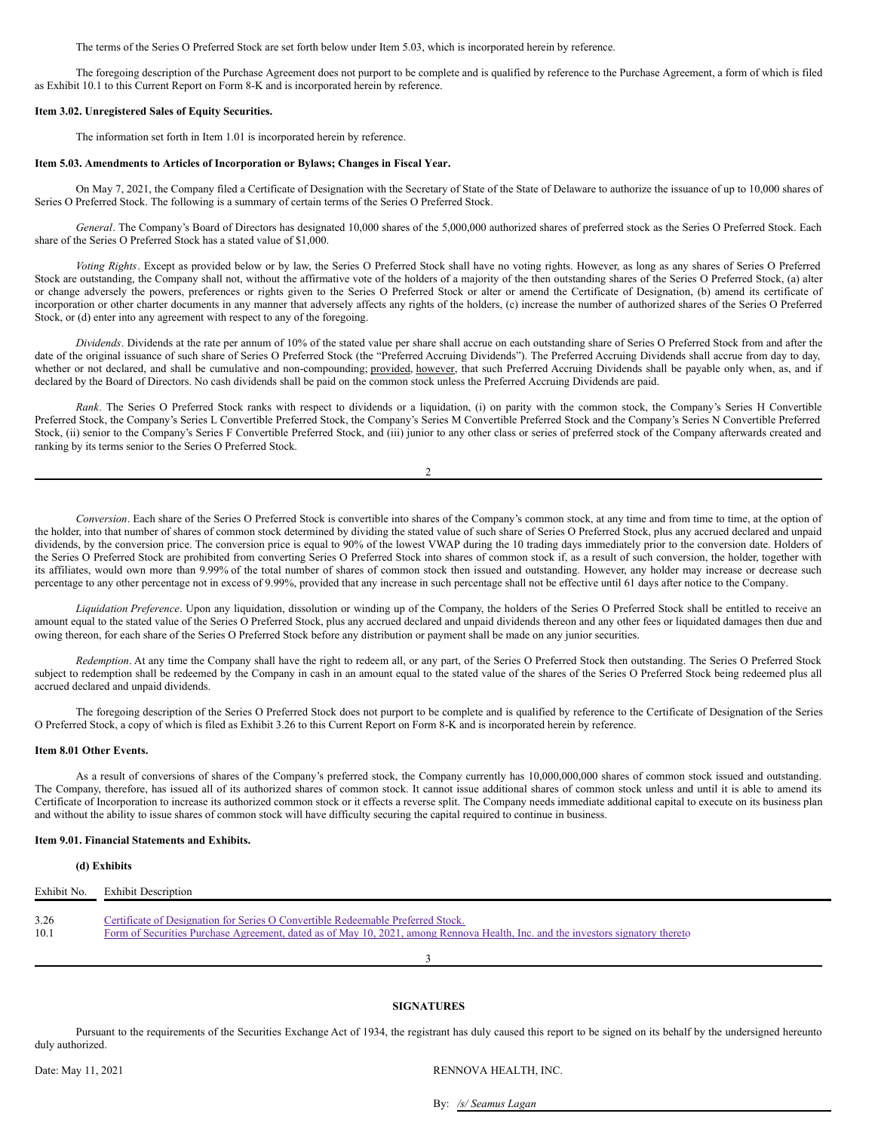The terms of the Series O Preferred Stock are set forth below under Item 5.03, which is incorporated herein by reference.

The foregoing description of the Purchase Agreement does not purport to be complete and is qualified by reference to the Purchase Agreement, a form of which is filed as Exhibit 10.1 to this Current Report on Form 8-K and is incorporated herein by reference.

#### **Item 3.02. Unregistered Sales of Equity Securities.**

The information set forth in Item 1.01 is incorporated herein by reference.

## **Item 5.03. Amendments to Articles of Incorporation or Bylaws; Changes in Fiscal Year.**

On May 7, 2021, the Company filed a Certificate of Designation with the Secretary of State of the State of Delaware to authorize the issuance of up to 10,000 shares of Series O Preferred Stock. The following is a summary of certain terms of the Series O Preferred Stock.

*General*. The Company's Board of Directors has designated 10,000 shares of the 5,000,000 authorized shares of preferred stock as the Series O Preferred Stock. Each share of the Series O Preferred Stock has a stated value of \$1,000.

*Voting Rights*. Except as provided below or by law, the Series O Preferred Stock shall have no voting rights. However, as long as any shares of Series O Preferred Stock are outstanding, the Company shall not, without the affirmative vote of the holders of a majority of the then outstanding shares of the Series O Preferred Stock, (a) alter or change adversely the powers, preferences or rights given to the Series O Preferred Stock or alter or amend the Certificate of Designation, (b) amend its certificate of incorporation or other charter documents in any manner that adversely affects any rights of the holders, (c) increase the number of authorized shares of the Series O Preferred Stock, or (d) enter into any agreement with respect to any of the foregoing.

*Dividends*. Dividends at the rate per annum of 10% of the stated value per share shall accrue on each outstanding share of Series O Preferred Stock from and after the date of the original issuance of such share of Series O Preferred Stock (the "Preferred Accruing Dividends"). The Preferred Accruing Dividends shall accrue from day to day, whether or not declared, and shall be cumulative and non-compounding; provided, however, that such Preferred Accruing Dividends shall be payable only when, as, and if declared by the Board of Directors. No cash dividends shall be paid on the common stock unless the Preferred Accruing Dividends are paid.

*Rank*. The Series O Preferred Stock ranks with respect to dividends or a liquidation, (i) on parity with the common stock, the Company's Series H Convertible Preferred Stock, the Company's Series L Convertible Preferred Stock, the Company's Series M Convertible Preferred Stock and the Company's Series N Convertible Preferred Stock, (ii) senior to the Company's Series F Convertible Preferred Stock, and (iii) junior to any other class or series of preferred stock of the Company afterwards created and ranking by its terms senior to the Series O Preferred Stock.

*Conversion*. Each share of the Series O Preferred Stock is convertible into shares of the Company's common stock, at any time and from time to time, at the option of the holder, into that number of shares of common stock determined by dividing the stated value of such share of Series O Preferred Stock, plus any accrued declared and unpaid dividends, by the conversion price. The conversion price is equal to 90% of the lowest VWAP during the 10 trading days immediately prior to the conversion date. Holders of the Series O Preferred Stock are prohibited from converting Series O Preferred Stock into shares of common stock if, as a result of such conversion, the holder, together with its affiliates, would own more than 9.99% of the total number of shares of common stock then issued and outstanding. However, any holder may increase or decrease such percentage to any other percentage not in excess of 9.99%, provided that any increase in such percentage shall not be effective until 61 days after notice to the Company.

*Liquidation Preference*. Upon any liquidation, dissolution or winding up of the Company, the holders of the Series O Preferred Stock shall be entitled to receive an amount equal to the stated value of the Series O Preferred Stock, plus any accrued declared and unpaid dividends thereon and any other fees or liquidated damages then due and owing thereon, for each share of the Series O Preferred Stock before any distribution or payment shall be made on any junior securities.

*Redemption*. At any time the Company shall have the right to redeem all, or any part, of the Series O Preferred Stock then outstanding. The Series O Preferred Stock subject to redemption shall be redeemed by the Company in cash in an amount equal to the stated value of the shares of the Series O Preferred Stock being redeemed plus all accrued declared and unpaid dividends.

The foregoing description of the Series O Preferred Stock does not purport to be complete and is qualified by reference to the Certificate of Designation of the Series O Preferred Stock, a copy of which is filed as Exhibit 3.26 to this Current Report on Form 8-K and is incorporated herein by reference.

#### **Item 8.01 Other Events.**

As a result of conversions of shares of the Company's preferred stock, the Company currently has 10,000,000,000 shares of common stock issued and outstanding. The Company, therefore, has issued all of its authorized shares of common stock. It cannot issue additional shares of common stock unless and until it is able to amend its Certificate of Incorporation to increase its authorized common stock or it effects a reverse split. The Company needs immediate additional capital to execute on its business plan and without the ability to issue shares of common stock will have difficulty securing the capital required to continue in business.

## **Item 9.01. Financial Statements and Exhibits.**

## **(d) Exhibits**

| Exhibit No. | <b>Exhibit Description</b>                                                                                                      |
|-------------|---------------------------------------------------------------------------------------------------------------------------------|
|             |                                                                                                                                 |
| 3.26        | Certificate of Designation for Series O Convertible Redeemable Preferred Stock.                                                 |
| 10.1        | Form of Securities Purchase Agreement, dated as of May 10, 2021, among Rennova Health, Inc. and the investors signatory thereto |
|             |                                                                                                                                 |

## **SIGNATURES**

3

Pursuant to the requirements of the Securities Exchange Act of 1934, the registrant has duly caused this report to be signed on its behalf by the undersigned hereunto duly authorized.

Date: May 11, 2021 RENNOVA HEALTH, INC.

By: */s/ Seamus Lagan*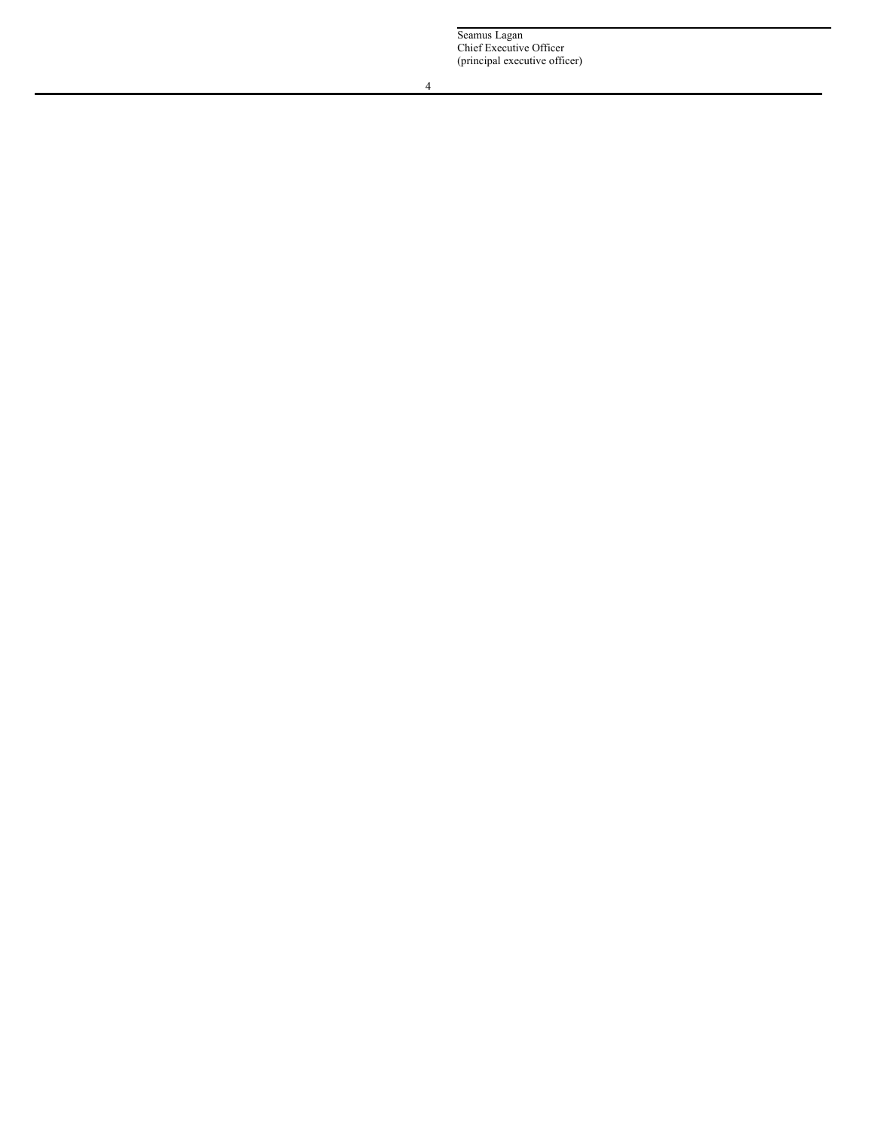Seamus Lagan Chief Executive Officer (principal executive officer)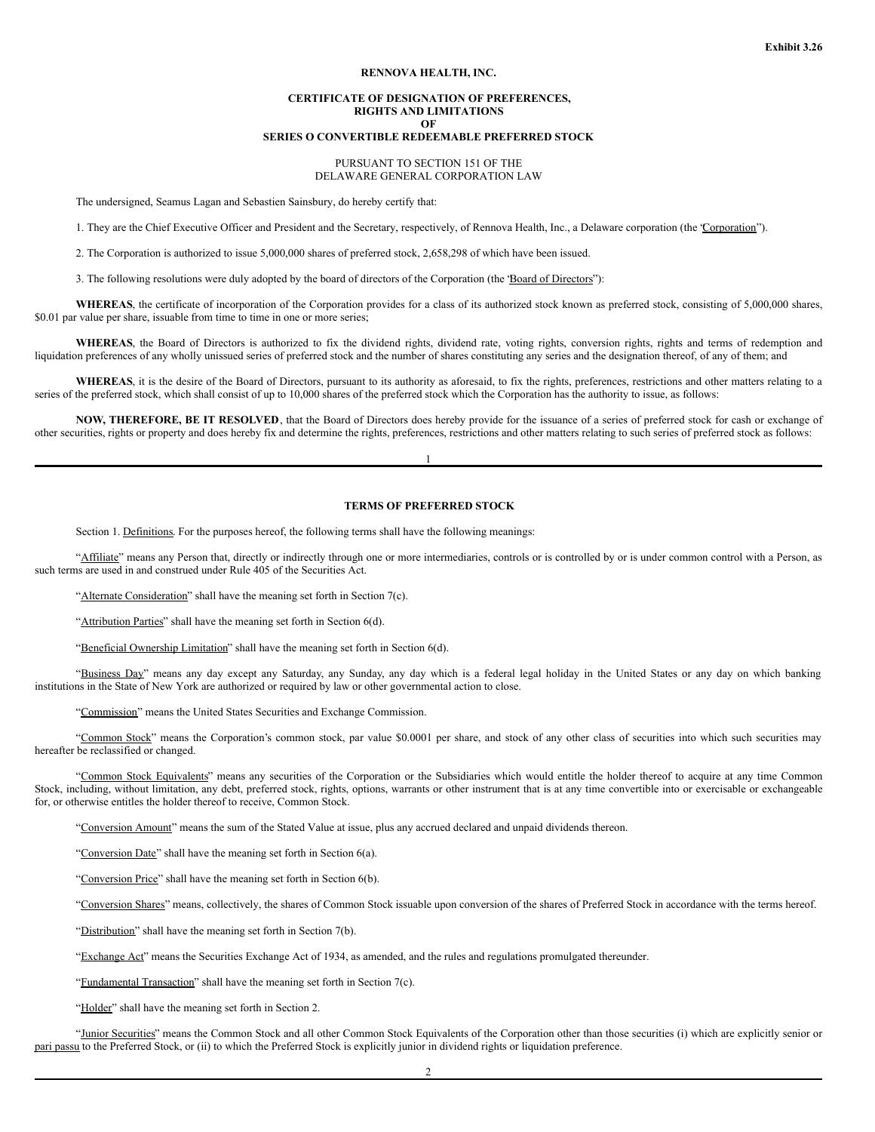#### **RENNOVA HEALTH, INC.**

## **CERTIFICATE OF DESIGNATION OF PREFERENCES, RIGHTS AND LIMITATIONS OF**

## **SERIES O CONVERTIBLE REDEEMABLE PREFERRED STOCK**

## PURSUANT TO SECTION 151 OF THE DELAWARE GENERAL CORPORATION LAW

The undersigned, Seamus Lagan and Sebastien Sainsbury, do hereby certify that:

1. They are the Chief Executive Officer and President and the Secretary, respectively, of Rennova Health, Inc., a Delaware corporation (the 'Corporation'').

2. The Corporation is authorized to issue 5,000,000 shares of preferred stock, 2,658,298 of which have been issued.

3. The following resolutions were duly adopted by the board of directors of the Corporation (the 'Board of Directors''):

**WHEREAS**, the certificate of incorporation of the Corporation provides for a class of its authorized stock known as preferred stock, consisting of 5,000,000 shares, \$0.01 par value per share, issuable from time to time in one or more series;

**WHEREAS**, the Board of Directors is authorized to fix the dividend rights, dividend rate, voting rights, conversion rights, rights and terms of redemption and liquidation preferences of any wholly unissued series of preferred stock and the number of shares constituting any series and the designation thereof, of any of them; and

WHEREAS, it is the desire of the Board of Directors, pursuant to its authority as aforesaid, to fix the rights, preferences, restrictions and other matters relating to a series of the preferred stock, which shall consist of up to 10,000 shares of the preferred stock which the Corporation has the authority to issue, as follows:

**NOW, THEREFORE, BE IT RESOLVED**, that the Board of Directors does hereby provide for the issuance of a series of preferred stock for cash or exchange of other securities, rights or property and does hereby fix and determine the rights, preferences, restrictions and other matters relating to such series of preferred stock as follows:

1

## **TERMS OF PREFERRED STOCK**

Section 1. Definitions. For the purposes hereof, the following terms shall have the following meanings:

"Affiliate" means any Person that, directly or indirectly through one or more intermediaries, controls or is controlled by or is under common control with a Person, as such terms are used in and construed under Rule 405 of the Securities Act.

"Alternate Consideration" shall have the meaning set forth in Section 7(c).

"Attribution Parties" shall have the meaning set forth in Section 6(d).

"Beneficial Ownership Limitation" shall have the meaning set forth in Section 6(d).

"Business Day" means any day except any Saturday, any Sunday, any day which is a federal legal holiday in the United States or any day on which banking institutions in the State of New York are authorized or required by law or other governmental action to close.

"Commission" means the United States Securities and Exchange Commission.

"Common Stock" means the Corporation's common stock, par value \$0.0001 per share, and stock of any other class of securities into which such securities may hereafter be reclassified or changed.

"Common Stock Equivalents" means any securities of the Corporation or the Subsidiaries which would entitle the holder thereof to acquire at any time Common Stock, including, without limitation, any debt, preferred stock, rights, options, warrants or other instrument that is at any time convertible into or exercisable or exchangeable for, or otherwise entitles the holder thereof to receive, Common Stock.

"Conversion Amount" means the sum of the Stated Value at issue, plus any accrued declared and unpaid dividends thereon.

"Conversion Date" shall have the meaning set forth in Section 6(a).

"Conversion Price" shall have the meaning set forth in Section 6(b).

"Conversion Shares" means, collectively, the shares of Common Stock issuable upon conversion of the shares of Preferred Stock in accordance with the terms hereof.

"Distribution" shall have the meaning set forth in Section 7(b).

"Exchange Act" means the Securities Exchange Act of 1934, as amended, and the rules and regulations promulgated thereunder.

"Fundamental Transaction" shall have the meaning set forth in Section 7(c).

"Holder" shall have the meaning set forth in Section 2.

"Junior Securities" means the Common Stock and all other Common Stock Equivalents of the Corporation other than those securities (i) which are explicitly senior or pari passu to the Preferred Stock, or (ii) to which the Preferred Stock is explicitly junior in dividend rights or liquidation preference.

2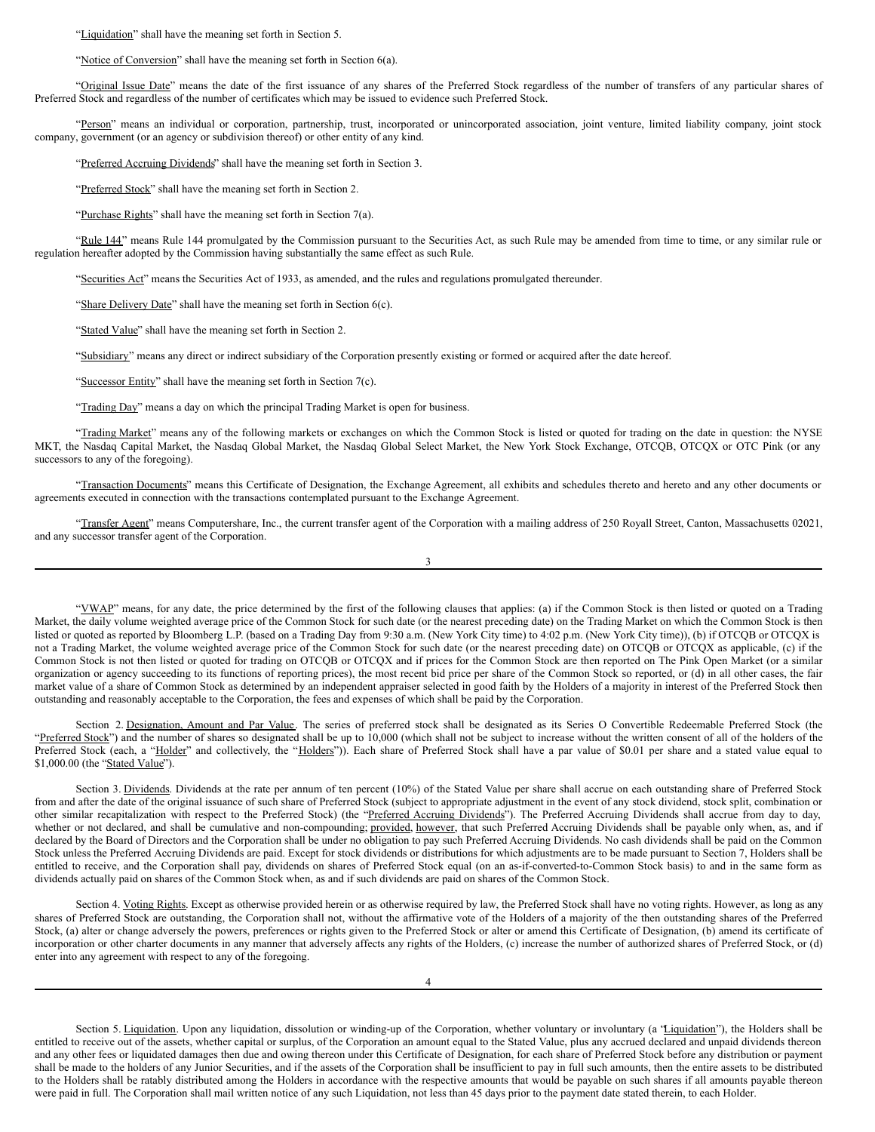"Liquidation" shall have the meaning set forth in Section 5.

"Notice of Conversion" shall have the meaning set forth in Section 6(a).

"Original Issue Date" means the date of the first issuance of any shares of the Preferred Stock regardless of the number of transfers of any particular shares of Preferred Stock and regardless of the number of certificates which may be issued to evidence such Preferred Stock.

"Person" means an individual or corporation, partnership, trust, incorporated or unincorporated association, joint venture, limited liability company, joint stock company, government (or an agency or subdivision thereof) or other entity of any kind.

"Preferred Accruing Dividends" shall have the meaning set forth in Section 3.

"Preferred Stock" shall have the meaning set forth in Section 2.

"Purchase Rights" shall have the meaning set forth in Section  $7(a)$ .

"Rule 144" means Rule 144 promulgated by the Commission pursuant to the Securities Act, as such Rule may be amended from time to time, or any similar rule or regulation hereafter adopted by the Commission having substantially the same effect as such Rule.

"Securities Act" means the Securities Act of 1933, as amended, and the rules and regulations promulgated thereunder.

"Share Delivery Date" shall have the meaning set forth in Section 6(c).

"Stated Value" shall have the meaning set forth in Section 2.

"Subsidiary" means any direct or indirect subsidiary of the Corporation presently existing or formed or acquired after the date hereof.

"Successor Entity" shall have the meaning set forth in Section 7(c).

"Trading Day" means a day on which the principal Trading Market is open for business.

"Trading Market" means any of the following markets or exchanges on which the Common Stock is listed or quoted for trading on the date in question: the NYSE MKT, the Nasdaq Capital Market, the Nasdaq Global Market, the Nasdaq Global Select Market, the New York Stock Exchange, OTCQB, OTCQX or OTC Pink (or any successors to any of the foregoing).

"Transaction Documents" means this Certificate of Designation, the Exchange Agreement, all exhibits and schedules thereto and hereto and any other documents or agreements executed in connection with the transactions contemplated pursuant to the Exchange Agreement.

"Transfer Agent" means Computershare, Inc., the current transfer agent of the Corporation with a mailing address of 250 Royall Street, Canton, Massachusetts 02021, and any successor transfer agent of the Corporation.

3

"YWAP" means, for any date, the price determined by the first of the following clauses that applies: (a) if the Common Stock is then listed or quoted on a Trading Market, the daily volume weighted average price of the Common Stock for such date (or the nearest preceding date) on the Trading Market on which the Common Stock is then listed or quoted as reported by Bloomberg L.P. (based on a Trading Day from 9:30 a.m. (New York City time) to 4:02 p.m. (New York City time)), (b) if OTCQB or OTCQX is not a Trading Market, the volume weighted average price of the Common Stock for such date (or the nearest preceding date) on OTCQB or OTCQX as applicable, (c) if the Common Stock is not then listed or quoted for trading on OTCQB or OTCQX and if prices for the Common Stock are then reported on The Pink Open Market (or a similar organization or agency succeeding to its functions of reporting prices), the most recent bid price per share of the Common Stock so reported, or (d) in all other cases, the fair market value of a share of Common Stock as determined by an independent appraiser selected in good faith by the Holders of a majority in interest of the Preferred Stock then outstanding and reasonably acceptable to the Corporation, the fees and expenses of which shall be paid by the Corporation.

Section 2. Designation, Amount and Par Value. The series of preferred stock shall be designated as its Series O Convertible Redeemable Preferred Stock (the "Preferred Stock") and the number of shares so designated shall be up to 10,000 (which shall not be subject to increase without the written consent of all of the holders of the Preferred Stock (each, a "Holder" and collectively, the "Holders")). Each share of Preferred Stock shall have a par value of \$0.01 per share and a stated value equal to \$1,000.00 (the "Stated Value").

Section 3. Dividends. Dividends at the rate per annum of ten percent (10%) of the Stated Value per share shall accrue on each outstanding share of Preferred Stock from and after the date of the original issuance of such share of Preferred Stock (subject to appropriate adjustment in the event of any stock dividend, stock split, combination or other similar recapitalization with respect to the Preferred Stock) (the "Preferred Accruing Dividends"). The Preferred Accruing Dividends shall accrue from day to day, whether or not declared, and shall be cumulative and non-compounding; provided, however, that such Preferred Accruing Dividends shall be payable only when, as, and if declared by the Board of Directors and the Corporation shall be under no obligation to pay such Preferred Accruing Dividends. No cash dividends shall be paid on the Common Stock unless the Preferred Accruing Dividends are paid. Except for stock dividends or distributions for which adjustments are to be made pursuant to Section 7, Holders shall be entitled to receive, and the Corporation shall pay, dividends on shares of Preferred Stock equal (on an as-if-converted-to-Common Stock basis) to and in the same form as dividends actually paid on shares of the Common Stock when, as and if such dividends are paid on shares of the Common Stock.

Section 4. Voting Rights. Except as otherwise provided herein or as otherwise required by law, the Preferred Stock shall have no voting rights. However, as long as any shares of Preferred Stock are outstanding, the Corporation shall not, without the affirmative vote of the Holders of a majority of the then outstanding shares of the Preferred Stock, (a) alter or change adversely the powers, preferences or rights given to the Preferred Stock or alter or amend this Certificate of Designation, (b) amend its certificate of incorporation or other charter documents in any manner that adversely affects any rights of the Holders, (c) increase the number of authorized shares of Preferred Stock, or (d) enter into any agreement with respect to any of the foregoing.

4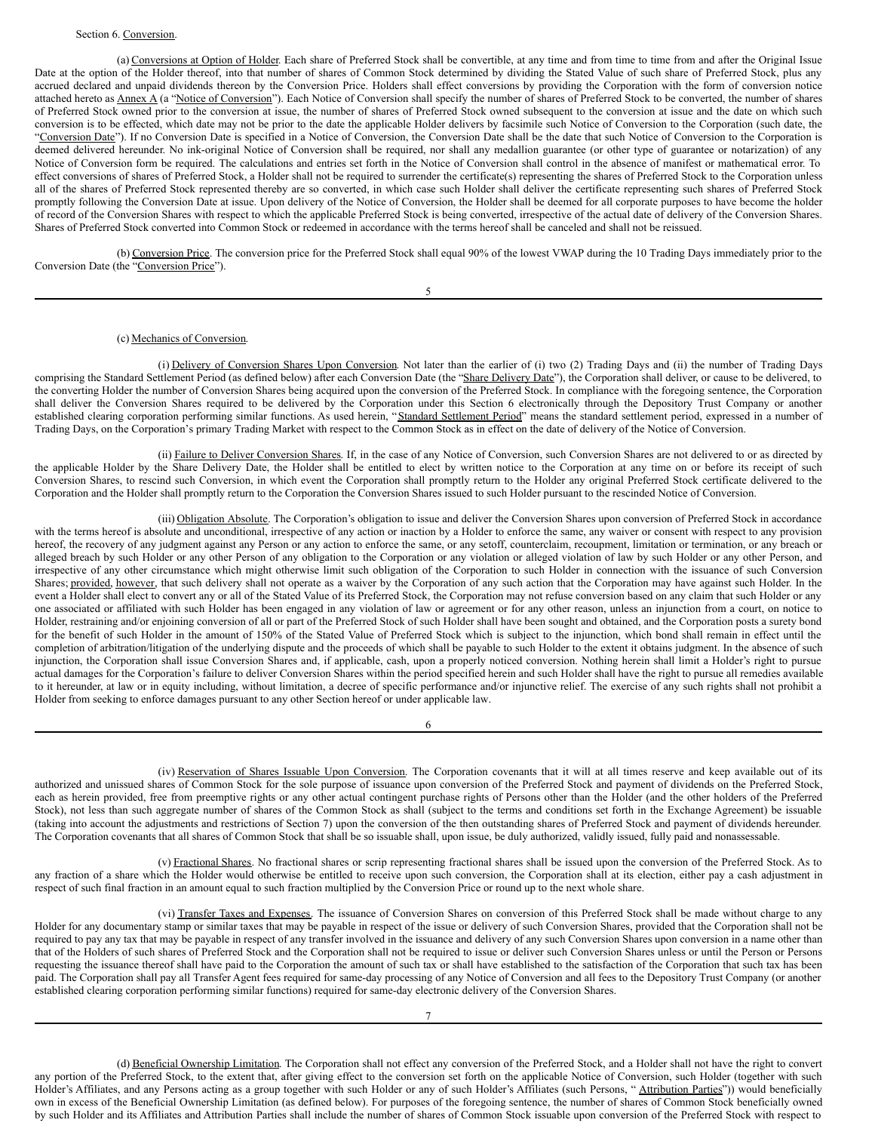#### Section 6. Conversion.

(a) Conversions at Option of Holder. Each share of Preferred Stock shall be convertible, at any time and from time to time from and after the Original Issue Date at the option of the Holder thereof, into that number of shares of Common Stock determined by dividing the Stated Value of such share of Preferred Stock, plus any accrued declared and unpaid dividends thereon by the Conversion Price. Holders shall effect conversions by providing the Corporation with the form of conversion notice attached hereto as Annex A (a "Notice of Conversion"). Each Notice of Conversion shall specify the number of shares of Preferred Stock to be converted, the number of shares of Preferred Stock owned prior to the conversion at issue, the number of shares of Preferred Stock owned subsequent to the conversion at issue and the date on which such conversion is to be effected, which date may not be prior to the date the applicable Holder delivers by facsimile such Notice of Conversion to the Corporation (such date, the "Conversion Date"). If no Conversion Date is specified in a Notice of Conversion, the Conversion Date shall be the date that such Notice of Conversion to the Corporation is deemed delivered hereunder. No ink-original Notice of Conversion shall be required, nor shall any medallion guarantee (or other type of guarantee or notarization) of any Notice of Conversion form be required. The calculations and entries set forth in the Notice of Conversion shall control in the absence of manifest or mathematical error. To effect conversions of shares of Preferred Stock, a Holder shall not be required to surrender the certificate(s) representing the shares of Preferred Stock to the Corporation unless all of the shares of Preferred Stock represented thereby are so converted, in which case such Holder shall deliver the certificate representing such shares of Preferred Stock promptly following the Conversion Date at issue. Upon delivery of the Notice of Conversion, the Holder shall be deemed for all corporate purposes to have become the holder of record of the Conversion Shares with respect to which the applicable Preferred Stock is being converted, irrespective of the actual date of delivery of the Conversion Shares. Shares of Preferred Stock converted into Common Stock or redeemed in accordance with the terms hereof shall be canceled and shall not be reissued.

(b) Conversion Price. The conversion price for the Preferred Stock shall equal 90% of the lowest VWAP during the 10 Trading Days immediately prior to the Conversion Date (the "Conversion Price").

5

## (c) Mechanics of Conversion.

(i) Delivery of Conversion Shares Upon Conversion. Not later than the earlier of (i) two (2) Trading Days and (ii) the number of Trading Days comprising the Standard Settlement Period (as defined below) after each Conversion Date (the "Share Delivery Date"), the Corporation shall deliver, or cause to be delivered, to the converting Holder the number of Conversion Shares being acquired upon the conversion of the Preferred Stock. In compliance with the foregoing sentence, the Corporation shall deliver the Conversion Shares required to be delivered by the Corporation under this Section 6 electronically through the Depository Trust Company or another established clearing corporation performing similar functions. As used herein, "Standard Settlement Period" means the standard settlement period, expressed in a number of Trading Days, on the Corporation's primary Trading Market with respect to the Common Stock as in effect on the date of delivery of the Notice of Conversion.

(ii) Failure to Deliver Conversion Shares. If, in the case of any Notice of Conversion, such Conversion Shares are not delivered to or as directed by the applicable Holder by the Share Delivery Date, the Holder shall be entitled to elect by written notice to the Corporation at any time on or before its receipt of such Conversion Shares, to rescind such Conversion, in which event the Corporation shall promptly return to the Holder any original Preferred Stock certificate delivered to the Corporation and the Holder shall promptly return to the Corporation the Conversion Shares issued to such Holder pursuant to the rescinded Notice of Conversion.

(iii) Obligation Absolute. The Corporation's obligation to issue and deliver the Conversion Shares upon conversion of Preferred Stock in accordance with the terms hereof is absolute and unconditional, irrespective of any action or inaction by a Holder to enforce the same, any waiver or consent with respect to any provision hereof, the recovery of any judgment against any Person or any action to enforce the same, or any setoff, counterclaim, recoupment, limitation or termination, or any breach or alleged breach by such Holder or any other Person of any obligation to the Corporation or any violation or alleged violation of law by such Holder or any other Person, and irrespective of any other circumstance which might otherwise limit such obligation of the Corporation to such Holder in connection with the issuance of such Conversion Shares; provided, however, that such delivery shall not operate as a waiver by the Corporation of any such action that the Corporation may have against such Holder. In the event a Holder shall elect to convert any or all of the Stated Value of its Preferred Stock, the Corporation may not refuse conversion based on any claim that such Holder or any one associated or affiliated with such Holder has been engaged in any violation of law or agreement or for any other reason, unless an injunction from a court, on notice to Holder, restraining and/or enjoining conversion of all or part of the Preferred Stock of such Holder shall have been sought and obtained, and the Corporation posts a surety bond for the benefit of such Holder in the amount of 150% of the Stated Value of Preferred Stock which is subject to the injunction, which bond shall remain in effect until the completion of arbitration/litigation of the underlying dispute and the proceeds of which shall be payable to such Holder to the extent it obtains judgment. In the absence of such injunction, the Corporation shall issue Conversion Shares and, if applicable, cash, upon a properly noticed conversion. Nothing herein shall limit a Holder's right to pursue actual damages for the Corporation's failure to deliver Conversion Shares within the period specified herein and such Holder shall have the right to pursue all remedies available to it hereunder, at law or in equity including, without limitation, a decree of specific performance and/or injunctive relief. The exercise of any such rights shall not prohibit a Holder from seeking to enforce damages pursuant to any other Section hereof or under applicable law.

6

(iv) Reservation of Shares Issuable Upon Conversion. The Corporation covenants that it will at all times reserve and keep available out of its authorized and unissued shares of Common Stock for the sole purpose of issuance upon conversion of the Preferred Stock and payment of dividends on the Preferred Stock, each as herein provided, free from preemptive rights or any other actual contingent purchase rights of Persons other than the Holder (and the other holders of the Preferred Stock), not less than such aggregate number of shares of the Common Stock as shall (subject to the terms and conditions set forth in the Exchange Agreement) be issuable (taking into account the adjustments and restrictions of Section 7) upon the conversion of the then outstanding shares of Preferred Stock and payment of dividends hereunder. The Corporation covenants that all shares of Common Stock that shall be so issuable shall, upon issue, be duly authorized, validly issued, fully paid and nonassessable.

(v) Fractional Shares. No fractional shares or scrip representing fractional shares shall be issued upon the conversion of the Preferred Stock. As to any fraction of a share which the Holder would otherwise be entitled to receive upon such conversion, the Corporation shall at its election, either pay a cash adjustment in respect of such final fraction in an amount equal to such fraction multiplied by the Conversion Price or round up to the next whole share.

(vi) Transfer Taxes and Expenses. The issuance of Conversion Shares on conversion of this Preferred Stock shall be made without charge to any Holder for any documentary stamp or similar taxes that may be payable in respect of the issue or delivery of such Conversion Shares, provided that the Corporation shall not be required to pay any tax that may be payable in respect of any transfer involved in the issuance and delivery of any such Conversion Shares upon conversion in a name other than that of the Holders of such shares of Preferred Stock and the Corporation shall not be required to issue or deliver such Conversion Shares unless or until the Person or Persons requesting the issuance thereof shall have paid to the Corporation the amount of such tax or shall have established to the satisfaction of the Corporation that such tax has been paid. The Corporation shall pay all Transfer Agent fees required for same-day processing of any Notice of Conversion and all fees to the Depository Trust Company (or another established clearing corporation performing similar functions) required for same-day electronic delivery of the Conversion Shares.

(d) Beneficial Ownership Limitation. The Corporation shall not effect any conversion of the Preferred Stock, and a Holder shall not have the right to convert any portion of the Preferred Stock, to the extent that, after giving effect to the conversion set forth on the applicable Notice of Conversion, such Holder (together with such Holder's Affiliates, and any Persons acting as a group together with such Holder or any of such Holder's Affiliates (such Persons, "Attribution Parties")) would beneficially own in excess of the Beneficial Ownership Limitation (as defined below). For purposes of the foregoing sentence, the number of shares of Common Stock beneficially owned by such Holder and its Affiliates and Attribution Parties shall include the number of shares of Common Stock issuable upon conversion of the Preferred Stock with respect to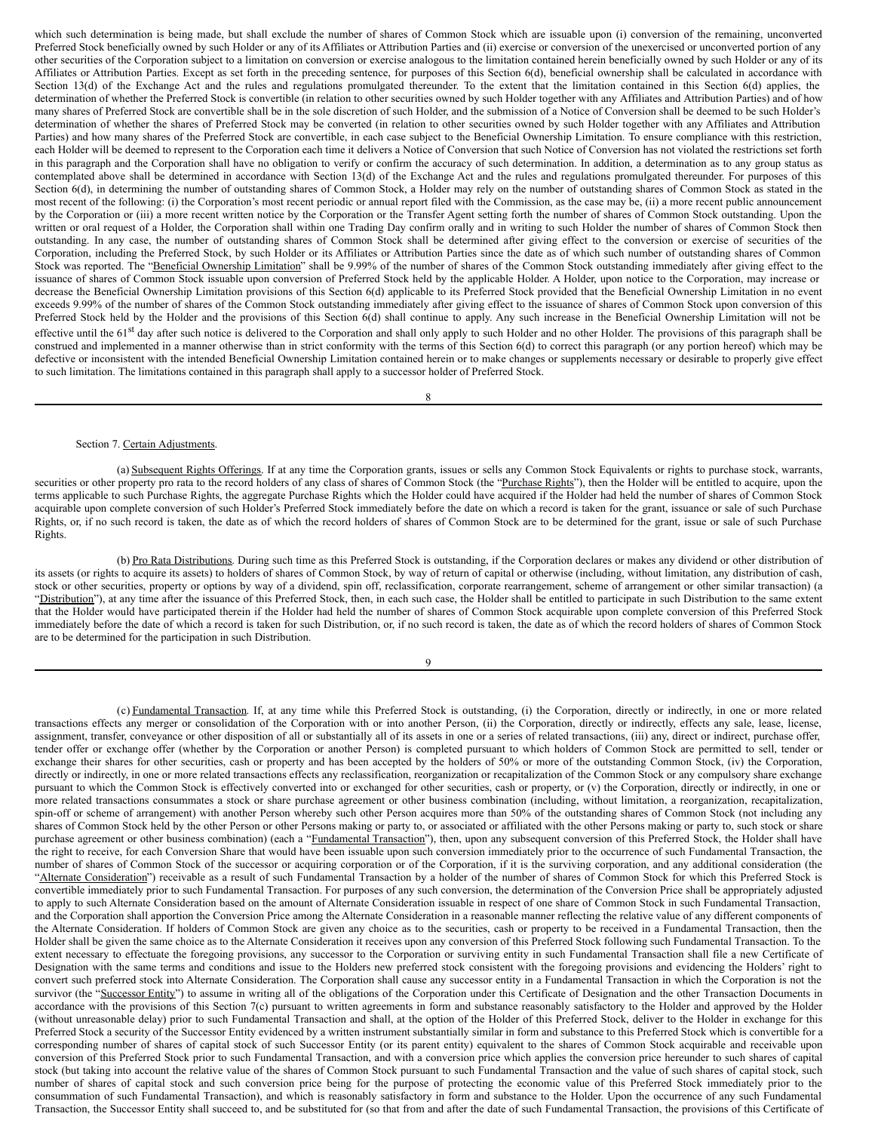<span id="page-6-0"></span>which such determination is being made, but shall exclude the number of shares of Common Stock which are issuable upon (i) conversion of the remaining, unconverted Preferred Stock beneficially owned by such Holder or any of its Affiliates or Attribution Parties and (ii) exercise or conversion of the unexercised or unconverted portion of any other securities of the Corporation subject to a limitation on conversion or exercise analogous to the limitation contained herein beneficially owned by such Holder or any of its Affiliates or Attribution Parties. Except as set forth in the preceding sentence, for purposes of this Section 6(d), beneficial ownership shall be calculated in accordance with Section 13(d) of the Exchange Act and the rules and regulations promulgated thereunder. To the extent that the limitation contained in this Section 6(d) applies, the determination of whether the Preferred Stock is convertible (in relation to other securities owned by such Holder together with any Affiliates and Attribution Parties) and of how many shares of Preferred Stock are convertible shall be in the sole discretion of such Holder, and the submission of a Notice of Conversion shall be deemed to be such Holder's determination of whether the shares of Preferred Stock may be converted (in relation to other securities owned by such Holder together with any Affiliates and Attribution Parties) and how many shares of the Preferred Stock are convertible, in each case subject to the Beneficial Ownership Limitation. To ensure compliance with this restriction, each Holder will be deemed to represent to the Corporation each time it delivers a Notice of Conversion that such Notice of Conversion has not violated the restrictions set forth in this paragraph and the Corporation shall have no obligation to verify or confirm the accuracy of such determination. In addition, a determination as to any group status as contemplated above shall be determined in accordance with Section 13(d) of the Exchange Act and the rules and regulations promulgated thereunder. For purposes of this Section 6(d), in determining the number of outstanding shares of Common Stock, a Holder may rely on the number of outstanding shares of Common Stock as stated in the most recent of the following: (i) the Corporation's most recent periodic or annual report filed with the Commission, as the case may be, (ii) a more recent public announcement by the Corporation or (iii) a more recent written notice by the Corporation or the Transfer Agent setting forth the number of shares of Common Stock outstanding. Upon the written or oral request of a Holder, the Corporation shall within one Trading Day confirm orally and in writing to such Holder the number of shares of Common Stock then outstanding. In any case, the number of outstanding shares of Common Stock shall be determined after giving effect to the conversion or exercise of securities of the Corporation, including the Preferred Stock, by such Holder or its Affiliates or Attribution Parties since the date as of which such number of outstanding shares of Common Stock was reported. The "Beneficial Ownership Limitation" shall be 9.99% of the number of shares of the Common Stock outstanding immediately after giving effect to the issuance of shares of Common Stock issuable upon conversion of Preferred Stock held by the applicable Holder. A Holder, upon notice to the Corporation, may increase or decrease the Beneficial Ownership Limitation provisions of this Section 6(d) applicable to its Preferred Stock provided that the Beneficial Ownership Limitation in no event exceeds 9.99% of the number of shares of the Common Stock outstanding immediately after giving effect to the issuance of shares of Common Stock upon conversion of this Preferred Stock held by the Holder and the provisions of this Section 6(d) shall continue to apply. Any such increase in the Beneficial Ownership Limitation will not be effective until the 61<sup>st</sup> day after such notice is delivered to the Corporation and shall only apply to such Holder and no other Holder. The provisions of this paragraph shall be construed and implemented in a manner otherwise than in strict conformity with the terms of this Section 6(d) to correct this paragraph (or any portion hereof) which may be defective or inconsistent with the intended Beneficial Ownership Limitation contained herein or to make changes or supplements necessary or desirable to properly give effect to such limitation. The limitations contained in this paragraph shall apply to a successor holder of Preferred Stock.

8

#### Section 7. Certain Adjustments.

(a) Subsequent Rights Offerings. If at any time the Corporation grants, issues or sells any Common Stock Equivalents or rights to purchase stock, warrants, securities or other property pro rata to the record holders of any class of shares of Common Stock (the "Purchase Rights"), then the Holder will be entitled to acquire, upon the terms applicable to such Purchase Rights, the aggregate Purchase Rights which the Holder could have acquired if the Holder had held the number of shares of Common Stock acquirable upon complete conversion of such Holder's Preferred Stock immediately before the date on which a record is taken for the grant, issuance or sale of such Purchase Rights, or, if no such record is taken, the date as of which the record holders of shares of Common Stock are to be determined for the grant, issue or sale of such Purchase Rights.

(b) Pro Rata Distributions. During such time as this Preferred Stock is outstanding, if the Corporation declares or makes any dividend or other distribution of its assets (or rights to acquire its assets) to holders of shares of Common Stock, by way of return of capital or otherwise (including, without limitation, any distribution of cash, stock or other securities, property or options by way of a dividend, spin off, reclassification, corporate rearrangement, scheme of arrangement or other similar transaction) (a "Distribution"), at any time after the issuance of this Preferred Stock, then, in each such case, the Holder shall be entitled to participate in such Distribution to the same extent that the Holder would have participated therein if the Holder had held the number of shares of Common Stock acquirable upon complete conversion of this Preferred Stock immediately before the date of which a record is taken for such Distribution, or, if no such record is taken, the date as of which the record holders of shares of Common Stock are to be determined for the participation in such Distribution.

9

(c) Fundamental Transaction. If, at any time while this Preferred Stock is outstanding, (i) the Corporation, directly or indirectly, in one or more related transactions effects any merger or consolidation of the Corporation with or into another Person, (ii) the Corporation, directly or indirectly, effects any sale, lease, license, assignment, transfer, conveyance or other disposition of all or substantially all of its assets in one or a series of related transactions, (iii) any, direct or indirect, purchase offer, tender offer or exchange offer (whether by the Corporation or another Person) is completed pursuant to which holders of Common Stock are permitted to sell, tender or exchange their shares for other securities, cash or property and has been accepted by the holders of 50% or more of the outstanding Common Stock, (iv) the Corporation, directly or indirectly, in one or more related transactions effects any reclassification, reorganization or recapitalization of the Common Stock or any compulsory share exchange pursuant to which the Common Stock is effectively converted into or exchanged for other securities, cash or property, or (v) the Corporation, directly or indirectly, in one or more related transactions consummates a stock or share purchase agreement or other business combination (including, without limitation, a reorganization, recapitalization, spin-off or scheme of arrangement) with another Person whereby such other Person acquires more than 50% of the outstanding shares of Common Stock (not including any shares of Common Stock held by the other Person or other Persons making or party to, or associated or affiliated with the other Persons making or party to, such stock or share purchase agreement or other business combination) (each a "Fundamental Transaction"), then, upon any subsequent conversion of this Preferred Stock, the Holder shall have the right to receive, for each Conversion Share that would have been issuable upon such conversion immediately prior to the occurrence of such Fundamental Transaction, the number of shares of Common Stock of the successor or acquiring corporation or of the Corporation, if it is the surviving corporation, and any additional consideration (the "Alternate Consideration") receivable as a result of such Fundamental Transaction by a holder of the number of shares of Common Stock for which this Preferred Stock is convertible immediately prior to such Fundamental Transaction. For purposes of any such conversion, the determination of the Conversion Price shall be appropriately adjusted to apply to such Alternate Consideration based on the amount of Alternate Consideration issuable in respect of one share of Common Stock in such Fundamental Transaction, and the Corporation shall apportion the Conversion Price among the Alternate Consideration in a reasonable manner reflecting the relative value of any different components of the Alternate Consideration. If holders of Common Stock are given any choice as to the securities, cash or property to be received in a Fundamental Transaction, then the Holder shall be given the same choice as to the Alternate Consideration it receives upon any conversion of this Preferred Stock following such Fundamental Transaction. To the extent necessary to effectuate the foregoing provisions, any successor to the Corporation or surviving entity in such Fundamental Transaction shall file a new Certificate of Designation with the same terms and conditions and issue to the Holders new preferred stock consistent with the foregoing provisions and evidencing the Holders' right to convert such preferred stock into Alternate Consideration. The Corporation shall cause any successor entity in a Fundamental Transaction in which the Corporation is not the survivor (the "Successor Entity") to assume in writing all of the obligations of the Corporation under this Certificate of Designation and the other Transaction Documents in accordance with the provisions of this Section 7(c) pursuant to written agreements in form and substance reasonably satisfactory to the Holder and approved by the Holder (without unreasonable delay) prior to such Fundamental Transaction and shall, at the option of the Holder of this Preferred Stock, deliver to the Holder in exchange for this Preferred Stock a security of the Successor Entity evidenced by a written instrument substantially similar in form and substance to this Preferred Stock which is convertible for a corresponding number of shares of capital stock of such Successor Entity (or its parent entity) equivalent to the shares of Common Stock acquirable and receivable upon conversion of this Preferred Stock prior to such Fundamental Transaction, and with a conversion price which applies the conversion price hereunder to such shares of capital stock (but taking into account the relative value of the shares of Common Stock pursuant to such Fundamental Transaction and the value of such shares of capital stock, such number of shares of capital stock and such conversion price being for the purpose of protecting the economic value of this Preferred Stock immediately prior to the consummation of such Fundamental Transaction), and which is reasonably satisfactory in form and substance to the Holder. Upon the occurrence of any such Fundamental Transaction, the Successor Entity shall succeed to, and be substituted for (so that from and after the date of such Fundamental Transaction, the provisions of this Certificate of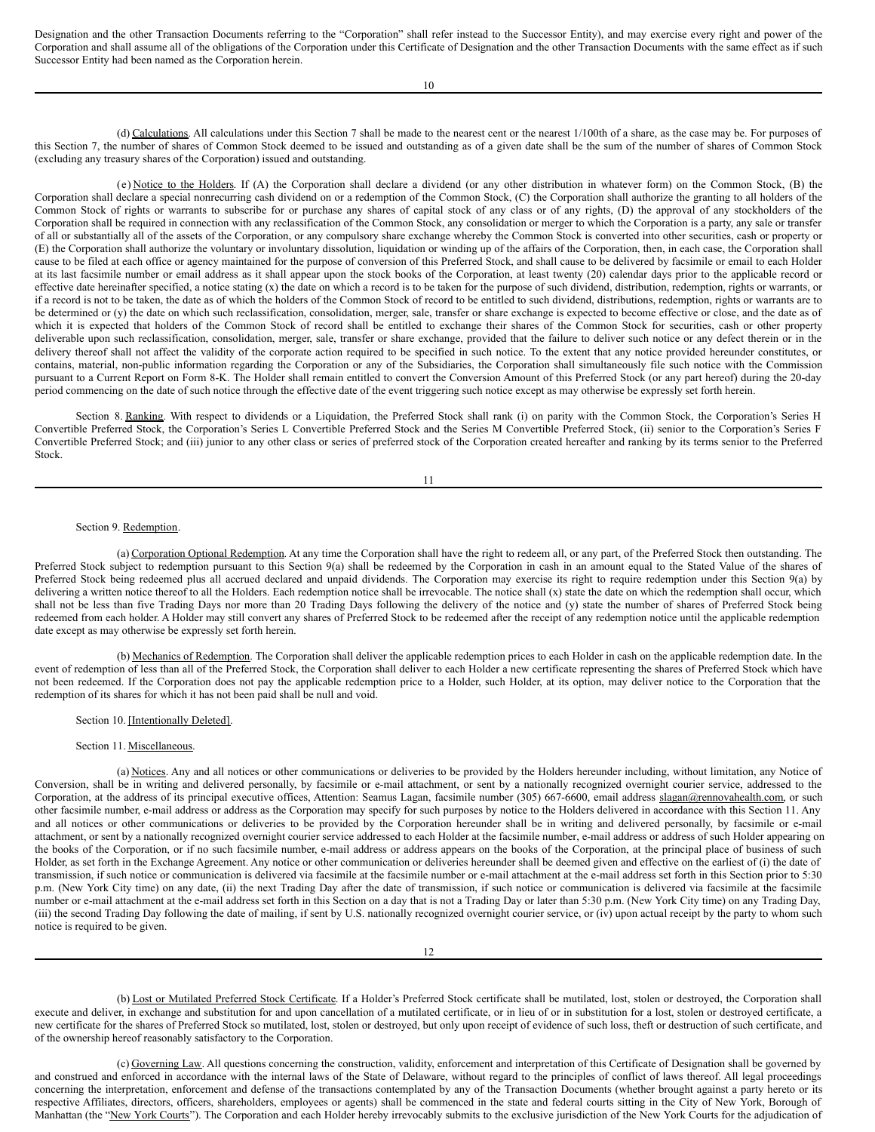Designation and the other Transaction Documents referring to the "Corporation" shall refer instead to the Successor Entity), and may exercise every right and power of the Corporation and shall assume all of the obligations of the Corporation under this Certificate of Designation and the other Transaction Documents with the same effect as if such Successor Entity had been named as the Corporation herein.

10

(d) Calculations. All calculations under this Section 7 shall be made to the nearest cent or the nearest 1/100th of a share, as the case may be. For purposes of this Section 7, the number of shares of Common Stock deemed to be issued and outstanding as of a given date shall be the sum of the number of shares of Common Stock (excluding any treasury shares of the Corporation) issued and outstanding.

(e) Notice to the Holders. If (A) the Corporation shall declare a dividend (or any other distribution in whatever form) on the Common Stock, (B) the Corporation shall declare a special nonrecurring cash dividend on or a redemption of the Common Stock, (C) the Corporation shall authorize the granting to all holders of the Common Stock of rights or warrants to subscribe for or purchase any shares of capital stock of any class or of any rights, (D) the approval of any stockholders of the Corporation shall be required in connection with any reclassification of the Common Stock, any consolidation or merger to which the Corporation is a party, any sale or transfer of all or substantially all of the assets of the Corporation, or any compulsory share exchange whereby the Common Stock is converted into other securities, cash or property or (E) the Corporation shall authorize the voluntary or involuntary dissolution, liquidation or winding up of the affairs of the Corporation, then, in each case, the Corporation shall cause to be filed at each office or agency maintained for the purpose of conversion of this Preferred Stock, and shall cause to be delivered by facsimile or email to each Holder at its last facsimile number or email address as it shall appear upon the stock books of the Corporation, at least twenty (20) calendar days prior to the applicable record or effective date hereinafter specified, a notice stating (x) the date on which a record is to be taken for the purpose of such dividend, distribution, redemption, rights or warrants, or if a record is not to be taken, the date as of which the holders of the Common Stock of record to be entitled to such dividend, distributions, redemption, rights or warrants are to be determined or (y) the date on which such reclassification, consolidation, merger, sale, transfer or share exchange is expected to become effective or close, and the date as of which it is expected that holders of the Common Stock of record shall be entitled to exchange their shares of the Common Stock for securities, cash or other property deliverable upon such reclassification, consolidation, merger, sale, transfer or share exchange, provided that the failure to deliver such notice or any defect therein or in the delivery thereof shall not affect the validity of the corporate action required to be specified in such notice. To the extent that any notice provided hereunder constitutes, or contains, material, non-public information regarding the Corporation or any of the Subsidiaries, the Corporation shall simultaneously file such notice with the Commission pursuant to a Current Report on Form 8-K. The Holder shall remain entitled to convert the Conversion Amount of this Preferred Stock (or any part hereof) during the 20-day period commencing on the date of such notice through the effective date of the event triggering such notice except as may otherwise be expressly set forth herein.

Section 8. Ranking. With respect to dividends or a Liquidation, the Preferred Stock shall rank (i) on parity with the Common Stock, the Corporation's Series H Convertible Preferred Stock, the Corporation's Series L Convertible Preferred Stock and the Series M Convertible Preferred Stock, (ii) senior to the Corporation's Series F Convertible Preferred Stock; and (iii) junior to any other class or series of preferred stock of the Corporation created hereafter and ranking by its terms senior to the Preferred Stock.

#### Section 9. Redemption.

(a) Corporation Optional Redemption. At any time the Corporation shall have the right to redeem all, or any part, of the Preferred Stock then outstanding. The Preferred Stock subject to redemption pursuant to this Section 9(a) shall be redeemed by the Corporation in cash in an amount equal to the Stated Value of the shares of Preferred Stock being redeemed plus all accrued declared and unpaid dividends. The Corporation may exercise its right to require redemption under this Section 9(a) by delivering a written notice thereof to all the Holders. Each redemption notice shall be irrevocable. The notice shall (x) state the date on which the redemption shall occur, which shall not be less than five Trading Days nor more than 20 Trading Days following the delivery of the notice and (y) state the number of shares of Preferred Stock being redeemed from each holder. A Holder may still convert any shares of Preferred Stock to be redeemed after the receipt of any redemption notice until the applicable redemption date except as may otherwise be expressly set forth herein.

(b) Mechanics of Redemption. The Corporation shall deliver the applicable redemption prices to each Holder in cash on the applicable redemption date. In the event of redemption of less than all of the Preferred Stock, the Corporation shall deliver to each Holder a new certificate representing the shares of Preferred Stock which have not been redeemed. If the Corporation does not pay the applicable redemption price to a Holder, such Holder, at its option, may deliver notice to the Corporation that the redemption of its shares for which it has not been paid shall be null and void.

## Section 10. [Intentionally Deleted].

## Section 11. Miscellaneous.

(a) Notices. Any and all notices or other communications or deliveries to be provided by the Holders hereunder including, without limitation, any Notice of Conversion, shall be in writing and delivered personally, by facsimile or e-mail attachment, or sent by a nationally recognized overnight courier service, addressed to the Corporation, at the address of its principal executive offices, Attention: Seamus Lagan, facsimile number (305) 667-6600, email address slagan@rennovahealth.com, or such other facsimile number, e-mail address or address as the Corporation may specify for such purposes by notice to the Holders delivered in accordance with this Section 11. Any and all notices or other communications or deliveries to be provided by the Corporation hereunder shall be in writing and delivered personally, by facsimile or e-mail attachment, or sent by a nationally recognized overnight courier service addressed to each Holder at the facsimile number, e-mail address or address of such Holder appearing on the books of the Corporation, or if no such facsimile number, e-mail address or address appears on the books of the Corporation, at the principal place of business of such Holder, as set forth in the Exchange Agreement. Any notice or other communication or deliveries hereunder shall be deemed given and effective on the earliest of (i) the date of transmission, if such notice or communication is delivered via facsimile at the facsimile number or e-mail attachment at the e-mail address set forth in this Section prior to 5:30 p.m. (New York City time) on any date, (ii) the next Trading Day after the date of transmission, if such notice or communication is delivered via facsimile at the facsimile number or e-mail attachment at the e-mail address set forth in this Section on a day that is not a Trading Day or later than 5:30 p.m. (New York City time) on any Trading Day, (iii) the second Trading Day following the date of mailing, if sent by U.S. nationally recognized overnight courier service, or (iv) upon actual receipt by the party to whom such notice is required to be given.

(b) Lost or Mutilated Preferred Stock Certificate. If a Holder's Preferred Stock certificate shall be mutilated, lost, stolen or destroyed, the Corporation shall execute and deliver, in exchange and substitution for and upon cancellation of a mutilated certificate, or in lieu of or in substitution for a lost, stolen or destroyed certificate, a new certificate for the shares of Preferred Stock so mutilated, lost, stolen or destroyed, but only upon receipt of evidence of such loss, theft or destruction of such certificate, and of the ownership hereof reasonably satisfactory to the Corporation.

(c) Governing Law. All questions concerning the construction, validity, enforcement and interpretation of this Certificate of Designation shall be governed by and construed and enforced in accordance with the internal laws of the State of Delaware, without regard to the principles of conflict of laws thereof. All legal proceedings concerning the interpretation, enforcement and defense of the transactions contemplated by any of the Transaction Documents (whether brought against a party hereto or its respective Affiliates, directors, officers, shareholders, employees or agents) shall be commenced in the state and federal courts sitting in the City of New York, Borough of Manhattan (the "New York Courts"). The Corporation and each Holder hereby irrevocably submits to the exclusive jurisdiction of the New York Courts for the adjudication of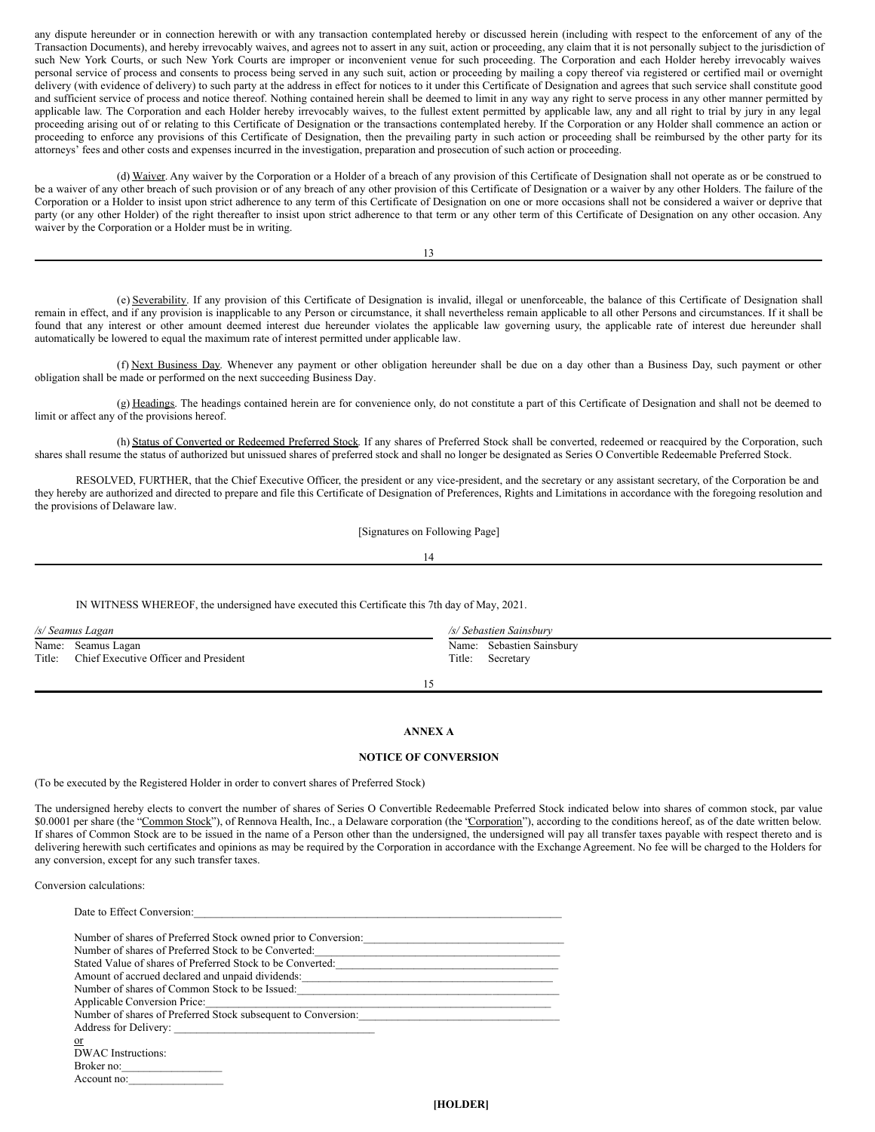any dispute hereunder or in connection herewith or with any transaction contemplated hereby or discussed herein (including with respect to the enforcement of any of the Transaction Documents), and hereby irrevocably waives, and agrees not to assert in any suit, action or proceeding, any claim that it is not personally subject to the jurisdiction of such New York Courts, or such New York Courts are improper or inconvenient venue for such proceeding. The Corporation and each Holder hereby irrevocably waives personal service of process and consents to process being served in any such suit, action or proceeding by mailing a copy thereof via registered or certified mail or overnight delivery (with evidence of delivery) to such party at the address in effect for notices to it under this Certificate of Designation and agrees that such service shall constitute good and sufficient service of process and notice thereof. Nothing contained herein shall be deemed to limit in any way any right to serve process in any other manner permitted by applicable law. The Corporation and each Holder hereby irrevocably waives, to the fullest extent permitted by applicable law, any and all right to trial by jury in any legal proceeding arising out of or relating to this Certificate of Designation or the transactions contemplated hereby. If the Corporation or any Holder shall commence an action or proceeding to enforce any provisions of this Certificate of Designation, then the prevailing party in such action or proceeding shall be reimbursed by the other party for its attorneys' fees and other costs and expenses incurred in the investigation, preparation and prosecution of such action or proceeding.

(d) Waiver. Any waiver by the Corporation or a Holder of a breach of any provision of this Certificate of Designation shall not operate as or be construed to be a waiver of any other breach of such provision or of any breach of any other provision of this Certificate of Designation or a waiver by any other Holders. The failure of the Corporation or a Holder to insist upon strict adherence to any term of this Certificate of Designation on one or more occasions shall not be considered a waiver or deprive that party (or any other Holder) of the right thereafter to insist upon strict adherence to that term or any other term of this Certificate of Designation on any other occasion. Any waiver by the Corporation or a Holder must be in writing.

13

(e) Severability. If any provision of this Certificate of Designation is invalid, illegal or unenforceable, the balance of this Certificate of Designation shall remain in effect, and if any provision is inapplicable to any Person or circumstance, it shall nevertheless remain applicable to all other Persons and circumstances. If it shall be found that any interest or other amount deemed interest due hereunder violates the applicable law governing usury, the applicable rate of interest due hereunder shall automatically be lowered to equal the maximum rate of interest permitted under applicable law.

(f) Next Business Day. Whenever any payment or other obligation hereunder shall be due on a day other than a Business Day, such payment or other obligation shall be made or performed on the next succeeding Business Day.

(g) Headings. The headings contained herein are for convenience only, do not constitute a part of this Certificate of Designation and shall not be deemed to limit or affect any of the provisions hereof.

(h) Status of Converted or Redeemed Preferred Stock. If any shares of Preferred Stock shall be converted, redeemed or reacquired by the Corporation, such shares shall resume the status of authorized but unissued shares of preferred stock and shall no longer be designated as Series O Convertible Redeemable Preferred Stock.

RESOLVED, FURTHER, that the Chief Executive Officer, the president or any vice-president, and the secretary or any assistant secretary, of the Corporation be and they hereby are authorized and directed to prepare and file this Certificate of Designation of Preferences, Rights and Limitations in accordance with the foregoing resolution and the provisions of Delaware law.

[Signatures on Following Page]

## 14

IN WITNESS WHEREOF, the undersigned have executed this Certificate this 7th day of May, 2021.

| /s/ Seamus Lagan             |                                       | /s/ Sebastien Sainsbury |                                        |
|------------------------------|---------------------------------------|-------------------------|----------------------------------------|
| Name: Seamus Lagan<br>Title: | Chief Executive Officer and President | Title:                  | Name: Sebastien Sainsbury<br>Secretary |

15

## **ANNEX A**

## **NOTICE OF CONVERSION**

(To be executed by the Registered Holder in order to convert shares of Preferred Stock)

The undersigned hereby elects to convert the number of shares of Series O Convertible Redeemable Preferred Stock indicated below into shares of common stock, par value \$0.0001 per share (the "Common Stock"), of Rennova Health, Inc., a Delaware corporation (the "Corporation"), according to the conditions hereof, as of the date written below. If shares of Common Stock are to be issued in the name of a Person other than the undersigned, the undersigned will pay all transfer taxes payable with respect thereto and is delivering herewith such certificates and opinions as may be required by the Corporation in accordance with the Exchange Agreement. No fee will be charged to the Holders for any conversion, except for any such transfer taxes.

Conversion calculations:

| Date to Effect Conversion:                                                                                                                                                                                                                                                                      |
|-------------------------------------------------------------------------------------------------------------------------------------------------------------------------------------------------------------------------------------------------------------------------------------------------|
| Number of shares of Preferred Stock owned prior to Conversion:<br>the control of the control of the control of the control of the control of the control of the control of the control of the control of the control of the control of the control of the control of the control of the control |
| Number of shares of Preferred Stock to be Converted:                                                                                                                                                                                                                                            |
| Stated Value of shares of Preferred Stock to be Converted:                                                                                                                                                                                                                                      |
| Amount of accrued declared and unpaid dividends:                                                                                                                                                                                                                                                |
| Number of shares of Common Stock to be Issued:                                                                                                                                                                                                                                                  |
| Applicable Conversion Price:                                                                                                                                                                                                                                                                    |
| Number of shares of Preferred Stock subsequent to Conversion:                                                                                                                                                                                                                                   |
|                                                                                                                                                                                                                                                                                                 |
| $\alpha$                                                                                                                                                                                                                                                                                        |
| DWAC Instructions:                                                                                                                                                                                                                                                                              |
| Broker no:                                                                                                                                                                                                                                                                                      |
| Account no:                                                                                                                                                                                                                                                                                     |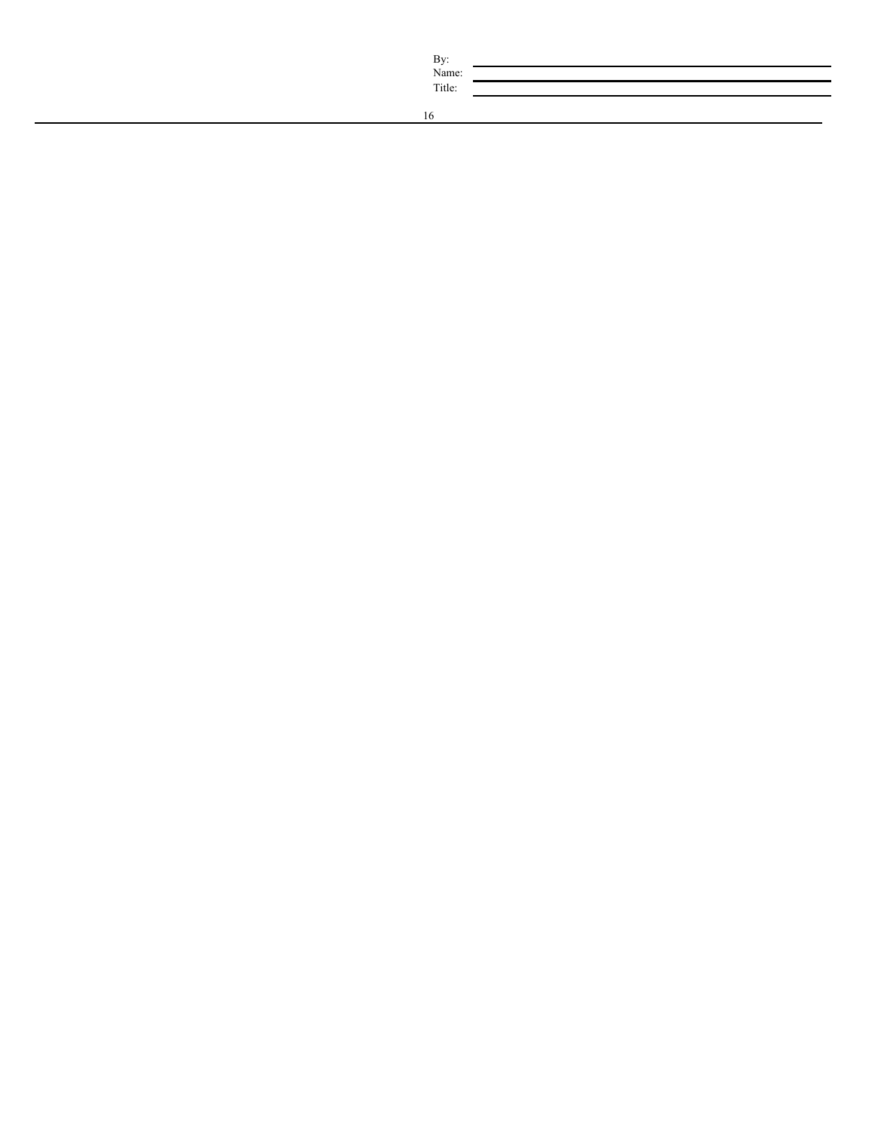| By:    |  |
|--------|--|
| Name:  |  |
| Title: |  |
|        |  |

By: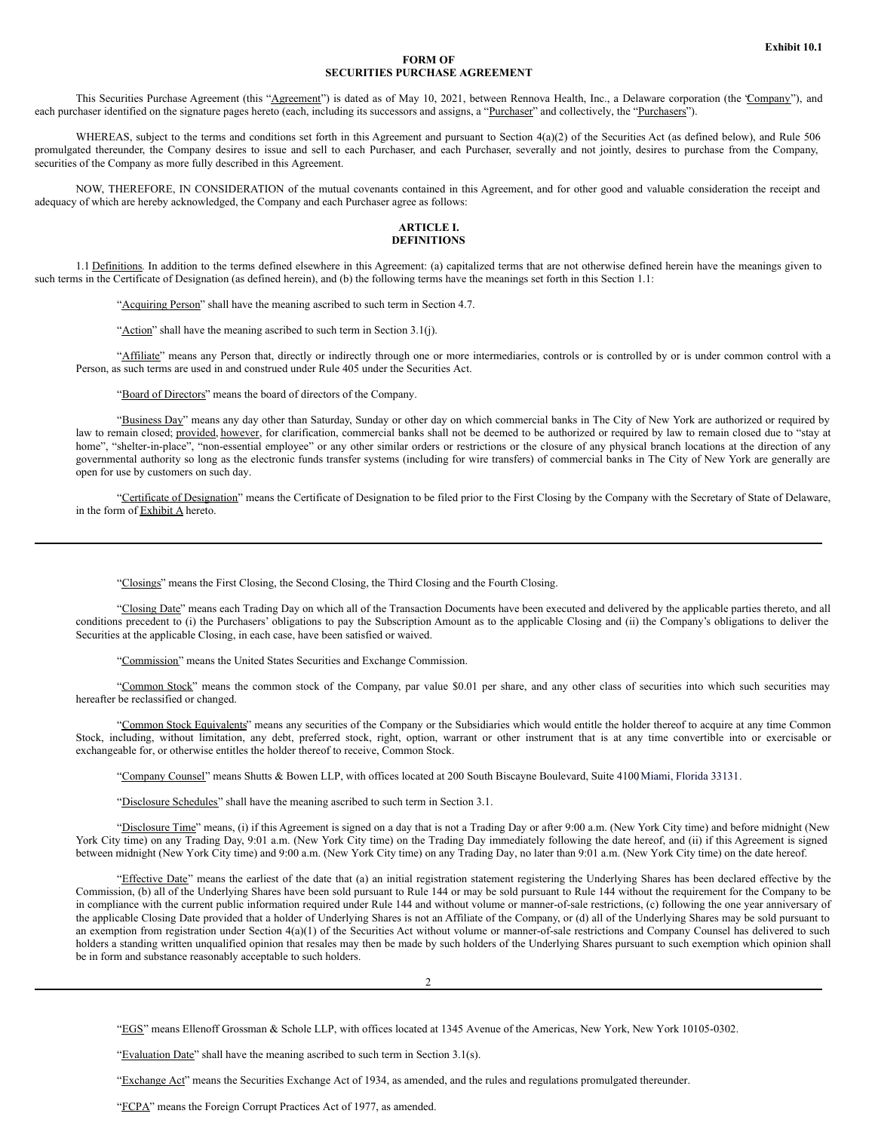## **FORM OF SECURITIES PURCHASE AGREEMENT**

This Securities Purchase Agreement (this "Agreement") is dated as of May 10, 2021, between Rennova Health, Inc., a Delaware corporation (the "Company"), and each purchaser identified on the signature pages hereto (each, including its successors and assigns, a "Purchaser" and collectively, the "Purchasers").

WHEREAS, subject to the terms and conditions set forth in this Agreement and pursuant to Section 4(a)(2) of the Securities Act (as defined below), and Rule 506 promulgated thereunder, the Company desires to issue and sell to each Purchaser, and each Purchaser, severally and not jointly, desires to purchase from the Company, securities of the Company as more fully described in this Agreement.

NOW, THEREFORE, IN CONSIDERATION of the mutual covenants contained in this Agreement, and for other good and valuable consideration the receipt and adequacy of which are hereby acknowledged, the Company and each Purchaser agree as follows:

## **ARTICLE I. DEFINITIONS**

1.1 Definitions. In addition to the terms defined elsewhere in this Agreement: (a) capitalized terms that are not otherwise defined herein have the meanings given to such terms in the Certificate of Designation (as defined herein), and (b) the following terms have the meanings set forth in this Section 1.1:

"Acquiring Person" shall have the meaning ascribed to such term in Section 4.7.

"Action" shall have the meaning ascribed to such term in Section 3.1(j).

"Affiliate" means any Person that, directly or indirectly through one or more intermediaries, controls or is controlled by or is under common control with a Person, as such terms are used in and construed under Rule 405 under the Securities Act.

"Board of Directors" means the board of directors of the Company.

"Business Day" means any day other than Saturday, Sunday or other day on which commercial banks in The City of New York are authorized or required by law to remain closed; provided, however, for clarification, commercial banks shall not be deemed to be authorized or required by law to remain closed due to "stay at home", "shelter-in-place", "non-essential employee" or any other similar orders or restrictions or the closure of any physical branch locations at the direction of any governmental authority so long as the electronic funds transfer systems (including for wire transfers) of commercial banks in The City of New York are generally are open for use by customers on such day.

"Certificate of Designation" means the Certificate of Designation to be filed prior to the First Closing by the Company with the Secretary of State of Delaware, in the form of **Exhibit A** hereto.

"Closings" means the First Closing, the Second Closing, the Third Closing and the Fourth Closing.

"Closing Date" means each Trading Day on which all of the Transaction Documents have been executed and delivered by the applicable parties thereto, and all conditions precedent to (i) the Purchasers' obligations to pay the Subscription Amount as to the applicable Closing and (ii) the Company's obligations to deliver the Securities at the applicable Closing, in each case, have been satisfied or waived.

"Commission" means the United States Securities and Exchange Commission.

"Common Stock" means the common stock of the Company, par value \$0.01 per share, and any other class of securities into which such securities may hereafter be reclassified or changed.

"Common Stock Equivalents" means any securities of the Company or the Subsidiaries which would entitle the holder thereof to acquire at any time Common Stock, including, without limitation, any debt, preferred stock, right, option, warrant or other instrument that is at any time convertible into or exercisable or exchangeable for, or otherwise entitles the holder thereof to receive, Common Stock.

"Company Counsel" means Shutts & Bowen LLP, with offices located at 200 South Biscayne Boulevard, Suite 4100 Miami, Florida 33131.

"Disclosure Schedules" shall have the meaning ascribed to such term in Section 3.1.

"Disclosure Time" means, (i) if this Agreement is signed on a day that is not a Trading Day or after 9:00 a.m. (New York City time) and before midnight (New York City time) on any Trading Day, 9:01 a.m. (New York City time) on the Trading Day immediately following the date hereof, and (ii) if this Agreement is signed between midnight (New York City time) and 9:00 a.m. (New York City time) on any Trading Day, no later than 9:01 a.m. (New York City time) on the date hereof.

"Effective Date" means the earliest of the date that (a) an initial registration statement registering the Underlying Shares has been declared effective by the Commission, (b) all of the Underlying Shares have been sold pursuant to Rule 144 or may be sold pursuant to Rule 144 without the requirement for the Company to be in compliance with the current public information required under Rule 144 and without volume or manner-of-sale restrictions, (c) following the one year anniversary of the applicable Closing Date provided that a holder of Underlying Shares is not an Affiliate of the Company, or (d) all of the Underlying Shares may be sold pursuant to an exemption from registration under Section 4(a)(1) of the Securities Act without volume or manner-of-sale restrictions and Company Counsel has delivered to such holders a standing written unqualified opinion that resales may then be made by such holders of the Underlying Shares pursuant to such exemption which opinion shall be in form and substance reasonably acceptable to such holders.

2

"EGS" means Ellenoff Grossman & Schole LLP, with offices located at 1345 Avenue of the Americas, New York, New York 10105-0302.

"Evaluation Date" shall have the meaning ascribed to such term in Section 3.1(s).

"Exchange Act" means the Securities Exchange Act of 1934, as amended, and the rules and regulations promulgated thereunder.

"FCPA" means the Foreign Corrupt Practices Act of 1977, as amended.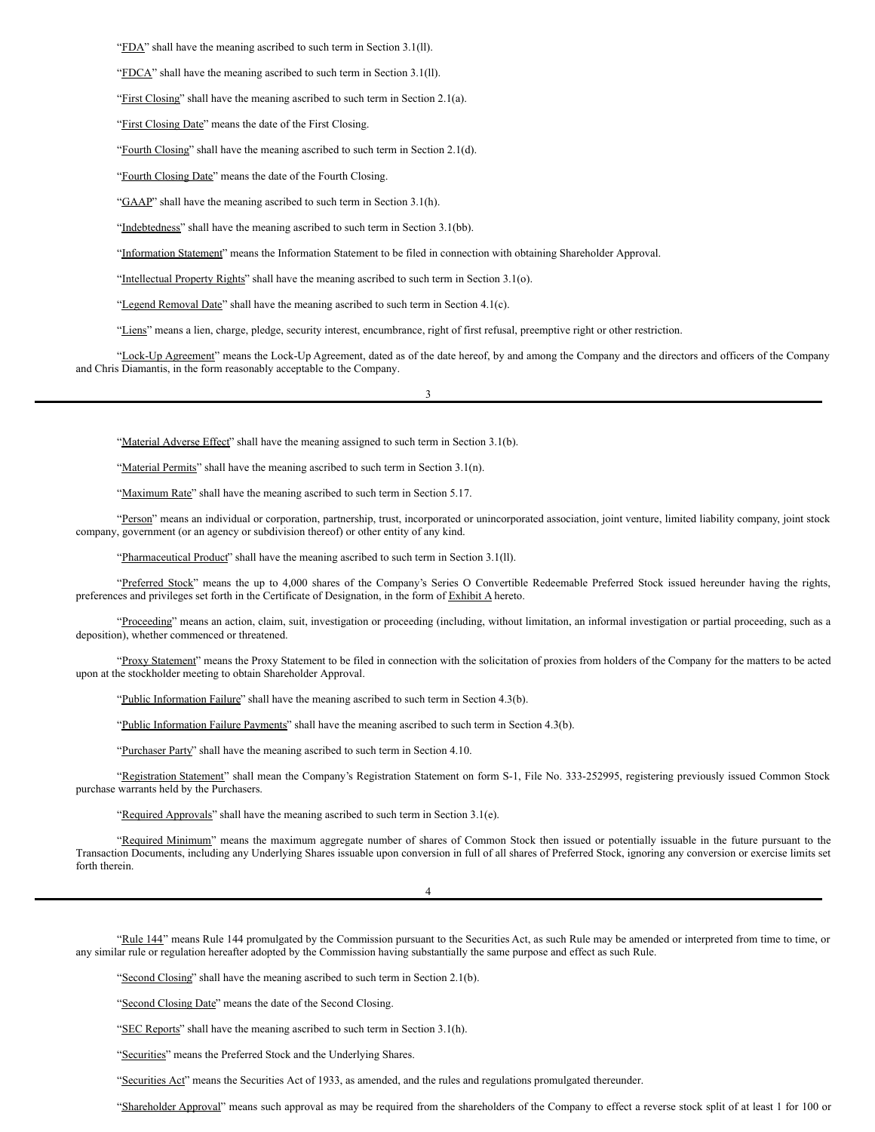"FDA" shall have the meaning ascribed to such term in Section 3.1(ll).

"FDCA" shall have the meaning ascribed to such term in Section 3.1(ll).

"First Closing" shall have the meaning ascribed to such term in Section 2.1(a).

"First Closing Date" means the date of the First Closing.

"Fourth Closing" shall have the meaning ascribed to such term in Section 2.1(d).

"Fourth Closing Date" means the date of the Fourth Closing.

"GAAP" shall have the meaning ascribed to such term in Section 3.1(h).

"Indebtedness" shall have the meaning ascribed to such term in Section 3.1(bb).

"Information Statement" means the Information Statement to be filed in connection with obtaining Shareholder Approval.

"Intellectual Property Rights" shall have the meaning ascribed to such term in Section 3.1(o).

"Legend Removal Date" shall have the meaning ascribed to such term in Section 4.1(c).

"Liens" means a lien, charge, pledge, security interest, encumbrance, right of first refusal, preemptive right or other restriction.

"Lock-Up Agreement" means the Lock-Up Agreement, dated as of the date hereof, by and among the Company and the directors and officers of the Company and Chris Diamantis, in the form reasonably acceptable to the Company.

3

"Material Adverse Effect" shall have the meaning assigned to such term in Section 3.1(b).

"Material Permits" shall have the meaning ascribed to such term in Section 3.1(n).

"Maximum Rate" shall have the meaning ascribed to such term in Section 5.17.

"Person" means an individual or corporation, partnership, trust, incorporated or unincorporated association, joint venture, limited liability company, joint stock company, government (or an agency or subdivision thereof) or other entity of any kind.

"Pharmaceutical Product" shall have the meaning ascribed to such term in Section 3.1(ll).

"Preferred Stock" means the up to 4,000 shares of the Company's Series O Convertible Redeemable Preferred Stock issued hereunder having the rights, preferences and privileges set forth in the Certificate of Designation, in the form of Exhibit A hereto.

"Proceeding" means an action, claim, suit, investigation or proceeding (including, without limitation, an informal investigation or partial proceeding, such as a deposition), whether commenced or threatened.

"Proxy Statement" means the Proxy Statement to be filed in connection with the solicitation of proxies from holders of the Company for the matters to be acted upon at the stockholder meeting to obtain Shareholder Approval.

"Public Information Failure" shall have the meaning ascribed to such term in Section 4.3(b).

"Public Information Failure Payments" shall have the meaning ascribed to such term in Section 4.3(b).

"Purchaser Party" shall have the meaning ascribed to such term in Section 4.10.

"Registration Statement" shall mean the Company's Registration Statement on form S-1, File No. 333-252995, registering previously issued Common Stock purchase warrants held by the Purchasers.

"Required Approvals" shall have the meaning ascribed to such term in Section 3.1(e).

"Required Minimum" means the maximum aggregate number of shares of Common Stock then issued or potentially issuable in the future pursuant to the Transaction Documents, including any Underlying Shares issuable upon conversion in full of all shares of Preferred Stock, ignoring any conversion or exercise limits set forth therein.

4

"Rule 144" means Rule 144 promulgated by the Commission pursuant to the Securities Act, as such Rule may be amended or interpreted from time to time, or any similar rule or regulation hereafter adopted by the Commission having substantially the same purpose and effect as such Rule.

"Second Closing" shall have the meaning ascribed to such term in Section 2.1(b).

"Second Closing Date" means the date of the Second Closing.

"SEC Reports" shall have the meaning ascribed to such term in Section 3.1(h).

"Securities" means the Preferred Stock and the Underlying Shares.

"Securities Act" means the Securities Act of 1933, as amended, and the rules and regulations promulgated thereunder.

"Shareholder Approval" means such approval as may be required from the shareholders of the Company to effect a reverse stock split of at least 1 for 100 or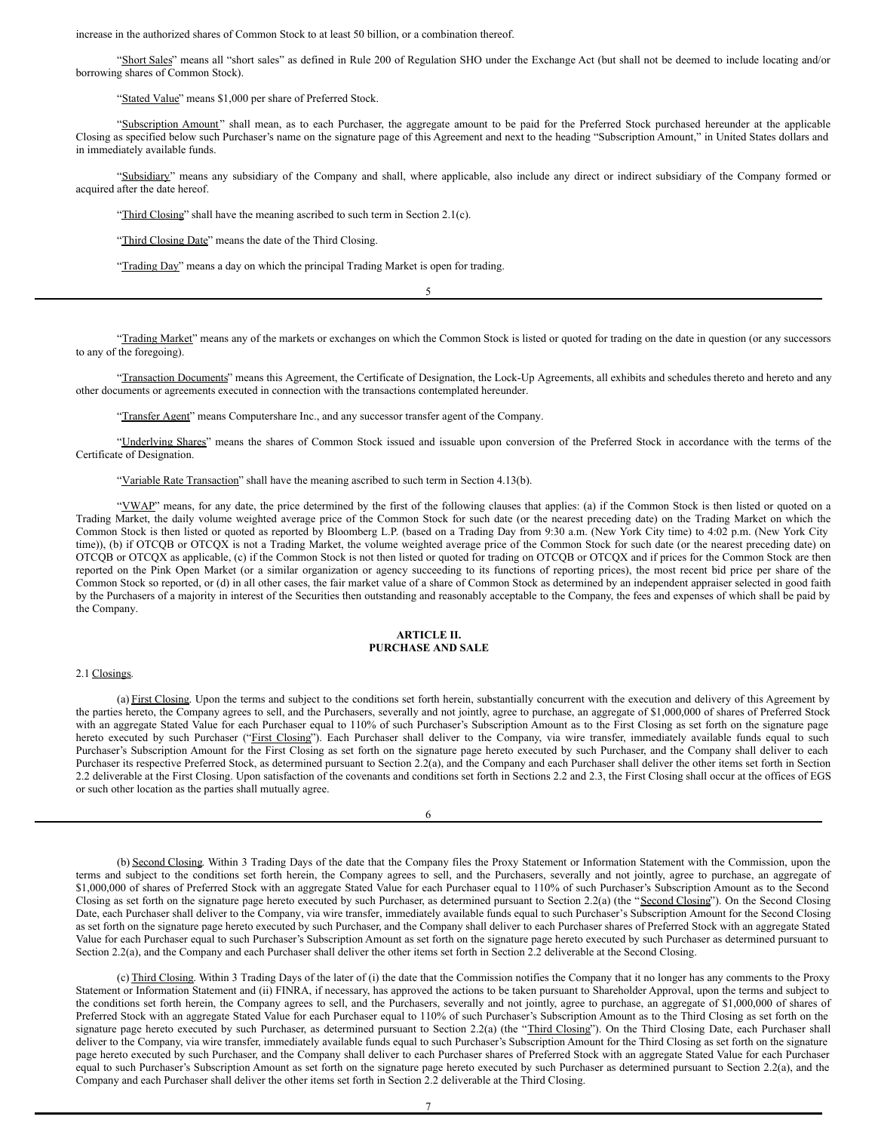increase in the authorized shares of Common Stock to at least 50 billion, or a combination thereof.

"Short Sales" means all "short sales" as defined in Rule 200 of Regulation SHO under the Exchange Act (but shall not be deemed to include locating and/or borrowing shares of Common Stock).

"Stated Value" means \$1,000 per share of Preferred Stock.

"Subscription Amount" shall mean, as to each Purchaser, the aggregate amount to be paid for the Preferred Stock purchased hereunder at the applicable Closing as specified below such Purchaser's name on the signature page of this Agreement and next to the heading "Subscription Amount," in United States dollars and in immediately available funds.

"Subsidiary" means any subsidiary of the Company and shall, where applicable, also include any direct or indirect subsidiary of the Company formed or acquired after the date hereof.

"Third Closing" shall have the meaning ascribed to such term in Section 2.1(c).

"Third Closing Date" means the date of the Third Closing.

"Trading Day" means a day on which the principal Trading Market is open for trading.

"Trading Market" means any of the markets or exchanges on which the Common Stock is listed or quoted for trading on the date in question (or any successors to any of the foregoing).

5

"Transaction Documents" means this Agreement, the Certificate of Designation, the Lock-Up Agreements, all exhibits and schedules thereto and hereto and any other documents or agreements executed in connection with the transactions contemplated hereunder.

"Transfer Agent" means Computershare Inc., and any successor transfer agent of the Company.

"Underlying Shares" means the shares of Common Stock issued and issuable upon conversion of the Preferred Stock in accordance with the terms of the Certificate of Designation.

#### "Variable Rate Transaction" shall have the meaning ascribed to such term in Section 4.13(b).

"VWAP" means, for any date, the price determined by the first of the following clauses that applies: (a) if the Common Stock is then listed or quoted on a Trading Market, the daily volume weighted average price of the Common Stock for such date (or the nearest preceding date) on the Trading Market on which the Common Stock is then listed or quoted as reported by Bloomberg L.P. (based on a Trading Day from 9:30 a.m. (New York City time) to 4:02 p.m. (New York City time)), (b) if OTCQB or OTCQX is not a Trading Market, the volume weighted average price of the Common Stock for such date (or the nearest preceding date) on OTCQB or OTCQX as applicable, (c) if the Common Stock is not then listed or quoted for trading on OTCQB or OTCQX and if prices for the Common Stock are then reported on the Pink Open Market (or a similar organization or agency succeeding to its functions of reporting prices), the most recent bid price per share of the Common Stock so reported, or (d) in all other cases, the fair market value of a share of Common Stock as determined by an independent appraiser selected in good faith by the Purchasers of a majority in interest of the Securities then outstanding and reasonably acceptable to the Company, the fees and expenses of which shall be paid by the Company.

## **ARTICLE II. PURCHASE AND SALE**

### 2.1 Closings.

(a) First Closing. Upon the terms and subject to the conditions set forth herein, substantially concurrent with the execution and delivery of this Agreement by the parties hereto, the Company agrees to sell, and the Purchasers, severally and not jointly, agree to purchase, an aggregate of \$1,000,000 of shares of Preferred Stock with an aggregate Stated Value for each Purchaser equal to 110% of such Purchaser's Subscription Amount as to the First Closing as set forth on the signature page hereto executed by such Purchaser ("First Closing"). Each Purchaser shall deliver to the Company, via wire transfer, immediately available funds equal to such Purchaser's Subscription Amount for the First Closing as set forth on the signature page hereto executed by such Purchaser, and the Company shall deliver to each Purchaser its respective Preferred Stock, as determined pursuant to Section 2.2(a), and the Company and each Purchaser shall deliver the other items set forth in Section 2.2 deliverable at the First Closing. Upon satisfaction of the covenants and conditions set forth in Sections 2.2 and 2.3, the First Closing shall occur at the offices of EGS or such other location as the parties shall mutually agree.

| ۰,<br>I<br>۰, |  |
|---------------|--|

(b) Second Closing. Within 3 Trading Days of the date that the Company files the Proxy Statement or Information Statement with the Commission, upon the terms and subject to the conditions set forth herein, the Company agrees to sell, and the Purchasers, severally and not jointly, agree to purchase, an aggregate of \$1,000,000 of shares of Preferred Stock with an aggregate Stated Value for each Purchaser equal to 110% of such Purchaser's Subscription Amount as to the Second Closing as set forth on the signature page hereto executed by such Purchaser, as determined pursuant to Section 2.2(a) (the "Second Closing"). On the Second Closing Date, each Purchaser shall deliver to the Company, via wire transfer, immediately available funds equal to such Purchaser's Subscription Amount for the Second Closing as set forth on the signature page hereto executed by such Purchaser, and the Company shall deliver to each Purchaser shares of Preferred Stock with an aggregate Stated Value for each Purchaser equal to such Purchaser's Subscription Amount as set forth on the signature page hereto executed by such Purchaser as determined pursuant to Section 2.2(a), and the Company and each Purchaser shall deliver the other items set forth in Section 2.2 deliverable at the Second Closing.

(c) Third Closing. Within 3 Trading Days of the later of (i) the date that the Commission notifies the Company that it no longer has any comments to the Proxy Statement or Information Statement and (ii) FINRA, if necessary, has approved the actions to be taken pursuant to Shareholder Approval, upon the terms and subject to the conditions set forth herein, the Company agrees to sell, and the Purchasers, severally and not jointly, agree to purchase, an aggregate of \$1,000,000 of shares of Preferred Stock with an aggregate Stated Value for each Purchaser equal to 110% of such Purchaser's Subscription Amount as to the Third Closing as set forth on the signature page hereto executed by such Purchaser, as determined pursuant to Section 2.2(a) (the "Third Closing"). On the Third Closing Date, each Purchaser shall deliver to the Company, via wire transfer, immediately available funds equal to such Purchaser's Subscription Amount for the Third Closing as set forth on the signature page hereto executed by such Purchaser, and the Company shall deliver to each Purchaser shares of Preferred Stock with an aggregate Stated Value for each Purchaser equal to such Purchaser's Subscription Amount as set forth on the signature page hereto executed by such Purchaser as determined pursuant to Section 2.2(a), and the Company and each Purchaser shall deliver the other items set forth in Section 2.2 deliverable at the Third Closing.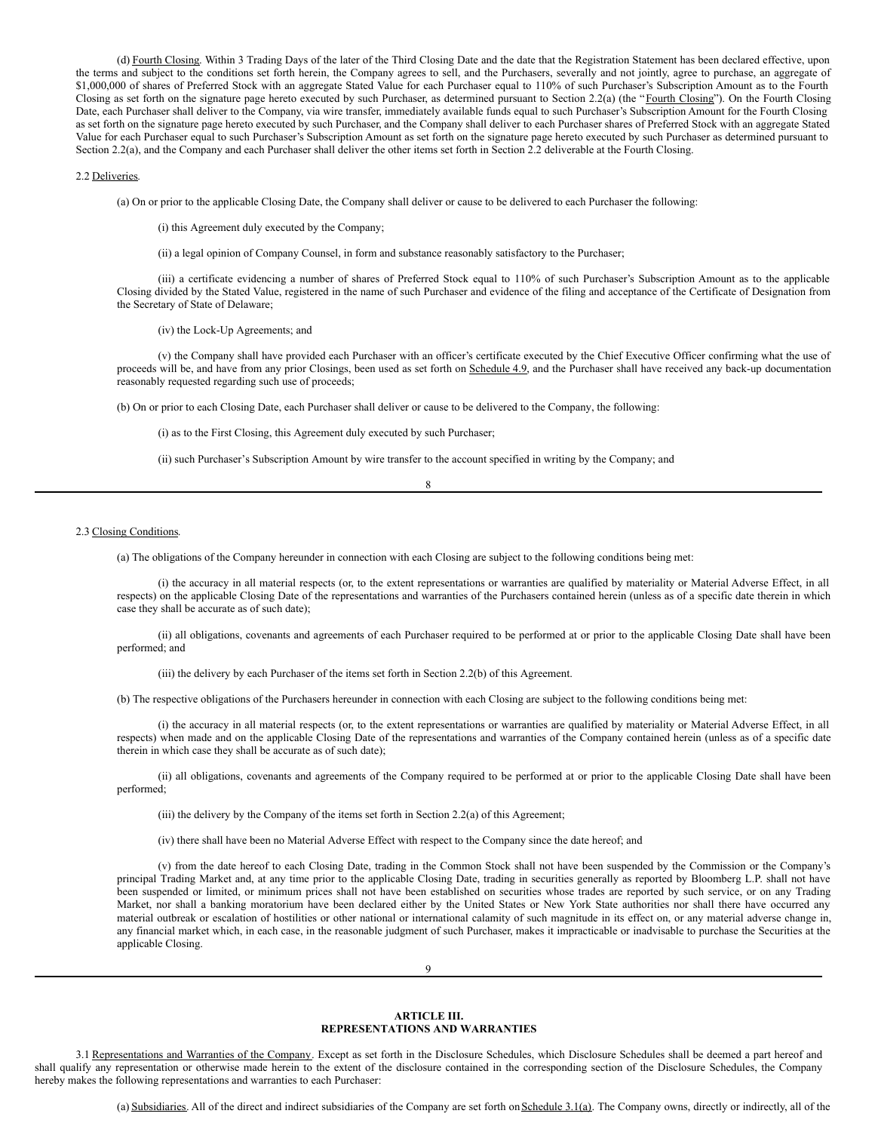(d) Fourth Closing. Within 3 Trading Days of the later of the Third Closing Date and the date that the Registration Statement has been declared effective, upon the terms and subject to the conditions set forth herein, the Company agrees to sell, and the Purchasers, severally and not jointly, agree to purchase, an aggregate of \$1,000,000 of shares of Preferred Stock with an aggregate Stated Value for each Purchaser equal to 110% of such Purchaser's Subscription Amount as to the Fourth Closing as set forth on the signature page hereto executed by such Purchaser, as determined pursuant to Section 2.2(a) (the "Fourth Closing"). On the Fourth Closing Date, each Purchaser shall deliver to the Company, via wire transfer, immediately available funds equal to such Purchaser's Subscription Amount for the Fourth Closing as set forth on the signature page hereto executed by such Purchaser, and the Company shall deliver to each Purchaser shares of Preferred Stock with an aggregate Stated Value for each Purchaser equal to such Purchaser's Subscription Amount as set forth on the signature page hereto executed by such Purchaser as determined pursuant to Section 2.2(a), and the Company and each Purchaser shall deliver the other items set forth in Section 2.2 deliverable at the Fourth Closing.

#### 2.2 Deliveries.

(a) On or prior to the applicable Closing Date, the Company shall deliver or cause to be delivered to each Purchaser the following:

(i) this Agreement duly executed by the Company;

(ii) a legal opinion of Company Counsel, in form and substance reasonably satisfactory to the Purchaser;

(iii) a certificate evidencing a number of shares of Preferred Stock equal to 110% of such Purchaser's Subscription Amount as to the applicable Closing divided by the Stated Value, registered in the name of such Purchaser and evidence of the filing and acceptance of the Certificate of Designation from the Secretary of State of Delaware;

(iv) the Lock-Up Agreements; and

(v) the Company shall have provided each Purchaser with an officer's certificate executed by the Chief Executive Officer confirming what the use of proceeds will be, and have from any prior Closings, been used as set forth on Schedule 4.9, and the Purchaser shall have received any back-up documentation reasonably requested regarding such use of proceeds;

(b) On or prior to each Closing Date, each Purchaser shall deliver or cause to be delivered to the Company, the following:

(i) as to the First Closing, this Agreement duly executed by such Purchaser;

(ii) such Purchaser's Subscription Amount by wire transfer to the account specified in writing by the Company; and

| I<br>ï<br>×<br>۰, |
|-------------------|
|-------------------|

## 2.3 Closing Conditions.

(a) The obligations of the Company hereunder in connection with each Closing are subject to the following conditions being met:

(i) the accuracy in all material respects (or, to the extent representations or warranties are qualified by materiality or Material Adverse Effect, in all respects) on the applicable Closing Date of the representations and warranties of the Purchasers contained herein (unless as of a specific date therein in which case they shall be accurate as of such date);

(ii) all obligations, covenants and agreements of each Purchaser required to be performed at or prior to the applicable Closing Date shall have been performed; and

(iii) the delivery by each Purchaser of the items set forth in Section 2.2(b) of this Agreement.

(b) The respective obligations of the Purchasers hereunder in connection with each Closing are subject to the following conditions being met:

(i) the accuracy in all material respects (or, to the extent representations or warranties are qualified by materiality or Material Adverse Effect, in all respects) when made and on the applicable Closing Date of the representations and warranties of the Company contained herein (unless as of a specific date therein in which case they shall be accurate as of such date);

(ii) all obligations, covenants and agreements of the Company required to be performed at or prior to the applicable Closing Date shall have been performed;

(iii) the delivery by the Company of the items set forth in Section 2.2(a) of this Agreement;

(iv) there shall have been no Material Adverse Effect with respect to the Company since the date hereof; and

(v) from the date hereof to each Closing Date, trading in the Common Stock shall not have been suspended by the Commission or the Company's principal Trading Market and, at any time prior to the applicable Closing Date, trading in securities generally as reported by Bloomberg L.P. shall not have been suspended or limited, or minimum prices shall not have been established on securities whose trades are reported by such service, or on any Trading Market, nor shall a banking moratorium have been declared either by the United States or New York State authorities nor shall there have occurred any material outbreak or escalation of hostilities or other national or international calamity of such magnitude in its effect on, or any material adverse change in, any financial market which, in each case, in the reasonable judgment of such Purchaser, makes it impracticable or inadvisable to purchase the Securities at the applicable Closing.

 $\Omega$ 

#### **ARTICLE III. REPRESENTATIONS AND WARRANTIES**

3.1 Representations and Warranties of the Company. Except as set forth in the Disclosure Schedules, which Disclosure Schedules shall be deemed a part hereof and shall qualify any representation or otherwise made herein to the extent of the disclosure contained in the corresponding section of the Disclosure Schedules, the Company hereby makes the following representations and warranties to each Purchaser:

(a) Subsidiaries. All of the direct and indirect subsidiaries of the Company are set forth on Schedule 3.1(a). The Company owns, directly or indirectly, all of the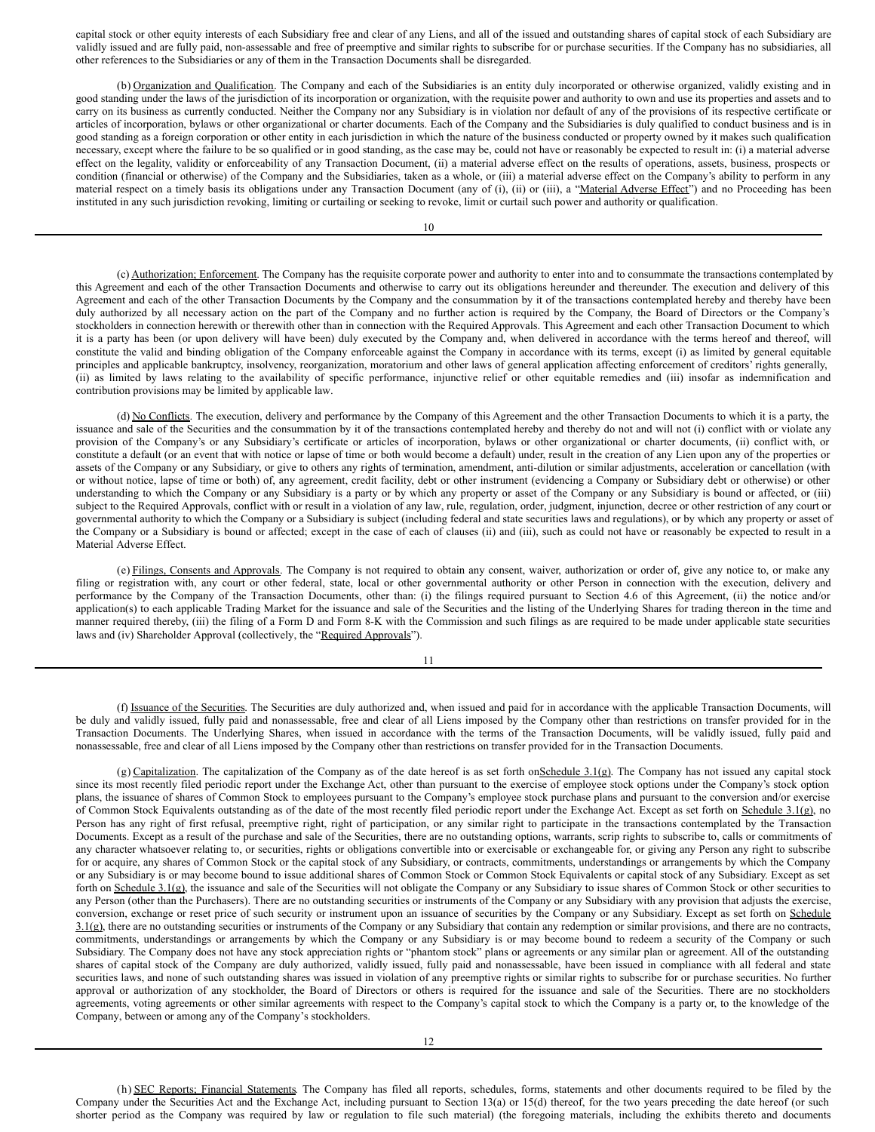capital stock or other equity interests of each Subsidiary free and clear of any Liens, and all of the issued and outstanding shares of capital stock of each Subsidiary are validly issued and are fully paid, non-assessable and free of preemptive and similar rights to subscribe for or purchase securities. If the Company has no subsidiaries, all other references to the Subsidiaries or any of them in the Transaction Documents shall be disregarded.

(b) Organization and Qualification. The Company and each of the Subsidiaries is an entity duly incorporated or otherwise organized, validly existing and in good standing under the laws of the jurisdiction of its incorporation or organization, with the requisite power and authority to own and use its properties and assets and to carry on its business as currently conducted. Neither the Company nor any Subsidiary is in violation nor default of any of the provisions of its respective certificate or articles of incorporation, bylaws or other organizational or charter documents. Each of the Company and the Subsidiaries is duly qualified to conduct business and is in good standing as a foreign corporation or other entity in each jurisdiction in which the nature of the business conducted or property owned by it makes such qualification necessary, except where the failure to be so qualified or in good standing, as the case may be, could not have or reasonably be expected to result in: (i) a material adverse effect on the legality, validity or enforceability of any Transaction Document, (ii) a material adverse effect on the results of operations, assets, business, prospects or condition (financial or otherwise) of the Company and the Subsidiaries, taken as a whole, or (iii) a material adverse effect on the Company's ability to perform in any material respect on a timely basis its obligations under any Transaction Document (any of (i), (ii) or (iii), a "Material Adverse Effect") and no Proceeding has been instituted in any such jurisdiction revoking, limiting or curtailing or seeking to revoke, limit or curtail such power and authority or qualification.

10

(c) Authorization; Enforcement. The Company has the requisite corporate power and authority to enter into and to consummate the transactions contemplated by this Agreement and each of the other Transaction Documents and otherwise to carry out its obligations hereunder and thereunder. The execution and delivery of this Agreement and each of the other Transaction Documents by the Company and the consummation by it of the transactions contemplated hereby and thereby have been duly authorized by all necessary action on the part of the Company and no further action is required by the Company, the Board of Directors or the Company's stockholders in connection herewith or therewith other than in connection with the Required Approvals. This Agreement and each other Transaction Document to which it is a party has been (or upon delivery will have been) duly executed by the Company and, when delivered in accordance with the terms hereof and thereof, will constitute the valid and binding obligation of the Company enforceable against the Company in accordance with its terms, except (i) as limited by general equitable principles and applicable bankruptcy, insolvency, reorganization, moratorium and other laws of general application affecting enforcement of creditors' rights generally, (ii) as limited by laws relating to the availability of specific performance, injunctive relief or other equitable remedies and (iii) insofar as indemnification and contribution provisions may be limited by applicable law.

(d) No Conflicts. The execution, delivery and performance by the Company of this Agreement and the other Transaction Documents to which it is a party, the issuance and sale of the Securities and the consummation by it of the transactions contemplated hereby and thereby do not and will not (i) conflict with or violate any provision of the Company's or any Subsidiary's certificate or articles of incorporation, bylaws or other organizational or charter documents, (ii) conflict with, or constitute a default (or an event that with notice or lapse of time or both would become a default) under, result in the creation of any Lien upon any of the properties or assets of the Company or any Subsidiary, or give to others any rights of termination, amendment, anti-dilution or similar adjustments, acceleration or cancellation (with or without notice, lapse of time or both) of, any agreement, credit facility, debt or other instrument (evidencing a Company or Subsidiary debt or otherwise) or other understanding to which the Company or any Subsidiary is a party or by which any property or asset of the Company or any Subsidiary is bound or affected, or (iii) subject to the Required Approvals, conflict with or result in a violation of any law, rule, regulation, order, judgment, injunction, decree or other restriction of any court or governmental authority to which the Company or a Subsidiary is subject (including federal and state securities laws and regulations), or by which any property or asset of the Company or a Subsidiary is bound or affected; except in the case of each of clauses (ii) and (iii), such as could not have or reasonably be expected to result in a Material Adverse Effect.

(e) Filings, Consents and Approvals. The Company is not required to obtain any consent, waiver, authorization or order of, give any notice to, or make any filing or registration with, any court or other federal, state, local or other governmental authority or other Person in connection with the execution, delivery and performance by the Company of the Transaction Documents, other than: (i) the filings required pursuant to Section 4.6 of this Agreement, (ii) the notice and/or application(s) to each applicable Trading Market for the issuance and sale of the Securities and the listing of the Underlying Shares for trading thereon in the time and manner required thereby, (iii) the filing of a Form D and Form 8-K with the Commission and such filings as are required to be made under applicable state securities laws and (iv) Shareholder Approval (collectively, the "Required Approvals").

#### 11

(f) Issuance of the Securities. The Securities are duly authorized and, when issued and paid for in accordance with the applicable Transaction Documents, will be duly and validly issued, fully paid and nonassessable, free and clear of all Liens imposed by the Company other than restrictions on transfer provided for in the Transaction Documents. The Underlying Shares, when issued in accordance with the terms of the Transaction Documents, will be validly issued, fully paid and nonassessable, free and clear of all Liens imposed by the Company other than restrictions on transfer provided for in the Transaction Documents.

(g) Capitalization. The capitalization of the Company as of the date hereof is as set forth on Schedule  $3.1$ (g). The Company has not issued any capital stock since its most recently filed periodic report under the Exchange Act, other than pursuant to the exercise of employee stock options under the Company's stock option plans, the issuance of shares of Common Stock to employees pursuant to the Company's employee stock purchase plans and pursuant to the conversion and/or exercise of Common Stock Equivalents outstanding as of the date of the most recently filed periodic report under the Exchange Act. Except as set forth on Schedule 3.1(g), no Person has any right of first refusal, preemptive right, right of participation, or any similar right to participate in the transactions contemplated by the Transaction Documents. Except as a result of the purchase and sale of the Securities, there are no outstanding options, warrants, scrip rights to subscribe to, calls or commitments of any character whatsoever relating to, or securities, rights or obligations convertible into or exercisable or exchangeable for, or giving any Person any right to subscribe for or acquire, any shares of Common Stock or the capital stock of any Subsidiary, or contracts, commitments, understandings or arrangements by which the Company or any Subsidiary is or may become bound to issue additional shares of Common Stock or Common Stock Equivalents or capital stock of any Subsidiary. Except as set forth on Schedule 3.1(g), the issuance and sale of the Securities will not obligate the Company or any Subsidiary to issue shares of Common Stock or other securities to any Person (other than the Purchasers). There are no outstanding securities or instruments of the Company or any Subsidiary with any provision that adjusts the exercise, conversion, exchange or reset price of such security or instrument upon an issuance of securities by the Company or any Subsidiary. Except as set forth on Schedule 3.1(g), there are no outstanding securities or instruments of the Company or any Subsidiary that contain any redemption or similar provisions, and there are no contracts, commitments, understandings or arrangements by which the Company or any Subsidiary is or may become bound to redeem a security of the Company or such Subsidiary. The Company does not have any stock appreciation rights or "phantom stock" plans or agreements or any similar plan or agreement. All of the outstanding shares of capital stock of the Company are duly authorized, validly issued, fully paid and nonassessable, have been issued in compliance with all federal and state securities laws, and none of such outstanding shares was issued in violation of any preemptive rights or similar rights to subscribe for or purchase securities. No further approval or authorization of any stockholder, the Board of Directors or others is required for the issuance and sale of the Securities. There are no stockholders agreements, voting agreements or other similar agreements with respect to the Company's capital stock to which the Company is a party or, to the knowledge of the Company, between or among any of the Company's stockholders.

(h) SEC Reports; Financial Statements. The Company has filed all reports, schedules, forms, statements and other documents required to be filed by the Company under the Securities Act and the Exchange Act, including pursuant to Section 13(a) or 15(d) thereof, for the two years preceding the date hereof (or such shorter period as the Company was required by law or regulation to file such material) (the foregoing materials, including the exhibits thereto and documents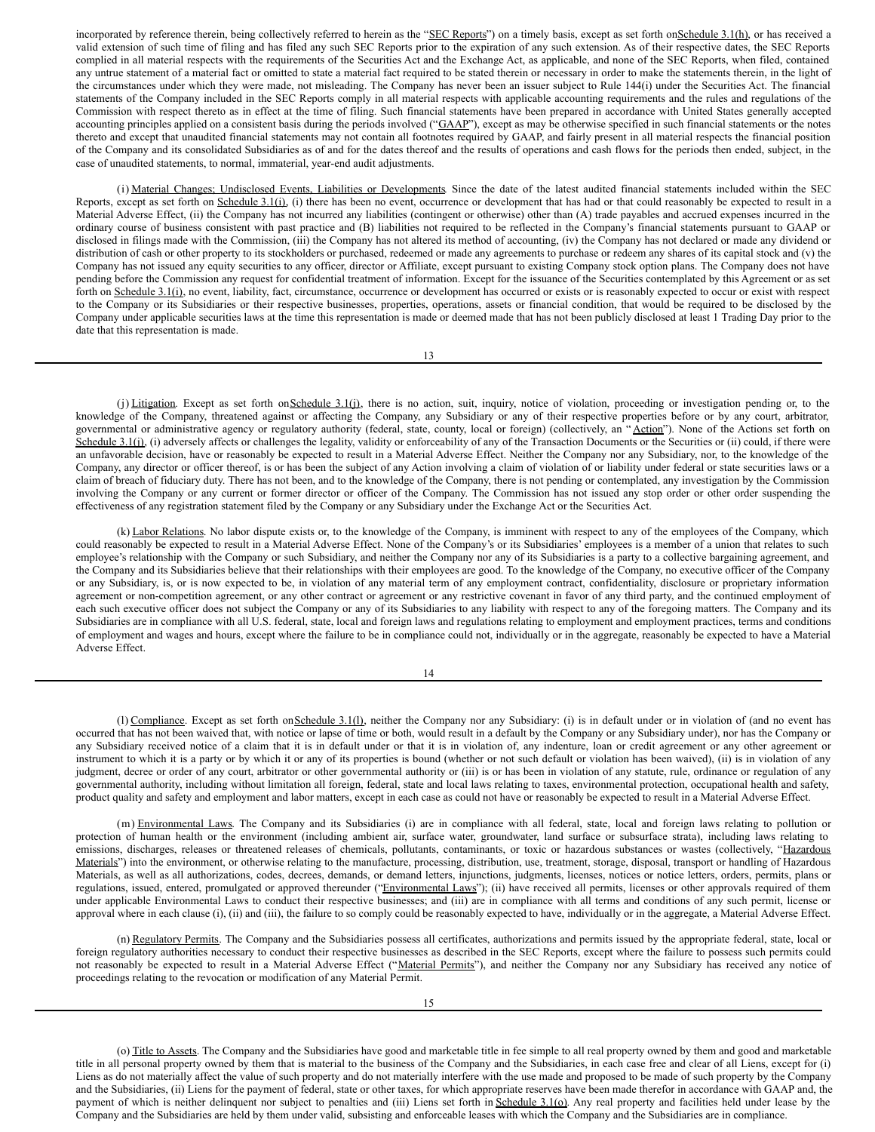incorporated by reference therein, being collectively referred to herein as the "SEC Reports") on a timely basis, except as set forth onSchedule 3.1(h), or has received a valid extension of such time of filing and has filed any such SEC Reports prior to the expiration of any such extension. As of their respective dates, the SEC Reports complied in all material respects with the requirements of the Securities Act and the Exchange Act, as applicable, and none of the SEC Reports, when filed, contained any untrue statement of a material fact or omitted to state a material fact required to be stated therein or necessary in order to make the statements therein, in the light of the circumstances under which they were made, not misleading. The Company has never been an issuer subject to Rule 144(i) under the Securities Act. The financial statements of the Company included in the SEC Reports comply in all material respects with applicable accounting requirements and the rules and regulations of the Commission with respect thereto as in effect at the time of filing. Such financial statements have been prepared in accordance with United States generally accepted accounting principles applied on a consistent basis during the periods involved ("GAAP"), except as may be otherwise specified in such financial statements or the notes thereto and except that unaudited financial statements may not contain all footnotes required by GAAP, and fairly present in all material respects the financial position of the Company and its consolidated Subsidiaries as of and for the dates thereof and the results of operations and cash flows for the periods then ended, subject, in the case of unaudited statements, to normal, immaterial, year-end audit adjustments.

(i) Material Changes; Undisclosed Events, Liabilities or Developments. Since the date of the latest audited financial statements included within the SEC Reports, except as set forth on Schedule 3.1(i), (i) there has been no event, occurrence or development that has had or that could reasonably be expected to result in a Material Adverse Effect, (ii) the Company has not incurred any liabilities (contingent or otherwise) other than (A) trade payables and accrued expenses incurred in the ordinary course of business consistent with past practice and (B) liabilities not required to be reflected in the Company's financial statements pursuant to GAAP or disclosed in filings made with the Commission, (iii) the Company has not altered its method of accounting, (iv) the Company has not declared or made any dividend or distribution of cash or other property to its stockholders or purchased, redeemed or made any agreements to purchase or redeem any shares of its capital stock and (v) the Company has not issued any equity securities to any officer, director or Affiliate, except pursuant to existing Company stock option plans. The Company does not have pending before the Commission any request for confidential treatment of information. Except for the issuance of the Securities contemplated by this Agreement or as set forth on Schedule 3.1(i), no event, liability, fact, circumstance, occurrence or development has occurred or exists or is reasonably expected to occur or exist with respect to the Company or its Subsidiaries or their respective businesses, properties, operations, assets or financial condition, that would be required to be disclosed by the Company under applicable securities laws at the time this representation is made or deemed made that has not been publicly disclosed at least 1 Trading Day prior to the date that this representation is made.

13

(j) Litigation. Except as set forth on Schedule 3.1(j), there is no action, suit, inquiry, notice of violation, proceeding or investigation pending or, to the knowledge of the Company, threatened against or affecting the Company, any Subsidiary or any of their respective properties before or by any court, arbitrator, governmental or administrative agency or regulatory authority (federal, state, county, local or foreign) (collectively, an "Action"). None of the Actions set forth on Schedule 3.1(j), (i) adversely affects or challenges the legality, validity or enforceability of any of the Transaction Documents or the Securities or (ii) could, if there were an unfavorable decision, have or reasonably be expected to result in a Material Adverse Effect. Neither the Company nor any Subsidiary, nor, to the knowledge of the Company, any director or officer thereof, is or has been the subject of any Action involving a claim of violation of or liability under federal or state securities laws or a claim of breach of fiduciary duty. There has not been, and to the knowledge of the Company, there is not pending or contemplated, any investigation by the Commission involving the Company or any current or former director or officer of the Company. The Commission has not issued any stop order or other order suspending the effectiveness of any registration statement filed by the Company or any Subsidiary under the Exchange Act or the Securities Act.

(k) Labor Relations. No labor dispute exists or, to the knowledge of the Company, is imminent with respect to any of the employees of the Company, which could reasonably be expected to result in a Material Adverse Effect. None of the Company's or its Subsidiaries' employees is a member of a union that relates to such employee's relationship with the Company or such Subsidiary, and neither the Company nor any of its Subsidiaries is a party to a collective bargaining agreement, and the Company and its Subsidiaries believe that their relationships with their employees are good. To the knowledge of the Company, no executive officer of the Company or any Subsidiary, is, or is now expected to be, in violation of any material term of any employment contract, confidentiality, disclosure or proprietary information agreement or non-competition agreement, or any other contract or agreement or any restrictive covenant in favor of any third party, and the continued employment of each such executive officer does not subject the Company or any of its Subsidiaries to any liability with respect to any of the foregoing matters. The Company and its Subsidiaries are in compliance with all U.S. federal, state, local and foreign laws and regulations relating to employment and employment practices, terms and conditions of employment and wages and hours, except where the failure to be in compliance could not, individually or in the aggregate, reasonably be expected to have a Material Adverse Effect.

14

(1) Compliance. Except as set forth on Schedule 3.1(1), neither the Company nor any Subsidiary: (i) is in default under or in violation of (and no event has occurred that has not been waived that, with notice or lapse of time or both, would result in a default by the Company or any Subsidiary under), nor has the Company or any Subsidiary received notice of a claim that it is in default under or that it is in violation of, any indenture, loan or credit agreement or any other agreement or instrument to which it is a party or by which it or any of its properties is bound (whether or not such default or violation has been waived), (ii) is in violation of any judgment, decree or order of any court, arbitrator or other governmental authority or (iii) is or has been in violation of any statute, rule, ordinance or regulation of any governmental authority, including without limitation all foreign, federal, state and local laws relating to taxes, environmental protection, occupational health and safety, product quality and safety and employment and labor matters, except in each case as could not have or reasonably be expected to result in a Material Adverse Effect.

(m) Environmental Laws. The Company and its Subsidiaries (i) are in compliance with all federal, state, local and foreign laws relating to pollution or protection of human health or the environment (including ambient air, surface water, groundwater, land surface or subsurface strata), including laws relating to emissions, discharges, releases or threatened releases of chemicals, pollutants, contaminants, or toxic or hazardous substances or wastes (collectively, "Hazardous Materials") into the environment, or otherwise relating to the manufacture, processing, distribution, use, treatment, storage, disposal, transport or handling of Hazardous Materials, as well as all authorizations, codes, decrees, demands, or demand letters, injunctions, judgments, licenses, notices or notice letters, orders, permits, plans or regulations, issued, entered, promulgated or approved thereunder ("Environmental Laws"); (ii) have received all permits, licenses or other approvals required of them under applicable Environmental Laws to conduct their respective businesses; and (iii) are in compliance with all terms and conditions of any such permit, license or approval where in each clause (i), (ii) and (iii), the failure to so comply could be reasonably expected to have, individually or in the aggregate, a Material Adverse Effect.

(n) Regulatory Permits. The Company and the Subsidiaries possess all certificates, authorizations and permits issued by the appropriate federal, state, local or foreign regulatory authorities necessary to conduct their respective businesses as described in the SEC Reports, except where the failure to possess such permits could not reasonably be expected to result in a Material Adverse Effect ("Material Permits"), and neither the Company nor any Subsidiary has received any notice of proceedings relating to the revocation or modification of any Material Permit.

(o) Title to Assets. The Company and the Subsidiaries have good and marketable title in fee simple to all real property owned by them and good and marketable title in all personal property owned by them that is material to the business of the Company and the Subsidiaries, in each case free and clear of all Liens, except for (i) Liens as do not materially affect the value of such property and do not materially interfere with the use made and proposed to be made of such property by the Company and the Subsidiaries, (ii) Liens for the payment of federal, state or other taxes, for which appropriate reserves have been made therefor in accordance with GAAP and, the payment of which is neither delinquent nor subject to penalties and (iii) Liens set forth in Schedule 3.1(o). Any real property and facilities held under lease by the Company and the Subsidiaries are held by them under valid, subsisting and enforceable leases with which the Company and the Subsidiaries are in compliance.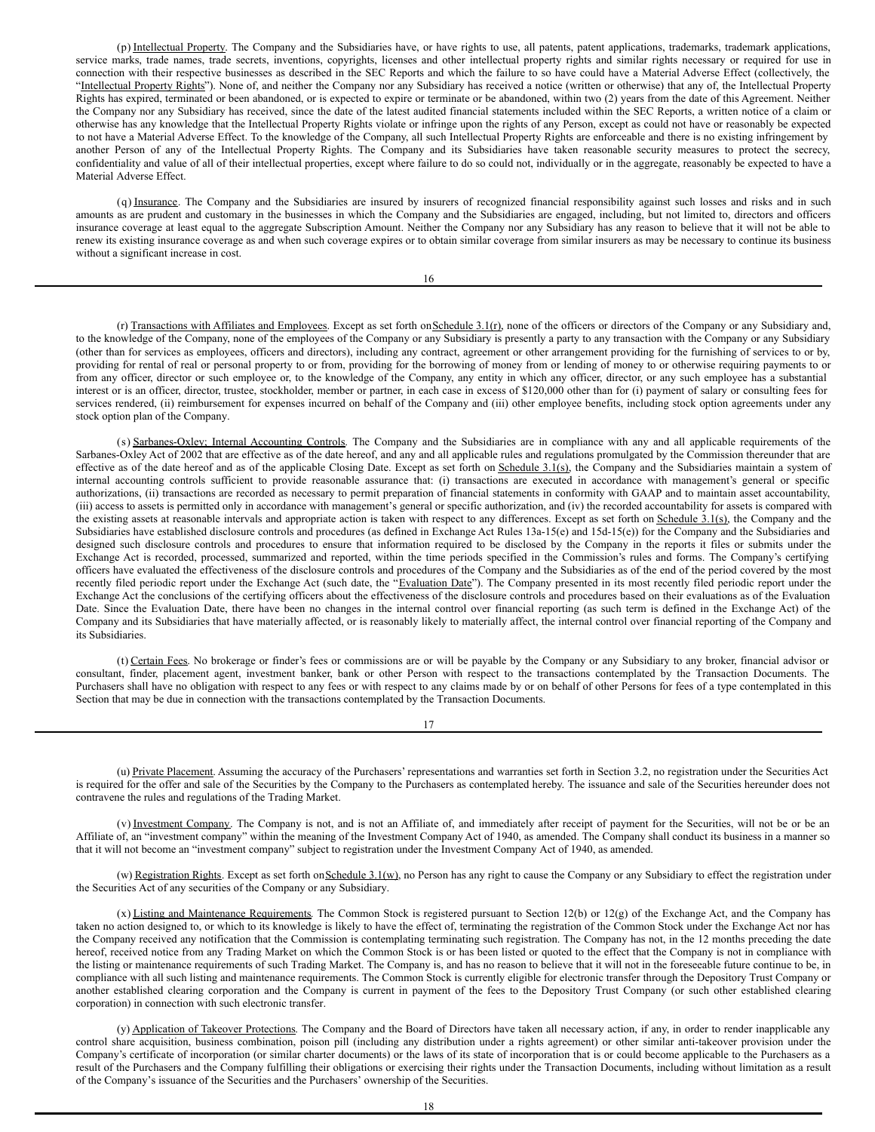(p) Intellectual Property. The Company and the Subsidiaries have, or have rights to use, all patents, patent applications, trademarks, trademark applications, service marks, trade names, trade secrets, inventions, copyrights, licenses and other intellectual property rights and similar rights necessary or required for use in connection with their respective businesses as described in the SEC Reports and which the failure to so have could have a Material Adverse Effect (collectively, the "Intellectual Property Rights"). None of, and neither the Company nor any Subsidiary has received a notice (written or otherwise) that any of, the Intellectual Property Rights has expired, terminated or been abandoned, or is expected to expire or terminate or be abandoned, within two (2) years from the date of this Agreement. Neither the Company nor any Subsidiary has received, since the date of the latest audited financial statements included within the SEC Reports, a written notice of a claim or otherwise has any knowledge that the Intellectual Property Rights violate or infringe upon the rights of any Person, except as could not have or reasonably be expected to not have a Material Adverse Effect. To the knowledge of the Company, all such Intellectual Property Rights are enforceable and there is no existing infringement by another Person of any of the Intellectual Property Rights. The Company and its Subsidiaries have taken reasonable security measures to protect the secrecy, confidentiality and value of all of their intellectual properties, except where failure to do so could not, individually or in the aggregate, reasonably be expected to have a Material Adverse Effect.

(q) Insurance. The Company and the Subsidiaries are insured by insurers of recognized financial responsibility against such losses and risks and in such amounts as are prudent and customary in the businesses in which the Company and the Subsidiaries are engaged, including, but not limited to, directors and officers insurance coverage at least equal to the aggregate Subscription Amount. Neither the Company nor any Subsidiary has any reason to believe that it will not be able to renew its existing insurance coverage as and when such coverage expires or to obtain similar coverage from similar insurers as may be necessary to continue its business without a significant increase in cost.

16

(r) Transactions with Affiliates and Employees. Except as set forth on Schedule 3.1(r), none of the officers or directors of the Company or any Subsidiary and, to the knowledge of the Company, none of the employees of the Company or any Subsidiary is presently a party to any transaction with the Company or any Subsidiary (other than for services as employees, officers and directors), including any contract, agreement or other arrangement providing for the furnishing of services to or by, providing for rental of real or personal property to or from, providing for the borrowing of money from or lending of money to or otherwise requiring payments to or from any officer, director or such employee or, to the knowledge of the Company, any entity in which any officer, director, or any such employee has a substantial interest or is an officer, director, trustee, stockholder, member or partner, in each case in excess of \$120,000 other than for (i) payment of salary or consulting fees for services rendered, (ii) reimbursement for expenses incurred on behalf of the Company and (iii) other employee benefits, including stock option agreements under any stock option plan of the Company.

(s) Sarbanes-Oxley; Internal Accounting Controls. The Company and the Subsidiaries are in compliance with any and all applicable requirements of the Sarbanes-Oxley Act of 2002 that are effective as of the date hereof, and any and all applicable rules and regulations promulgated by the Commission thereunder that are effective as of the date hereof and as of the applicable Closing Date. Except as set forth on Schedule  $3.1(s)$ , the Company and the Subsidiaries maintain a system of internal accounting controls sufficient to provide reasonable assurance that: (i) transactions are executed in accordance with management's general or specific authorizations, (ii) transactions are recorded as necessary to permit preparation of financial statements in conformity with GAAP and to maintain asset accountability, (iii) access to assets is permitted only in accordance with management's general or specific authorization, and (iv) the recorded accountability for assets is compared with the existing assets at reasonable intervals and appropriate action is taken with respect to any differences. Except as set forth on Schedule 3.1(s), the Company and the Subsidiaries have established disclosure controls and procedures (as defined in Exchange Act Rules 13a-15(e) and 15d-15(e)) for the Company and the Subsidiaries and designed such disclosure controls and procedures to ensure that information required to be disclosed by the Company in the reports it files or submits under the Exchange Act is recorded, processed, summarized and reported, within the time periods specified in the Commission's rules and forms. The Company's certifying officers have evaluated the effectiveness of the disclosure controls and procedures of the Company and the Subsidiaries as of the end of the period covered by the most recently filed periodic report under the Exchange Act (such date, the "Evaluation Date"). The Company presented in its most recently filed periodic report under the Exchange Act the conclusions of the certifying officers about the effectiveness of the disclosure controls and procedures based on their evaluations as of the Evaluation Date. Since the Evaluation Date, there have been no changes in the internal control over financial reporting (as such term is defined in the Exchange Act) of the Company and its Subsidiaries that have materially affected, or is reasonably likely to materially affect, the internal control over financial reporting of the Company and its Subsidiaries.

(t) Certain Fees. No brokerage or finder's fees or commissions are or will be payable by the Company or any Subsidiary to any broker, financial advisor or consultant, finder, placement agent, investment banker, bank or other Person with respect to the transactions contemplated by the Transaction Documents. The Purchasers shall have no obligation with respect to any fees or with respect to any claims made by or on behalf of other Persons for fees of a type contemplated in this Section that may be due in connection with the transactions contemplated by the Transaction Documents.

17

(u) Private Placement. Assuming the accuracy of the Purchasers' representations and warranties set forth in Section 3.2, no registration under the Securities Act is required for the offer and sale of the Securities by the Company to the Purchasers as contemplated hereby. The issuance and sale of the Securities hereunder does not contravene the rules and regulations of the Trading Market.

(v) Investment Company. The Company is not, and is not an Affiliate of, and immediately after receipt of payment for the Securities, will not be or be an Affiliate of, an "investment company" within the meaning of the Investment Company Act of 1940, as amended. The Company shall conduct its business in a manner so that it will not become an "investment company" subject to registration under the Investment Company Act of 1940, as amended.

(w) Registration Rights. Except as set forth on Schedule 3.1(w), no Person has any right to cause the Company or any Subsidiary to effect the registration under the Securities Act of any securities of the Company or any Subsidiary.

(x) Listing and Maintenance Requirements. The Common Stock is registered pursuant to Section 12(b) or 12(g) of the Exchange Act, and the Company has taken no action designed to, or which to its knowledge is likely to have the effect of, terminating the registration of the Common Stock under the Exchange Act nor has the Company received any notification that the Commission is contemplating terminating such registration. The Company has not, in the 12 months preceding the date hereof, received notice from any Trading Market on which the Common Stock is or has been listed or quoted to the effect that the Company is not in compliance with the listing or maintenance requirements of such Trading Market. The Company is, and has no reason to believe that it will not in the foreseeable future continue to be, in compliance with all such listing and maintenance requirements. The Common Stock is currently eligible for electronic transfer through the Depository Trust Company or another established clearing corporation and the Company is current in payment of the fees to the Depository Trust Company (or such other established clearing corporation) in connection with such electronic transfer.

(y) Application of Takeover Protections. The Company and the Board of Directors have taken all necessary action, if any, in order to render inapplicable any control share acquisition, business combination, poison pill (including any distribution under a rights agreement) or other similar anti-takeover provision under the Company's certificate of incorporation (or similar charter documents) or the laws of its state of incorporation that is or could become applicable to the Purchasers as a result of the Purchasers and the Company fulfilling their obligations or exercising their rights under the Transaction Documents, including without limitation as a result of the Company's issuance of the Securities and the Purchasers' ownership of the Securities.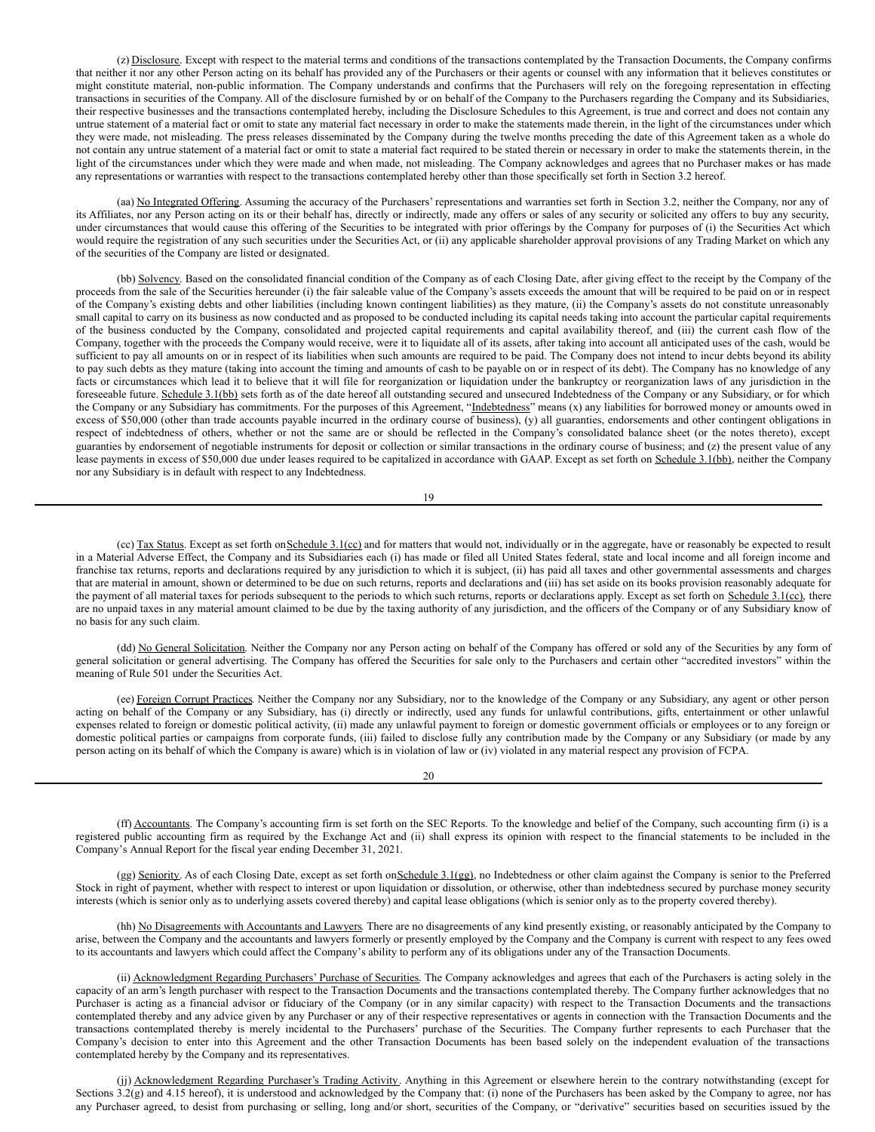<span id="page-17-0"></span>(z) Disclosure. Except with respect to the material terms and conditions of the transactions contemplated by the Transaction Documents, the Company confirms that neither it nor any other Person acting on its behalf has provided any of the Purchasers or their agents or counsel with any information that it believes constitutes or might constitute material, non-public information. The Company understands and confirms that the Purchasers will rely on the foregoing representation in effecting transactions in securities of the Company. All of the disclosure furnished by or on behalf of the Company to the Purchasers regarding the Company and its Subsidiaries, their respective businesses and the transactions contemplated hereby, including the Disclosure Schedules to this Agreement, is true and correct and does not contain any untrue statement of a material fact or omit to state any material fact necessary in order to make the statements made therein, in the light of the circumstances under which they were made, not misleading. The press releases disseminated by the Company during the twelve months preceding the date of this Agreement taken as a whole do not contain any untrue statement of a material fact or omit to state a material fact required to be stated therein or necessary in order to make the statements therein, in the light of the circumstances under which they were made and when made, not misleading. The Company acknowledges and agrees that no Purchaser makes or has made any representations or warranties with respect to the transactions contemplated hereby other than those specifically set forth in Section 3.2 hereof.

(aa) No Integrated Offering. Assuming the accuracy of the Purchasers' representations and warranties set forth in Section 3.2, neither the Company, nor any of its Affiliates, nor any Person acting on its or their behalf has, directly or indirectly, made any offers or sales of any security or solicited any offers to buy any security, under circumstances that would cause this offering of the Securities to be integrated with prior offerings by the Company for purposes of (i) the Securities Act which would require the registration of any such securities under the Securities Act, or (ii) any applicable shareholder approval provisions of any Trading Market on which any of the securities of the Company are listed or designated.

(bb) Solvency. Based on the consolidated financial condition of the Company as of each Closing Date, after giving effect to the receipt by the Company of the proceeds from the sale of the Securities hereunder (i) the fair saleable value of the Company's assets exceeds the amount that will be required to be paid on or in respect of the Company's existing debts and other liabilities (including known contingent liabilities) as they mature, (ii) the Company's assets do not constitute unreasonably small capital to carry on its business as now conducted and as proposed to be conducted including its capital needs taking into account the particular capital requirements of the business conducted by the Company, consolidated and projected capital requirements and capital availability thereof, and (iii) the current cash flow of the Company, together with the proceeds the Company would receive, were it to liquidate all of its assets, after taking into account all anticipated uses of the cash, would be sufficient to pay all amounts on or in respect of its liabilities when such amounts are required to be paid. The Company does not intend to incur debts beyond its ability to pay such debts as they mature (taking into account the timing and amounts of cash to be payable on or in respect of its debt). The Company has no knowledge of any facts or circumstances which lead it to believe that it will file for reorganization or liquidation under the bankruptcy or reorganization laws of any jurisdiction in the foreseeable future. Schedule 3.1(bb) sets forth as of the date hereof all outstanding secured and unsecured Indebtedness of the Company or any Subsidiary, or for which the Company or any Subsidiary has commitments. For the purposes of this Agreement, "Indebtedness" means (x) any liabilities for borrowed money or amounts owed in excess of \$50,000 (other than trade accounts payable incurred in the ordinary course of business), (y) all guaranties, endorsements and other contingent obligations in respect of indebtedness of others, whether or not the same are or should be reflected in the Company's consolidated balance sheet (or the notes thereto), except guaranties by endorsement of negotiable instruments for deposit or collection or similar transactions in the ordinary course of business; and (z) the present value of any lease payments in excess of \$50,000 due under leases required to be capitalized in accordance with GAAP. Except as set forth on Schedule 3.1(bb), neither the Company nor any Subsidiary is in default with respect to any Indebtedness.

19

(cc) Tax Status. Except as set forth on Schedule 3.1(cc) and for matters that would not, individually or in the aggregate, have or reasonably be expected to result in a Material Adverse Effect, the Company and its Subsidiaries each (i) has made or filed all United States federal, state and local income and all foreign income and franchise tax returns, reports and declarations required by any jurisdiction to which it is subject, (ii) has paid all taxes and other governmental assessments and charges that are material in amount, shown or determined to be due on such returns, reports and declarations and (iii) has set aside on its books provision reasonably adequate for the payment of all material taxes for periods subsequent to the periods to which such returns, reports or declarations apply. Except as set forth on Schedule 3.1(cc), there are no unpaid taxes in any material amount claimed to be due by the taxing authority of any jurisdiction, and the officers of the Company or of any Subsidiary know of no basis for any such claim.

(dd) No General Solicitation. Neither the Company nor any Person acting on behalf of the Company has offered or sold any of the Securities by any form of general solicitation or general advertising. The Company has offered the Securities for sale only to the Purchasers and certain other "accredited investors" within the meaning of Rule 501 under the Securities Act.

(ee) Foreign Corrupt Practices. Neither the Company nor any Subsidiary, nor to the knowledge of the Company or any Subsidiary, any agent or other person acting on behalf of the Company or any Subsidiary, has (i) directly or indirectly, used any funds for unlawful contributions, gifts, entertainment or other unlawful expenses related to foreign or domestic political activity, (ii) made any unlawful payment to foreign or domestic government officials or employees or to any foreign or domestic political parties or campaigns from corporate funds, (iii) failed to disclose fully any contribution made by the Company or any Subsidiary (or made by any person acting on its behalf of which the Company is aware) which is in violation of law or (iv) violated in any material respect any provision of FCPA.

20

(ff) Accountants. The Company's accounting firm is set forth on the SEC Reports. To the knowledge and belief of the Company, such accounting firm (i) is a registered public accounting firm as required by the Exchange Act and (ii) shall express its opinion with respect to the financial statements to be included in the Company's Annual Report for the fiscal year ending December 31, 2021.

(gg) Seniority. As of each Closing Date, except as set forth on Schedule 3.1(gg), no Indebtedness or other claim against the Company is senior to the Preferred Stock in right of payment, whether with respect to interest or upon liquidation or dissolution, or otherwise, other than indebtedness secured by purchase money security interests (which is senior only as to underlying assets covered thereby) and capital lease obligations (which is senior only as to the property covered thereby).

(hh) No Disagreements with Accountants and Lawyers. There are no disagreements of any kind presently existing, or reasonably anticipated by the Company to arise, between the Company and the accountants and lawyers formerly or presently employed by the Company and the Company is current with respect to any fees owed to its accountants and lawyers which could affect the Company's ability to perform any of its obligations under any of the Transaction Documents.

(ii) Acknowledgment Regarding Purchasers' Purchase of Securities. The Company acknowledges and agrees that each of the Purchasers is acting solely in the capacity of an arm's length purchaser with respect to the Transaction Documents and the transactions contemplated thereby. The Company further acknowledges that no Purchaser is acting as a financial advisor or fiduciary of the Company (or in any similar capacity) with respect to the Transaction Documents and the transactions contemplated thereby and any advice given by any Purchaser or any of their respective representatives or agents in connection with the Transaction Documents and the transactions contemplated thereby is merely incidental to the Purchasers' purchase of the Securities. The Company further represents to each Purchaser that the Company's decision to enter into this Agreement and the other Transaction Documents has been based solely on the independent evaluation of the transactions contemplated hereby by the Company and its representatives.

(jj) Acknowledgment Regarding Purchaser's Trading Activity. Anything in this Agreement or elsewhere herein to the contrary notwithstanding (except for Sections 3.2(g) and 4.15 hereof), it is understood and acknowledged by the Company that: (i) none of the Purchasers has been asked by the Company to agree, nor has any Purchaser agreed, to desist from purchasing or selling, long and/or short, securities of the Company, or "derivative" securities based on securities issued by the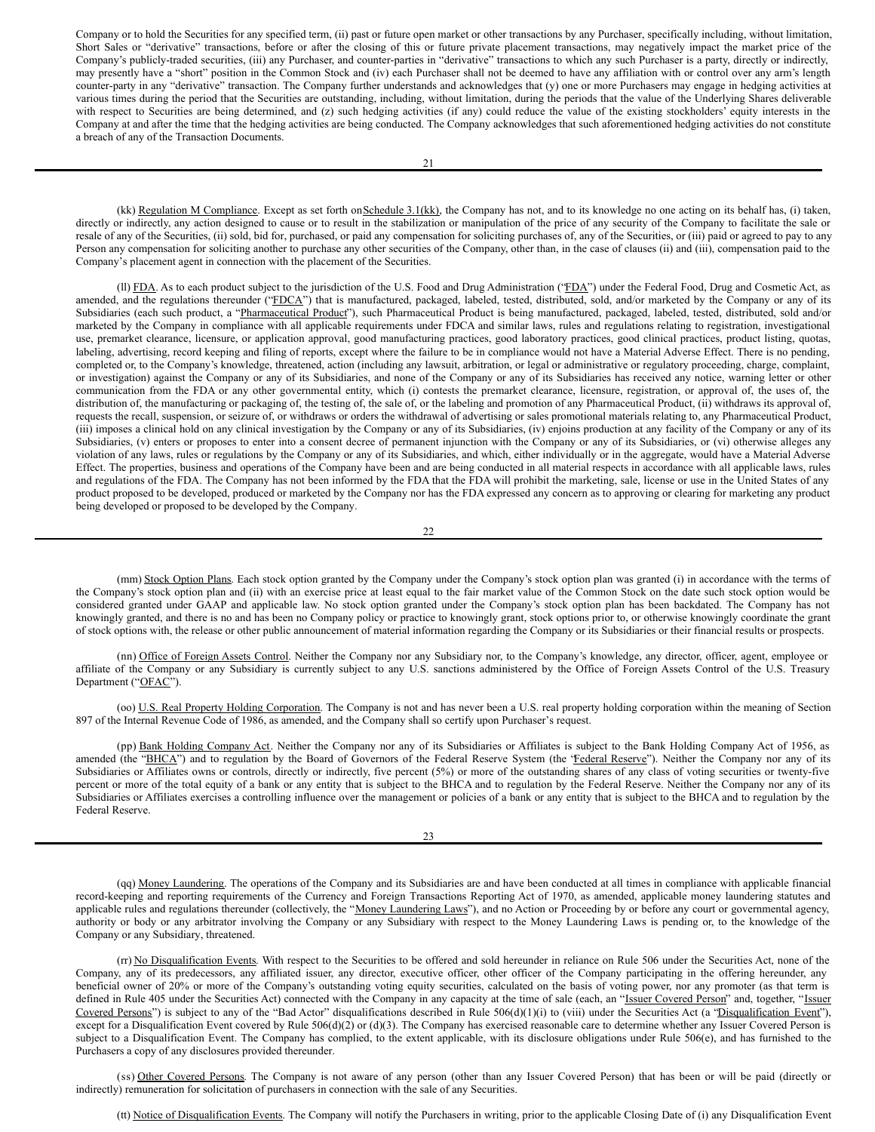Company or to hold the Securities for any specified term, (ii) past or future open market or other transactions by any Purchaser, specifically including, without limitation, Short Sales or "derivative" transactions, before or after the closing of this or future private placement transactions, may negatively impact the market price of the Company's publicly-traded securities, (iii) any Purchaser, and counter-parties in "derivative" transactions to which any such Purchaser is a party, directly or indirectly, may presently have a "short" position in the Common Stock and (iv) each Purchaser shall not be deemed to have any affiliation with or control over any arm's length counter-party in any "derivative" transaction. The Company further understands and acknowledges that (y) one or more Purchasers may engage in hedging activities at various times during the period that the Securities are outstanding, including, without limitation, during the periods that the value of the Underlying Shares deliverable with respect to Securities are being determined, and (z) such hedging activities (if any) could reduce the value of the existing stockholders' equity interests in the Company at and after the time that the hedging activities are being conducted. The Company acknowledges that such aforementioned hedging activities do not constitute a breach of any of the Transaction Documents.

(kk) Regulation M Compliance. Except as set forth on Schedule 3.1(kk), the Company has not, and to its knowledge no one acting on its behalf has, (i) taken, directly or indirectly, any action designed to cause or to result in the stabilization or manipulation of the price of any security of the Company to facilitate the sale or resale of any of the Securities, (ii) sold, bid for, purchased, or paid any compensation for soliciting purchases of, any of the Securities, or (iii) paid or agreed to pay to any Person any compensation for soliciting another to purchase any other securities of the Company, other than, in the case of clauses (ii) and (iii), compensation paid to the Company's placement agent in connection with the placement of the Securities.

(II) FDA. As to each product subject to the jurisdiction of the U.S. Food and Drug Administration ('FDA") under the Federal Food, Drug and Cosmetic Act, as amended, and the regulations thereunder ("FDCA") that is manufactured, packaged, labeled, tested, distributed, sold, and/or marketed by the Company or any of its Subsidiaries (each such product, a "Pharmaceutical Product"), such Pharmaceutical Product is being manufactured, packaged, labeled, tested, distributed, sold and/or marketed by the Company in compliance with all applicable requirements under FDCA and similar laws, rules and regulations relating to registration, investigational use, premarket clearance, licensure, or application approval, good manufacturing practices, good laboratory practices, good clinical practices, product listing, quotas, labeling, advertising, record keeping and filing of reports, except where the failure to be in compliance would not have a Material Adverse Effect. There is no pending, completed or, to the Company's knowledge, threatened, action (including any lawsuit, arbitration, or legal or administrative or regulatory proceeding, charge, complaint, or investigation) against the Company or any of its Subsidiaries, and none of the Company or any of its Subsidiaries has received any notice, warning letter or other communication from the FDA or any other governmental entity, which (i) contests the premarket clearance, licensure, registration, or approval of, the uses of, the distribution of, the manufacturing or packaging of, the testing of, the sale of, or the labeling and promotion of any Pharmaceutical Product, (ii) withdraws its approval of, requests the recall, suspension, or seizure of, or withdraws or orders the withdrawal of advertising or sales promotional materials relating to, any Pharmaceutical Product, (iii) imposes a clinical hold on any clinical investigation by the Company or any of its Subsidiaries, (iv) enjoins production at any facility of the Company or any of its Subsidiaries, (v) enters or proposes to enter into a consent decree of permanent injunction with the Company or any of its Subsidiaries, or (vi) otherwise alleges any violation of any laws, rules or regulations by the Company or any of its Subsidiaries, and which, either individually or in the aggregate, would have a Material Adverse Effect. The properties, business and operations of the Company have been and are being conducted in all material respects in accordance with all applicable laws, rules and regulations of the FDA. The Company has not been informed by the FDA that the FDA will prohibit the marketing, sale, license or use in the United States of any product proposed to be developed, produced or marketed by the Company nor has the FDA expressed any concern as to approving or clearing for marketing any product being developed or proposed to be developed by the Company.

22

(mm) Stock Option Plans. Each stock option granted by the Company under the Company's stock option plan was granted (i) in accordance with the terms of the Company's stock option plan and (ii) with an exercise price at least equal to the fair market value of the Common Stock on the date such stock option would be considered granted under GAAP and applicable law. No stock option granted under the Company's stock option plan has been backdated. The Company has not knowingly granted, and there is no and has been no Company policy or practice to knowingly grant, stock options prior to, or otherwise knowingly coordinate the grant of stock options with, the release or other public announcement of material information regarding the Company or its Subsidiaries or their financial results or prospects.

(nn) Office of Foreign Assets Control. Neither the Company nor any Subsidiary nor, to the Company's knowledge, any director, officer, agent, employee or affiliate of the Company or any Subsidiary is currently subject to any U.S. sanctions administered by the Office of Foreign Assets Control of the U.S. Treasury Department ("OFAC").

(oo) U.S. Real Property Holding Corporation. The Company is not and has never been a U.S. real property holding corporation within the meaning of Section 897 of the Internal Revenue Code of 1986, as amended, and the Company shall so certify upon Purchaser's request.

(pp) Bank Holding Company Act. Neither the Company nor any of its Subsidiaries or Affiliates is subject to the Bank Holding Company Act of 1956, as amended (the "BHCA") and to regulation by the Board of Governors of the Federal Reserve System (the 'Federal Reserve''). Neither the Company nor any of its Subsidiaries or Affiliates owns or controls, directly or indirectly, five percent (5%) or more of the outstanding shares of any class of voting securities or twenty-five percent or more of the total equity of a bank or any entity that is subject to the BHCA and to regulation by the Federal Reserve. Neither the Company nor any of its Subsidiaries or Affiliates exercises a controlling influence over the management or policies of a bank or any entity that is subject to the BHCA and to regulation by the Federal Reserve.

23

(qq) Money Laundering. The operations of the Company and its Subsidiaries are and have been conducted at all times in compliance with applicable financial record-keeping and reporting requirements of the Currency and Foreign Transactions Reporting Act of 1970, as amended, applicable money laundering statutes and applicable rules and regulations thereunder (collectively, the "Money Laundering Laws"), and no Action or Proceeding by or before any court or governmental agency, authority or body or any arbitrator involving the Company or any Subsidiary with respect to the Money Laundering Laws is pending or, to the knowledge of the Company or any Subsidiary, threatened.

(rr) No Disqualification Events. With respect to the Securities to be offered and sold hereunder in reliance on Rule 506 under the Securities Act, none of the Company, any of its predecessors, any affiliated issuer, any director, executive officer, other officer of the Company participating in the offering hereunder, any beneficial owner of 20% or more of the Company's outstanding voting equity securities, calculated on the basis of voting power, nor any promoter (as that term is defined in Rule 405 under the Securities Act) connected with the Company in any capacity at the time of sale (each, an "Issuer Covered Person" and, together, "Issuer Covered Persons") is subject to any of the "Bad Actor" disqualifications described in Rule 506(d)(1)(i) to (viii) under the Securities Act (a "Disqualification Event"), except for a Disqualification Event covered by Rule 506(d)(2) or (d)(3). The Company has exercised reasonable care to determine whether any Issuer Covered Person is subject to a Disqualification Event. The Company has complied, to the extent applicable, with its disclosure obligations under Rule 506(e), and has furnished to the Purchasers a copy of any disclosures provided thereunder.

(ss) Other Covered Persons. The Company is not aware of any person (other than any Issuer Covered Person) that has been or will be paid (directly or indirectly) remuneration for solicitation of purchasers in connection with the sale of any Securities.

(tt) Notice of Disqualification Events. The Company will notify the Purchasers in writing, prior to the applicable Closing Date of (i) any Disqualification Event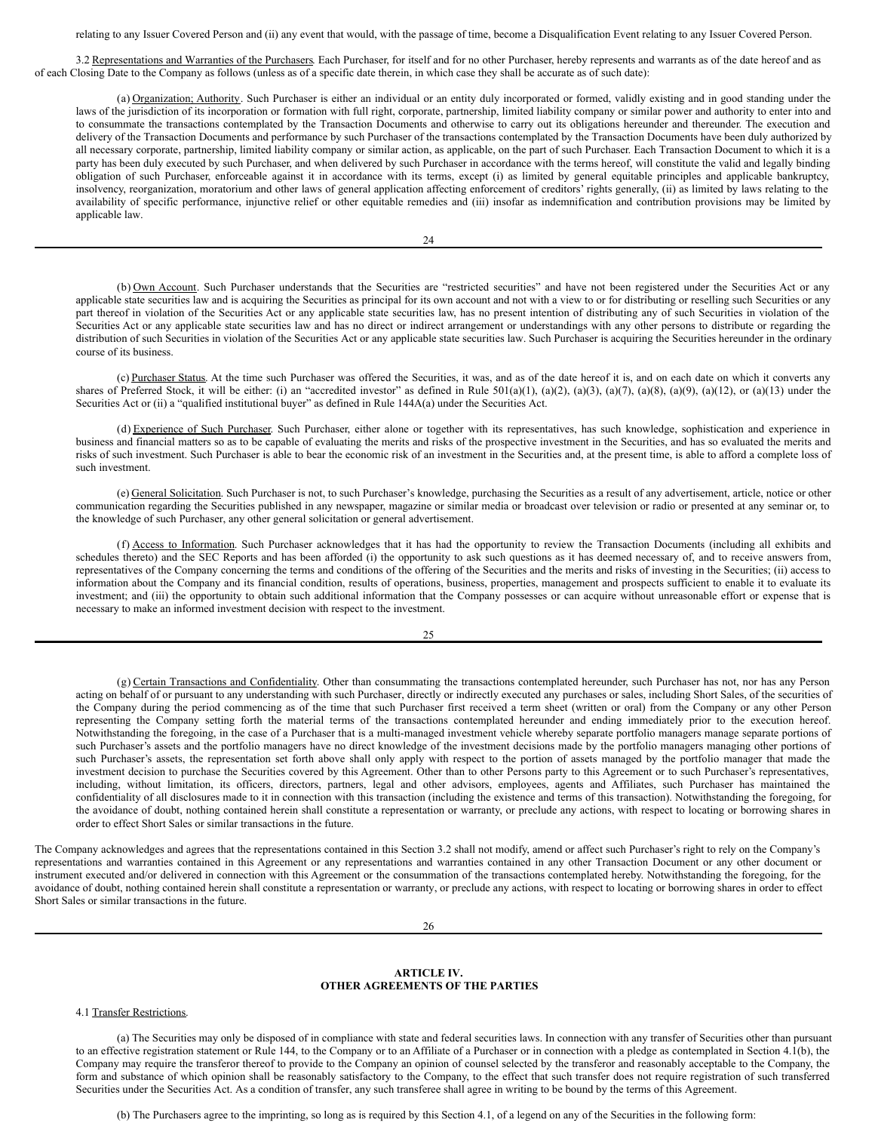relating to any Issuer Covered Person and (ii) any event that would, with the passage of time, become a Disqualification Event relating to any Issuer Covered Person.

3.2 Representations and Warranties of the Purchasers. Each Purchaser, for itself and for no other Purchaser, hereby represents and warrants as of the date hereof and as of each Closing Date to the Company as follows (unless as of a specific date therein, in which case they shall be accurate as of such date):

(a) Organization; Authority. Such Purchaser is either an individual or an entity duly incorporated or formed, validly existing and in good standing under the laws of the jurisdiction of its incorporation or formation with full right, corporate, partnership, limited liability company or similar power and authority to enter into and to consummate the transactions contemplated by the Transaction Documents and otherwise to carry out its obligations hereunder and thereunder. The execution and delivery of the Transaction Documents and performance by such Purchaser of the transactions contemplated by the Transaction Documents have been duly authorized by all necessary corporate, partnership, limited liability company or similar action, as applicable, on the part of such Purchaser. Each Transaction Document to which it is a party has been duly executed by such Purchaser, and when delivered by such Purchaser in accordance with the terms hereof, will constitute the valid and legally binding obligation of such Purchaser, enforceable against it in accordance with its terms, except (i) as limited by general equitable principles and applicable bankruptcy, insolvency, reorganization, moratorium and other laws of general application affecting enforcement of creditors' rights generally, (ii) as limited by laws relating to the availability of specific performance, injunctive relief or other equitable remedies and (iii) insofar as indemnification and contribution provisions may be limited by applicable law.

24

(b) Own Account. Such Purchaser understands that the Securities are "restricted securities" and have not been registered under the Securities Act or any applicable state securities law and is acquiring the Securities as principal for its own account and not with a view to or for distributing or reselling such Securities or any part thereof in violation of the Securities Act or any applicable state securities law, has no present intention of distributing any of such Securities in violation of the Securities Act or any applicable state securities law and has no direct or indirect arrangement or understandings with any other persons to distribute or regarding the distribution of such Securities in violation of the Securities Act or any applicable state securities law. Such Purchaser is acquiring the Securities hereunder in the ordinary course of its business.

(c) Purchaser Status. At the time such Purchaser was offered the Securities, it was, and as of the date hereof it is, and on each date on which it converts any shares of Preferred Stock, it will be either: (i) an "accredited investor" as defined in Rule 501(a)(1), (a)(2), (a)(3), (a)(3), (a)(8), (a)(8), (a)(9), (a)(12), or (a)(13) under the Securities Act or (ii) a "qualified institutional buyer" as defined in Rule 144A(a) under the Securities Act.

(d) Experience of Such Purchaser. Such Purchaser, either alone or together with its representatives, has such knowledge, sophistication and experience in business and financial matters so as to be capable of evaluating the merits and risks of the prospective investment in the Securities, and has so evaluated the merits and risks of such investment. Such Purchaser is able to bear the economic risk of an investment in the Securities and, at the present time, is able to afford a complete loss of such investment.

(e) General Solicitation. Such Purchaser is not, to such Purchaser's knowledge, purchasing the Securities as a result of any advertisement, article, notice or other communication regarding the Securities published in any newspaper, magazine or similar media or broadcast over television or radio or presented at any seminar or, to the knowledge of such Purchaser, any other general solicitation or general advertisement.

(f) Access to Information. Such Purchaser acknowledges that it has had the opportunity to review the Transaction Documents (including all exhibits and schedules thereto) and the SEC Reports and has been afforded (i) the opportunity to ask such questions as it has deemed necessary of, and to receive answers from, representatives of the Company concerning the terms and conditions of the offering of the Securities and the merits and risks of investing in the Securities; (ii) access to information about the Company and its financial condition, results of operations, business, properties, management and prospects sufficient to enable it to evaluate its investment; and (iii) the opportunity to obtain such additional information that the Company possesses or can acquire without unreasonable effort or expense that is necessary to make an informed investment decision with respect to the investment.

 $25$ 

(g) Certain Transactions and Confidentiality. Other than consummating the transactions contemplated hereunder, such Purchaser has not, nor has any Person acting on behalf of or pursuant to any understanding with such Purchaser, directly or indirectly executed any purchases or sales, including Short Sales, of the securities of the Company during the period commencing as of the time that such Purchaser first received a term sheet (written or oral) from the Company or any other Person representing the Company setting forth the material terms of the transactions contemplated hereunder and ending immediately prior to the execution hereof. Notwithstanding the foregoing, in the case of a Purchaser that is a multi-managed investment vehicle whereby separate portfolio managers manage separate portions of such Purchaser's assets and the portfolio managers have no direct knowledge of the investment decisions made by the portfolio managers managing other portions of such Purchaser's assets, the representation set forth above shall only apply with respect to the portion of assets managed by the portfolio manager that made the investment decision to purchase the Securities covered by this Agreement. Other than to other Persons party to this Agreement or to such Purchaser's representatives, including, without limitation, its officers, directors, partners, legal and other advisors, employees, agents and Affiliates, such Purchaser has maintained the confidentiality of all disclosures made to it in connection with this transaction (including the existence and terms of this transaction). Notwithstanding the foregoing, for the avoidance of doubt, nothing contained herein shall constitute a representation or warranty, or preclude any actions, with respect to locating or borrowing shares in order to effect Short Sales or similar transactions in the future.

The Company acknowledges and agrees that the representations contained in this Section 3.2 shall not modify, amend or affect such Purchaser's right to rely on the Company's representations and warranties contained in this Agreement or any representations and warranties contained in any other Transaction Document or any other document or instrument executed and/or delivered in connection with this Agreement or the consummation of the transactions contemplated hereby. Notwithstanding the foregoing, for the avoidance of doubt, nothing contained herein shall constitute a representation or warranty, or preclude any actions, with respect to locating or borrowing shares in order to effect Short Sales or similar transactions in the future.

## **ARTICLE IV. OTHER AGREEMENTS OF THE PARTIES**

## 4.1 Transfer Restrictions.

(a) The Securities may only be disposed of in compliance with state and federal securities laws. In connection with any transfer of Securities other than pursuant to an effective registration statement or Rule 144, to the Company or to an Affiliate of a Purchaser or in connection with a pledge as contemplated in Section 4.1(b), the Company may require the transferor thereof to provide to the Company an opinion of counsel selected by the transferor and reasonably acceptable to the Company, the form and substance of which opinion shall be reasonably satisfactory to the Company, to the effect that such transfer does not require registration of such transferred Securities under the Securities Act. As a condition of transfer, any such transferee shall agree in writing to be bound by the terms of this Agreement.

(b) The Purchasers agree to the imprinting, so long as is required by this Section 4.1, of a legend on any of the Securities in the following form: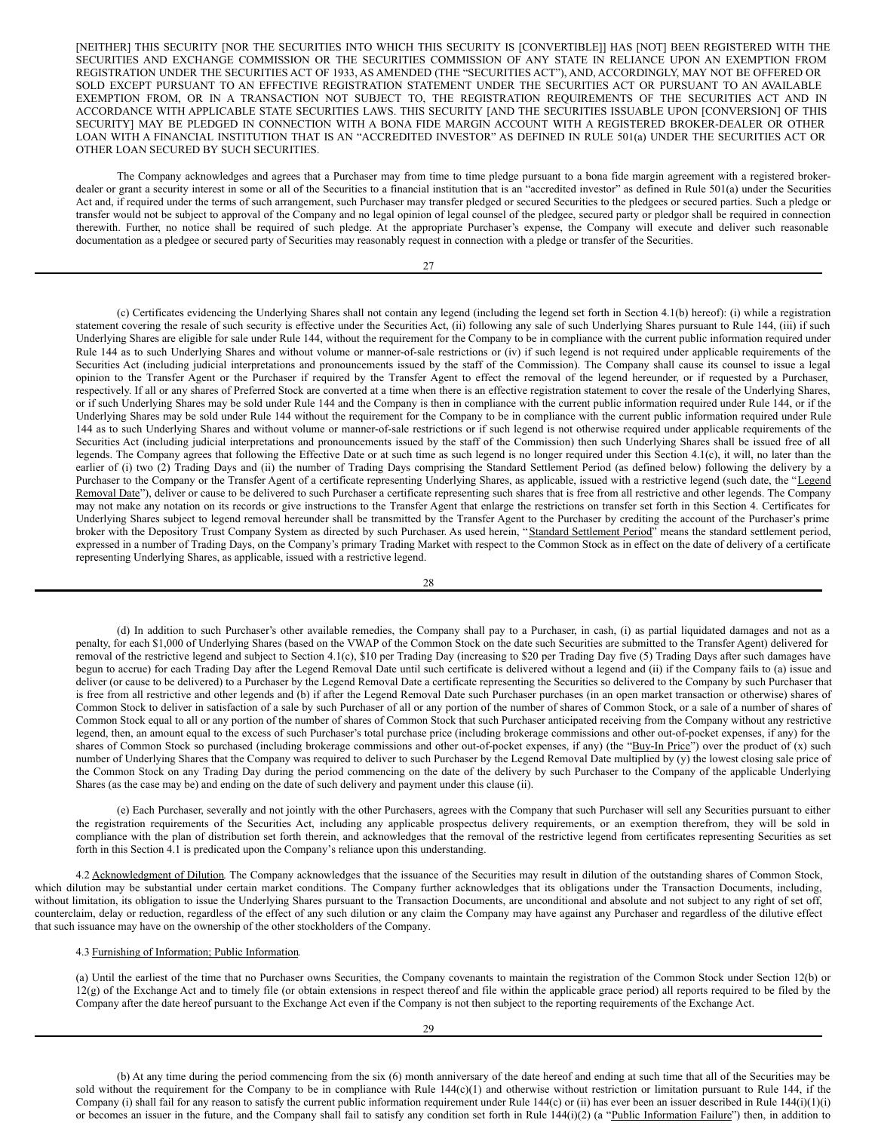[NEITHER] THIS SECURITY [NOR THE SECURITIES INTO WHICH THIS SECURITY IS [CONVERTIBLE]] HAS [NOT] BEEN REGISTERED WITH THE SECURITIES AND EXCHANGE COMMISSION OR THE SECURITIES COMMISSION OF ANY STATE IN RELIANCE UPON AN EXEMPTION FROM REGISTRATION UNDER THE SECURITIES ACT OF 1933, AS AMENDED (THE "SECURITIES ACT"), AND, ACCORDINGLY, MAY NOT BE OFFERED OR SOLD EXCEPT PURSUANT TO AN EFFECTIVE REGISTRATION STATEMENT UNDER THE SECURITIES ACT OR PURSUANT TO AN AVAILABLE EXEMPTION FROM, OR IN A TRANSACTION NOT SUBJECT TO, THE REGISTRATION REQUIREMENTS OF THE SECURITIES ACT AND IN ACCORDANCE WITH APPLICABLE STATE SECURITIES LAWS. THIS SECURITY [AND THE SECURITIES ISSUABLE UPON [CONVERSION] OF THIS SECURITY] MAY BE PLEDGED IN CONNECTION WITH A BONA FIDE MARGIN ACCOUNT WITH A REGISTERED BROKER-DEALER OR OTHER LOAN WITH A FINANCIAL INSTITUTION THAT IS AN "ACCREDITED INVESTOR" AS DEFINED IN RULE 501(a) UNDER THE SECURITIES ACT OR OTHER LOAN SECURED BY SUCH SECURITIES.

The Company acknowledges and agrees that a Purchaser may from time to time pledge pursuant to a bona fide margin agreement with a registered brokerdealer or grant a security interest in some or all of the Securities to a financial institution that is an "accredited investor" as defined in Rule 501(a) under the Securities Act and, if required under the terms of such arrangement, such Purchaser may transfer pledged or secured Securities to the pledgees or secured parties. Such a pledge or transfer would not be subject to approval of the Company and no legal opinion of legal counsel of the pledgee, secured party or pledgor shall be required in connection therewith. Further, no notice shall be required of such pledge. At the appropriate Purchaser's expense, the Company will execute and deliver such reasonable documentation as a pledgee or secured party of Securities may reasonably request in connection with a pledge or transfer of the Securities.

27

(c) Certificates evidencing the Underlying Shares shall not contain any legend (including the legend set forth in Section 4.1(b) hereof): (i) while a registration statement covering the resale of such security is effective under the Securities Act, (ii) following any sale of such Underlying Shares pursuant to Rule 144, (iii) if such Underlying Shares are eligible for sale under Rule 144, without the requirement for the Company to be in compliance with the current public information required under Rule 144 as to such Underlying Shares and without volume or manner-of-sale restrictions or (iv) if such legend is not required under applicable requirements of the Securities Act (including judicial interpretations and pronouncements issued by the staff of the Commission). The Company shall cause its counsel to issue a legal opinion to the Transfer Agent or the Purchaser if required by the Transfer Agent to effect the removal of the legend hereunder, or if requested by a Purchaser, respectively. If all or any shares of Preferred Stock are converted at a time when there is an effective registration statement to cover the resale of the Underlying Shares, or if such Underlying Shares may be sold under Rule 144 and the Company is then in compliance with the current public information required under Rule 144, or if the Underlying Shares may be sold under Rule 144 without the requirement for the Company to be in compliance with the current public information required under Rule 144 as to such Underlying Shares and without volume or manner-of-sale restrictions or if such legend is not otherwise required under applicable requirements of the Securities Act (including judicial interpretations and pronouncements issued by the staff of the Commission) then such Underlying Shares shall be issued free of all legends. The Company agrees that following the Effective Date or at such time as such legend is no longer required under this Section 4.1(c), it will, no later than the earlier of (i) two (2) Trading Days and (ii) the number of Trading Days comprising the Standard Settlement Period (as defined below) following the delivery by a Purchaser to the Company or the Transfer Agent of a certificate representing Underlying Shares, as applicable, issued with a restrictive legend (such date, the "Legend Removal Date"), deliver or cause to be delivered to such Purchaser a certificate representing such shares that is free from all restrictive and other legends. The Company may not make any notation on its records or give instructions to the Transfer Agent that enlarge the restrictions on transfer set forth in this Section 4. Certificates for Underlying Shares subject to legend removal hereunder shall be transmitted by the Transfer Agent to the Purchaser by crediting the account of the Purchaser's prime broker with the Depository Trust Company System as directed by such Purchaser. As used herein, "Standard Settlement Period" means the standard settlement period, expressed in a number of Trading Days, on the Company's primary Trading Market with respect to the Common Stock as in effect on the date of delivery of a certificate representing Underlying Shares, as applicable, issued with a restrictive legend.

#### 28

(d) In addition to such Purchaser's other available remedies, the Company shall pay to a Purchaser, in cash, (i) as partial liquidated damages and not as a penalty, for each \$1,000 of Underlying Shares (based on the VWAP of the Common Stock on the date such Securities are submitted to the Transfer Agent) delivered for removal of the restrictive legend and subject to Section 4.1(c), \$10 per Trading Day (increasing to \$20 per Trading Day five (5) Trading Days after such damages have begun to accrue) for each Trading Day after the Legend Removal Date until such certificate is delivered without a legend and (ii) if the Company fails to (a) issue and deliver (or cause to be delivered) to a Purchaser by the Legend Removal Date a certificate representing the Securities so delivered to the Company by such Purchaser that is free from all restrictive and other legends and (b) if after the Legend Removal Date such Purchaser purchases (in an open market transaction or otherwise) shares of Common Stock to deliver in satisfaction of a sale by such Purchaser of all or any portion of the number of shares of Common Stock, or a sale of a number of shares of Common Stock equal to all or any portion of the number of shares of Common Stock that such Purchaser anticipated receiving from the Company without any restrictive legend, then, an amount equal to the excess of such Purchaser's total purchase price (including brokerage commissions and other out-of-pocket expenses, if any) for the shares of Common Stock so purchased (including brokerage commissions and other out-of-pocket expenses, if any) (the "Buy-In Price") over the product of (x) such number of Underlying Shares that the Company was required to deliver to such Purchaser by the Legend Removal Date multiplied by (y) the lowest closing sale price of the Common Stock on any Trading Day during the period commencing on the date of the delivery by such Purchaser to the Company of the applicable Underlying Shares (as the case may be) and ending on the date of such delivery and payment under this clause (ii).

(e) Each Purchaser, severally and not jointly with the other Purchasers, agrees with the Company that such Purchaser will sell any Securities pursuant to either the registration requirements of the Securities Act, including any applicable prospectus delivery requirements, or an exemption therefrom, they will be sold in compliance with the plan of distribution set forth therein, and acknowledges that the removal of the restrictive legend from certificates representing Securities as set forth in this Section 4.1 is predicated upon the Company's reliance upon this understanding.

4.2 Acknowledgment of Dilution. The Company acknowledges that the issuance of the Securities may result in dilution of the outstanding shares of Common Stock, which dilution may be substantial under certain market conditions. The Company further acknowledges that its obligations under the Transaction Documents, including, without limitation, its obligation to issue the Underlying Shares pursuant to the Transaction Documents, are unconditional and absolute and not subject to any right of set off, counterclaim, delay or reduction, regardless of the effect of any such dilution or any claim the Company may have against any Purchaser and regardless of the dilutive effect that such issuance may have on the ownership of the other stockholders of the Company.

## 4.3 Furnishing of Information; Public Information.

(a) Until the earliest of the time that no Purchaser owns Securities, the Company covenants to maintain the registration of the Common Stock under Section 12(b) or 12(g) of the Exchange Act and to timely file (or obtain extensions in respect thereof and file within the applicable grace period) all reports required to be filed by the Company after the date hereof pursuant to the Exchange Act even if the Company is not then subject to the reporting requirements of the Exchange Act.

(b) At any time during the period commencing from the six (6) month anniversary of the date hereof and ending at such time that all of the Securities may be sold without the requirement for the Company to be in compliance with Rule 144(c)(1) and otherwise without restriction or limitation pursuant to Rule 144, if the Company (i) shall fail for any reason to satisfy the current public information requirement under Rule 144(c) or (ii) has ever been an issuer described in Rule 144(i)(1)(i) or becomes an issuer in the future, and the Company shall fail to satisfy any condition set forth in Rule 144(i)(2) (a "Public Information Failure") then, in addition to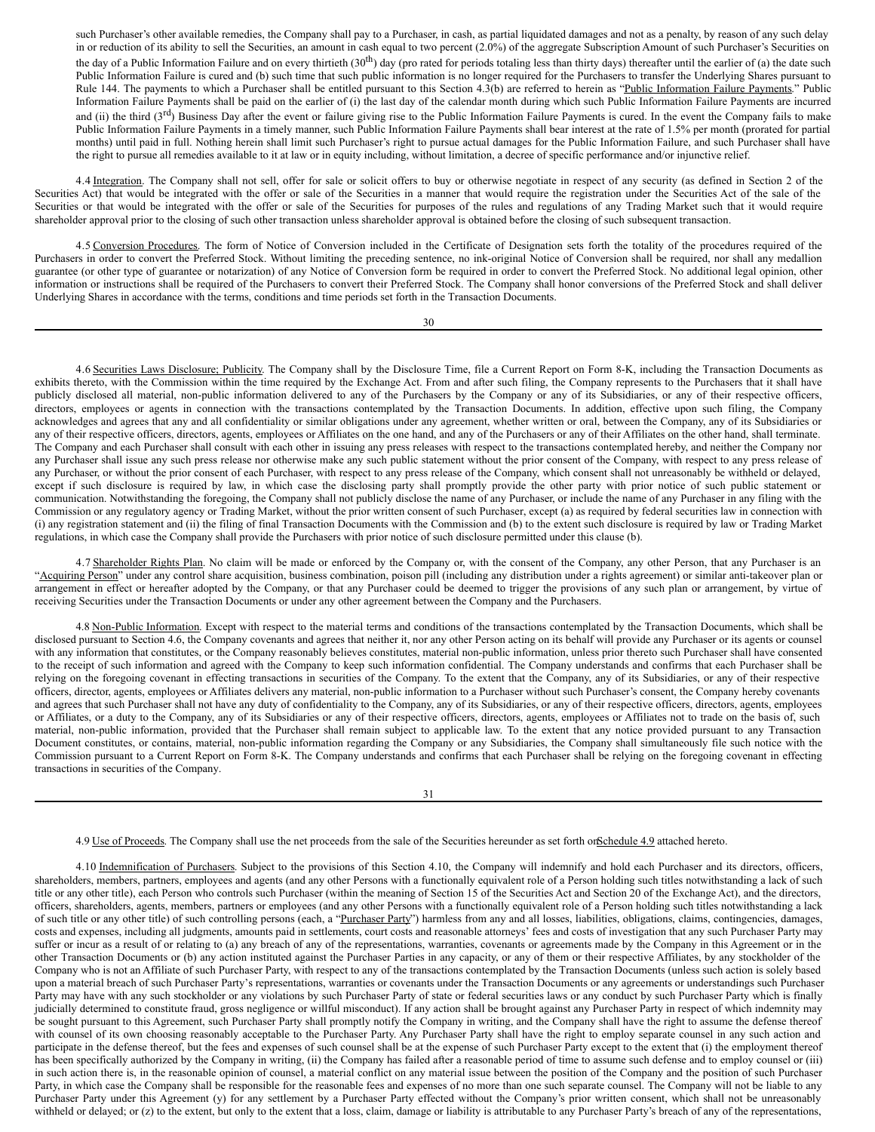such Purchaser's other available remedies, the Company shall pay to a Purchaser, in cash, as partial liquidated damages and not as a penalty, by reason of any such delay in or reduction of its ability to sell the Securities, an amount in cash equal to two percent (2.0%) of the aggregate Subscription Amount of such Purchaser's Securities on the day of a Public Information Failure and on every thirtieth  $(30<sup>th</sup>)$  day (pro rated for periods totaling less than thirty days) thereafter until the earlier of (a) the date such Public Information Failure is cured and (b) such time that such public information is no longer required for the Purchasers to transfer the Underlying Shares pursuant to Rule 144. The payments to which a Purchaser shall be entitled pursuant to this Section 4.3(b) are referred to herein as "Public Information Failure Payments." Public Information Failure Payments shall be paid on the earlier of (i) the last day of the calendar month during which such Public Information Failure Payments are incurred and (ii) the third ( $3<sup>rd</sup>$ ) Business Day after the event or failure giving rise to the Public Information Failure Payments is cured. In the event the Company fails to make Public Information Failure Payments in a timely manner, such Public Information Failure Payments shall bear interest at the rate of 1.5% per month (prorated for partial months) until paid in full. Nothing herein shall limit such Purchaser's right to pursue actual damages for the Public Information Failure, and such Purchaser shall have the right to pursue all remedies available to it at law or in equity including, without limitation, a decree of specific performance and/or injunctive relief.

4.4 Integration. The Company shall not sell, offer for sale or solicit offers to buy or otherwise negotiate in respect of any security (as defined in Section 2 of the Securities Act) that would be integrated with the offer or sale of the Securities in a manner that would require the registration under the Securities Act of the sale of the Securities or that would be integrated with the offer or sale of the Securities for purposes of the rules and regulations of any Trading Market such that it would require shareholder approval prior to the closing of such other transaction unless shareholder approval is obtained before the closing of such subsequent transaction.

4.5 Conversion Procedures. The form of Notice of Conversion included in the Certificate of Designation sets forth the totality of the procedures required of the Purchasers in order to convert the Preferred Stock. Without limiting the preceding sentence, no ink-original Notice of Conversion shall be required, nor shall any medallion guarantee (or other type of guarantee or notarization) of any Notice of Conversion form be required in order to convert the Preferred Stock. No additional legal opinion, other information or instructions shall be required of the Purchasers to convert their Preferred Stock. The Company shall honor conversions of the Preferred Stock and shall deliver Underlying Shares in accordance with the terms, conditions and time periods set forth in the Transaction Documents.

30

4.6 Securities Laws Disclosure; Publicity. The Company shall by the Disclosure Time, file a Current Report on Form 8-K, including the Transaction Documents as exhibits thereto, with the Commission within the time required by the Exchange Act. From and after such filing, the Company represents to the Purchasers that it shall have publicly disclosed all material, non-public information delivered to any of the Purchasers by the Company or any of its Subsidiaries, or any of their respective officers, directors, employees or agents in connection with the transactions contemplated by the Transaction Documents. In addition, effective upon such filing, the Company acknowledges and agrees that any and all confidentiality or similar obligations under any agreement, whether written or oral, between the Company, any of its Subsidiaries or any of their respective officers, directors, agents, employees or Affiliates on the one hand, and any of the Purchasers or any of their Affiliates on the other hand, shall terminate. The Company and each Purchaser shall consult with each other in issuing any press releases with respect to the transactions contemplated hereby, and neither the Company nor any Purchaser shall issue any such press release nor otherwise make any such public statement without the prior consent of the Company, with respect to any press release of any Purchaser, or without the prior consent of each Purchaser, with respect to any press release of the Company, which consent shall not unreasonably be withheld or delayed, except if such disclosure is required by law, in which case the disclosing party shall promptly provide the other party with prior notice of such public statement or communication. Notwithstanding the foregoing, the Company shall not publicly disclose the name of any Purchaser, or include the name of any Purchaser in any filing with the Commission or any regulatory agency or Trading Market, without the prior written consent of such Purchaser, except (a) as required by federal securities law in connection with (i) any registration statement and (ii) the filing of final Transaction Documents with the Commission and (b) to the extent such disclosure is required by law or Trading Market regulations, in which case the Company shall provide the Purchasers with prior notice of such disclosure permitted under this clause (b).

4.7 Shareholder Rights Plan. No claim will be made or enforced by the Company or, with the consent of the Company, any other Person, that any Purchaser is an "Acquiring Person" under any control share acquisition, business combination, poison pill (including any distribution under a rights agreement) or similar anti-takeover plan or arrangement in effect or hereafter adopted by the Company, or that any Purchaser could be deemed to trigger the provisions of any such plan or arrangement, by virtue of receiving Securities under the Transaction Documents or under any other agreement between the Company and the Purchasers.

4.8 Non-Public Information. Except with respect to the material terms and conditions of the transactions contemplated by the Transaction Documents, which shall be disclosed pursuant to Section 4.6, the Company covenants and agrees that neither it, nor any other Person acting on its behalf will provide any Purchaser or its agents or counsel with any information that constitutes, or the Company reasonably believes constitutes, material non-public information, unless prior thereto such Purchaser shall have consented to the receipt of such information and agreed with the Company to keep such information confidential. The Company understands and confirms that each Purchaser shall be relying on the foregoing covenant in effecting transactions in securities of the Company. To the extent that the Company, any of its Subsidiaries, or any of their respective officers, director, agents, employees or Affiliates delivers any material, non-public information to a Purchaser without such Purchaser's consent, the Company hereby covenants and agrees that such Purchaser shall not have any duty of confidentiality to the Company, any of its Subsidiaries, or any of their respective officers, directors, agents, employees or Affiliates, or a duty to the Company, any of its Subsidiaries or any of their respective officers, directors, agents, employees or Affiliates not to trade on the basis of, such material, non-public information, provided that the Purchaser shall remain subject to applicable law. To the extent that any notice provided pursuant to any Transaction Document constitutes, or contains, material, non-public information regarding the Company or any Subsidiaries, the Company shall simultaneously file such notice with the Commission pursuant to a Current Report on Form 8-K. The Company understands and confirms that each Purchaser shall be relying on the foregoing covenant in effecting transactions in securities of the Company.

4.9 Use of Proceeds. The Company shall use the net proceeds from the sale of the Securities hereunder as set forth on Schedule 4.9 attached hereto.

4.10 Indemnification of Purchasers. Subject to the provisions of this Section 4.10, the Company will indemnify and hold each Purchaser and its directors, officers, shareholders, members, partners, employees and agents (and any other Persons with a functionally equivalent role of a Person holding such titles notwithstanding a lack of such title or any other title), each Person who controls such Purchaser (within the meaning of Section 15 of the Securities Act and Section 20 of the Exchange Act), and the directors, officers, shareholders, agents, members, partners or employees (and any other Persons with a functionally equivalent role of a Person holding such titles notwithstanding a lack of such title or any other title) of such controlling persons (each, a "Purchaser Party") harmless from any and all losses, liabilities, obligations, claims, contingencies, damages, costs and expenses, including all judgments, amounts paid in settlements, court costs and reasonable attorneys' fees and costs of investigation that any such Purchaser Party may suffer or incur as a result of or relating to (a) any breach of any of the representations, warranties, covenants or agreements made by the Company in this Agreement or in the other Transaction Documents or (b) any action instituted against the Purchaser Parties in any capacity, or any of them or their respective Affiliates, by any stockholder of the Company who is not an Affiliate of such Purchaser Party, with respect to any of the transactions contemplated by the Transaction Documents (unless such action is solely based upon a material breach of such Purchaser Party's representations, warranties or covenants under the Transaction Documents or any agreements or understandings such Purchaser Party may have with any such stockholder or any violations by such Purchaser Party of state or federal securities laws or any conduct by such Purchaser Party which is finally judicially determined to constitute fraud, gross negligence or willful misconduct). If any action shall be brought against any Purchaser Party in respect of which indemnity may be sought pursuant to this Agreement, such Purchaser Party shall promptly notify the Company in writing, and the Company shall have the right to assume the defense thereof with counsel of its own choosing reasonably acceptable to the Purchaser Party. Any Purchaser Party shall have the right to employ separate counsel in any such action and participate in the defense thereof, but the fees and expenses of such counsel shall be at the expense of such Purchaser Party except to the extent that (i) the employment thereof has been specifically authorized by the Company in writing, (ii) the Company has failed after a reasonable period of time to assume such defense and to employ counsel or (iii) in such action there is, in the reasonable opinion of counsel, a material conflict on any material issue between the position of the Company and the position of such Purchaser Party, in which case the Company shall be responsible for the reasonable fees and expenses of no more than one such separate counsel. The Company will not be liable to any Purchaser Party under this Agreement (y) for any settlement by a Purchaser Party effected without the Company's prior written consent, which shall not be unreasonably withheld or delayed; or (z) to the extent, but only to the extent that a loss, claim, damage or liability is attributable to any Purchaser Party's breach of any of the representations,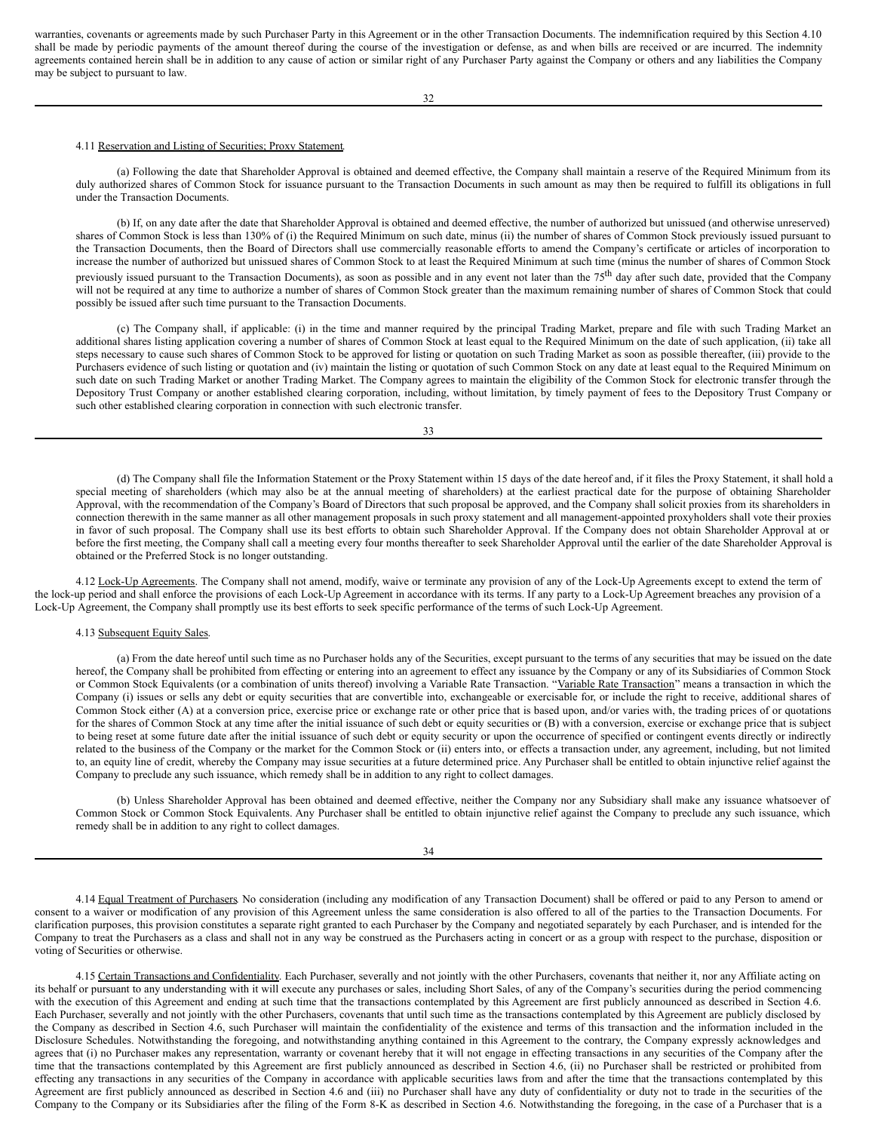warranties, covenants or agreements made by such Purchaser Party in this Agreement or in the other Transaction Documents. The indemnification required by this Section 4.10 shall be made by periodic payments of the amount thereof during the course of the investigation or defense, as and when bills are received or are incurred. The indemnity agreements contained herein shall be in addition to any cause of action or similar right of any Purchaser Party against the Company or others and any liabilities the Company may be subject to pursuant to law.

32

## 4.11 Reservation and Listing of Securities; Proxy Statement.

(a) Following the date that Shareholder Approval is obtained and deemed effective, the Company shall maintain a reserve of the Required Minimum from its duly authorized shares of Common Stock for issuance pursuant to the Transaction Documents in such amount as may then be required to fulfill its obligations in full under the Transaction Documents.

(b) If, on any date after the date that Shareholder Approval is obtained and deemed effective, the number of authorized but unissued (and otherwise unreserved) shares of Common Stock is less than 130% of (i) the Required Minimum on such date, minus (ii) the number of shares of Common Stock previously issued pursuant to the Transaction Documents, then the Board of Directors shall use commercially reasonable efforts to amend the Company's certificate or articles of incorporation to increase the number of authorized but unissued shares of Common Stock to at least the Required Minimum at such time (minus the number of shares of Common Stock previously issued pursuant to the Transaction Documents), as soon as possible and in any event not later than the 75<sup>th</sup> day after such date, provided that the Company will not be required at any time to authorize a number of shares of Common Stock greater than the maximum remaining number of shares of Common Stock that could possibly be issued after such time pursuant to the Transaction Documents.

(c) The Company shall, if applicable: (i) in the time and manner required by the principal Trading Market, prepare and file with such Trading Market an additional shares listing application covering a number of shares of Common Stock at least equal to the Required Minimum on the date of such application, (ii) take all steps necessary to cause such shares of Common Stock to be approved for listing or quotation on such Trading Market as soon as possible thereafter, (iii) provide to the Purchasers evidence of such listing or quotation and (iv) maintain the listing or quotation of such Common Stock on any date at least equal to the Required Minimum on such date on such Trading Market or another Trading Market. The Company agrees to maintain the eligibility of the Common Stock for electronic transfer through the Depository Trust Company or another established clearing corporation, including, without limitation, by timely payment of fees to the Depository Trust Company or such other established clearing corporation in connection with such electronic transfer.

33

(d) The Company shall file the Information Statement or the Proxy Statement within 15 days of the date hereof and, if it files the Proxy Statement, it shall hold a special meeting of shareholders (which may also be at the annual meeting of shareholders) at the earliest practical date for the purpose of obtaining Shareholder Approval, with the recommendation of the Company's Board of Directors that such proposal be approved, and the Company shall solicit proxies from its shareholders in connection therewith in the same manner as all other management proposals in such proxy statement and all management-appointed proxyholders shall vote their proxies in favor of such proposal. The Company shall use its best efforts to obtain such Shareholder Approval. If the Company does not obtain Shareholder Approval at or before the first meeting, the Company shall call a meeting every four months thereafter to seek Shareholder Approval until the earlier of the date Shareholder Approval is obtained or the Preferred Stock is no longer outstanding.

4.12 Lock-Up Agreements. The Company shall not amend, modify, waive or terminate any provision of any of the Lock-Up Agreements except to extend the term of the lock-up period and shall enforce the provisions of each Lock-Up Agreement in accordance with its terms. If any party to a Lock-Up Agreement breaches any provision of a Lock-Up Agreement, the Company shall promptly use its best efforts to seek specific performance of the terms of such Lock-Up Agreement.

#### 4.13 Subsequent Equity Sales.

(a) From the date hereof until such time as no Purchaser holds any of the Securities, except pursuant to the terms of any securities that may be issued on the date hereof, the Company shall be prohibited from effecting or entering into an agreement to effect any issuance by the Company or any of its Subsidiaries of Common Stock or Common Stock Equivalents (or a combination of units thereof) involving a Variable Rate Transaction. "Variable Rate Transaction" means a transaction in which the Company (i) issues or sells any debt or equity securities that are convertible into, exchangeable or exercisable for, or include the right to receive, additional shares of Common Stock either (A) at a conversion price, exercise price or exchange rate or other price that is based upon, and/or varies with, the trading prices of or quotations for the shares of Common Stock at any time after the initial issuance of such debt or equity securities or (B) with a conversion, exercise or exchange price that is subject to being reset at some future date after the initial issuance of such debt or equity security or upon the occurrence of specified or contingent events directly or indirectly related to the business of the Company or the market for the Common Stock or (ii) enters into, or effects a transaction under, any agreement, including, but not limited to, an equity line of credit, whereby the Company may issue securities at a future determined price. Any Purchaser shall be entitled to obtain injunctive relief against the Company to preclude any such issuance, which remedy shall be in addition to any right to collect damages.

(b) Unless Shareholder Approval has been obtained and deemed effective, neither the Company nor any Subsidiary shall make any issuance whatsoever of Common Stock or Common Stock Equivalents. Any Purchaser shall be entitled to obtain injunctive relief against the Company to preclude any such issuance, which remedy shall be in addition to any right to collect damages.

34

4.14 Equal Treatment of Purchasers. No consideration (including any modification of any Transaction Document) shall be offered or paid to any Person to amend or consent to a waiver or modification of any provision of this Agreement unless the same consideration is also offered to all of the parties to the Transaction Documents. For clarification purposes, this provision constitutes a separate right granted to each Purchaser by the Company and negotiated separately by each Purchaser, and is intended for the Company to treat the Purchasers as a class and shall not in any way be construed as the Purchasers acting in concert or as a group with respect to the purchase, disposition or voting of Securities or otherwise.

4.15 Certain Transactions and Confidentiality. Each Purchaser, severally and not jointly with the other Purchasers, covenants that neither it, nor any Affiliate acting on its behalf or pursuant to any understanding with it will execute any purchases or sales, including Short Sales, of any of the Company's securities during the period commencing with the execution of this Agreement and ending at such time that the transactions contemplated by this Agreement are first publicly announced as described in Section 4.6. Each Purchaser, severally and not jointly with the other Purchasers, covenants that until such time as the transactions contemplated by this Agreement are publicly disclosed by the Company as described in Section 4.6, such Purchaser will maintain the confidentiality of the existence and terms of this transaction and the information included in the Disclosure Schedules. Notwithstanding the foregoing, and notwithstanding anything contained in this Agreement to the contrary, the Company expressly acknowledges and agrees that (i) no Purchaser makes any representation, warranty or covenant hereby that it will not engage in effecting transactions in any securities of the Company after the time that the transactions contemplated by this Agreement are first publicly announced as described in Section 4.6, (ii) no Purchaser shall be restricted or prohibited from effecting any transactions in any securities of the Company in accordance with applicable securities laws from and after the time that the transactions contemplated by this Agreement are first publicly announced as described in Section 4.6 and (iii) no Purchaser shall have any duty of confidentiality or duty not to trade in the securities of the Company to the Company or its Subsidiaries after the filing of the Form 8-K as described in Section 4.6. Notwithstanding the foregoing, in the case of a Purchaser that is a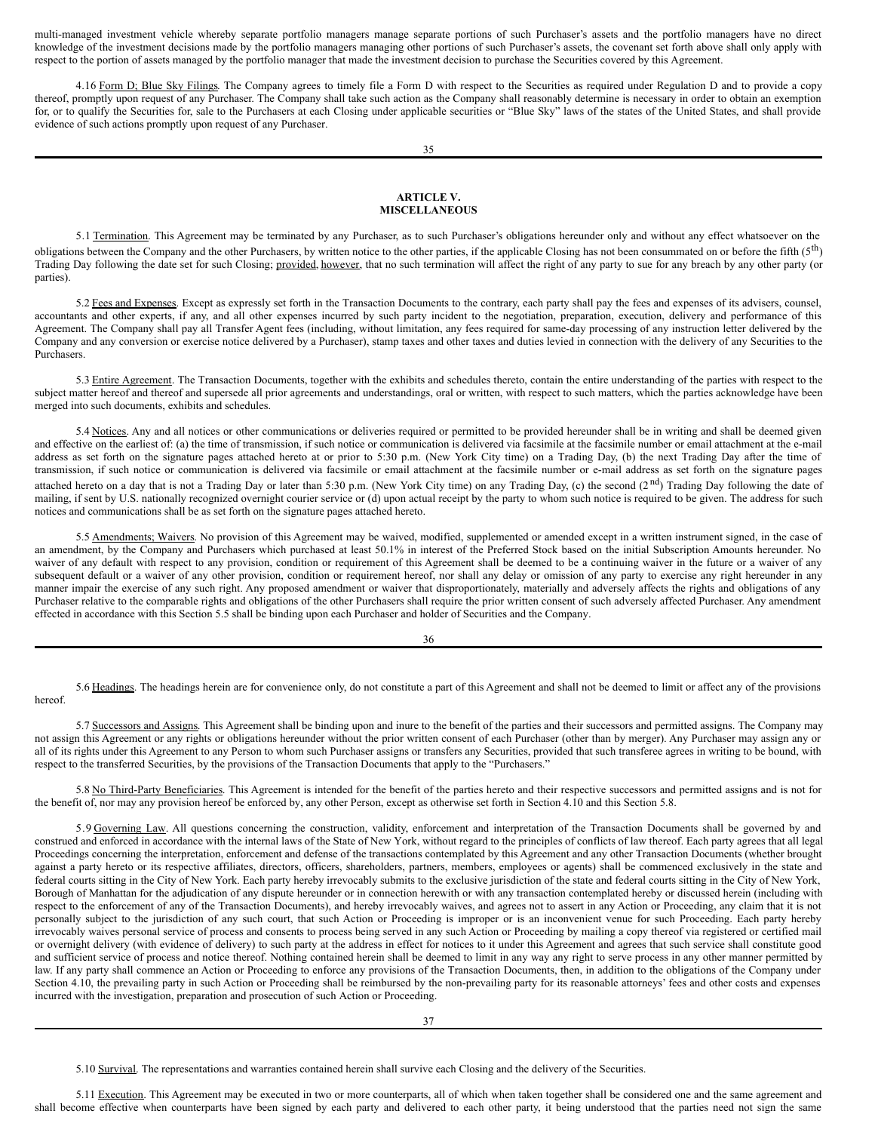multi-managed investment vehicle whereby separate portfolio managers manage separate portions of such Purchaser's assets and the portfolio managers have no direct knowledge of the investment decisions made by the portfolio managers managing other portions of such Purchaser's assets, the covenant set forth above shall only apply with respect to the portion of assets managed by the portfolio manager that made the investment decision to purchase the Securities covered by this Agreement.

4.16 Form D; Blue Sky Filings. The Company agrees to timely file a Form D with respect to the Securities as required under Regulation D and to provide a copy thereof, promptly upon request of any Purchaser. The Company shall take such action as the Company shall reasonably determine is necessary in order to obtain an exemption for, or to qualify the Securities for, sale to the Purchasers at each Closing under applicable securities or "Blue Sky" laws of the states of the United States, and shall provide evidence of such actions promptly upon request of any Purchaser.

## **ARTICLE V. MISCELLANEOUS**

5.1 Termination. This Agreement may be terminated by any Purchaser, as to such Purchaser's obligations hereunder only and without any effect whatsoever on the obligations between the Company and the other Purchasers, by written notice to the other parties, if the applicable Closing has not been consummated on or before the fifth (5<sup>th</sup>) Trading Day following the date set for such Closing; provided, however, that no such termination will affect the right of any party to sue for any breach by any other party (or parties).

5.2 Fees and Expenses. Except as expressly set forth in the Transaction Documents to the contrary, each party shall pay the fees and expenses of its advisers, counsel, accountants and other experts, if any, and all other expenses incurred by such party incident to the negotiation, preparation, execution, delivery and performance of this Agreement. The Company shall pay all Transfer Agent fees (including, without limitation, any fees required for same-day processing of any instruction letter delivered by the Company and any conversion or exercise notice delivered by a Purchaser), stamp taxes and other taxes and duties levied in connection with the delivery of any Securities to the Purchasers.

5.3 Entire Agreement. The Transaction Documents, together with the exhibits and schedules thereto, contain the entire understanding of the parties with respect to the subject matter hereof and thereof and supersede all prior agreements and understandings, oral or written, with respect to such matters, which the parties acknowledge have been merged into such documents, exhibits and schedules.

5.4 Notices. Any and all notices or other communications or deliveries required or permitted to be provided hereunder shall be in writing and shall be deemed given and effective on the earliest of: (a) the time of transmission, if such notice or communication is delivered via facsimile at the facsimile number or email attachment at the e-mail address as set forth on the signature pages attached hereto at or prior to 5:30 p.m. (New York City time) on a Trading Day, (b) the next Trading Day after the time of transmission, if such notice or communication is delivered via facsimile or email attachment at the facsimile number or e-mail address as set forth on the signature pages attached hereto on a day that is not a Trading Day or later than 5:30 p.m. (New York City time) on any Trading Day, (c) the second  $(2<sup>nd</sup>)$  Trading Day following the date of mailing, if sent by U.S. nationally recognized overnight courier service or (d) upon actual receipt by the party to whom such notice is required to be given. The address for such notices and communications shall be as set forth on the signature pages attached hereto.

5.5 Amendments; Waivers. No provision of this Agreement may be waived, modified, supplemented or amended except in a written instrument signed, in the case of an amendment, by the Company and Purchasers which purchased at least 50.1% in interest of the Preferred Stock based on the initial Subscription Amounts hereunder. No waiver of any default with respect to any provision, condition or requirement of this Agreement shall be deemed to be a continuing waiver in the future or a waiver of any subsequent default or a waiver of any other provision, condition or requirement hereof, nor shall any delay or omission of any party to exercise any right hereunder in any subsequent default or a waiver of any other provis manner impair the exercise of any such right. Any proposed amendment or waiver that disproportionately, materially and adversely affects the rights and obligations of any Purchaser relative to the comparable rights and obligations of the other Purchasers shall require the prior written consent of such adversely affected Purchaser. Any amendment effected in accordance with this Section 5.5 shall be binding upon each Purchaser and holder of Securities and the Company.

36

5.6 Headings. The headings herein are for convenience only, do not constitute a part of this Agreement and shall not be deemed to limit or affect any of the provisions hereof.

5.7 Successors and Assigns. This Agreement shall be binding upon and inure to the benefit of the parties and their successors and permitted assigns. The Company may not assign this Agreement or any rights or obligations hereunder without the prior written consent of each Purchaser (other than by merger). Any Purchaser may assign any or all of its rights under this Agreement to any Person to whom such Purchaser assigns or transfers any Securities, provided that such transferee agrees in writing to be bound, with respect to the transferred Securities, by the provisions of the Transaction Documents that apply to the "Purchasers."

5.8 No Third-Party Beneficiaries. This Agreement is intended for the benefit of the parties hereto and their respective successors and permitted assigns and is not for the benefit of, nor may any provision hereof be enforced by, any other Person, except as otherwise set forth in Section 4.10 and this Section 5.8.

5.9 Governing Law. All questions concerning the construction, validity, enforcement and interpretation of the Transaction Documents shall be governed by and construed and enforced in accordance with the internal laws of the State of New York, without regard to the principles of conflicts of law thereof. Each party agrees that all legal Proceedings concerning the interpretation, enforcement and defense of the transactions contemplated by this Agreement and any other Transaction Documents (whether brought against a party hereto or its respective affiliates, directors, officers, shareholders, partners, members, employees or agents) shall be commenced exclusively in the state and federal courts sitting in the City of New York. Each party hereby irrevocably submits to the exclusive jurisdiction of the state and federal courts sitting in the City of New York, Borough of Manhattan for the adjudication of any dispute hereunder or in connection herewith or with any transaction contemplated hereby or discussed herein (including with respect to the enforcement of any of the Transaction Documents), and hereby irrevocably waives, and agrees not to assert in any Action or Proceeding, any claim that it is not personally subject to the jurisdiction of any such court, that such Action or Proceeding is improper or is an inconvenient venue for such Proceeding. Each party hereby irrevocably waives personal service of process and consents to process being served in any such Action or Proceeding by mailing a copy thereof via registered or certified mail or overnight delivery (with evidence of delivery) to such party at the address in effect for notices to it under this Agreement and agrees that such service shall constitute good and sufficient service of process and notice thereof. Nothing contained herein shall be deemed to limit in any way any right to serve process in any other manner permitted by law. If any party shall commence an Action or Proceeding to enforce any provisions of the Transaction Documents, then, in addition to the obligations of the Company under Section 4.10, the prevailing party in such Action or Proceeding shall be reimbursed by the non-prevailing party for its reasonable attorneys' fees and other costs and expenses incurred with the investigation, preparation and prosecution of such Action or Proceeding.

5.10 Survival. The representations and warranties contained herein shall survive each Closing and the delivery of the Securities.

5.11 Execution. This Agreement may be executed in two or more counterparts, all of which when taken together shall be considered one and the same agreement and shall become effective when counterparts have been signed by each party and delivered to each other party, it being understood that the parties need not sign the same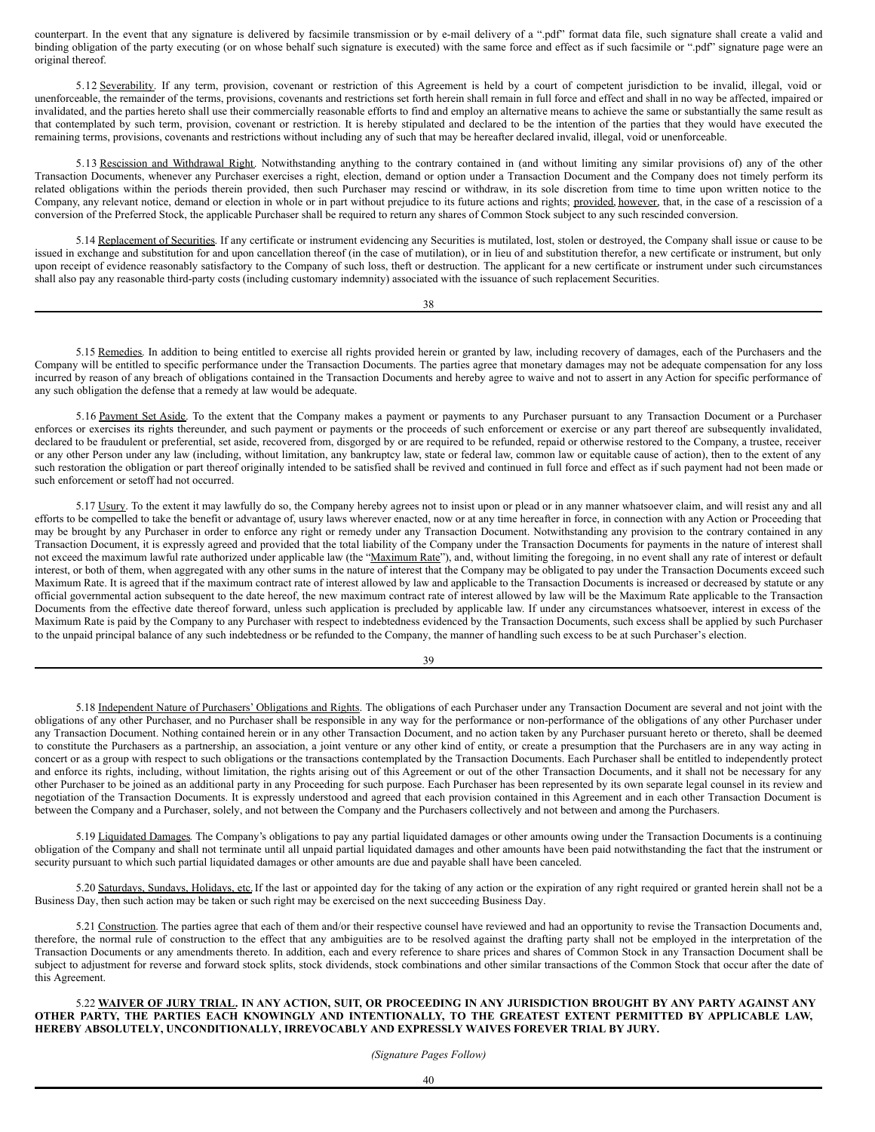counterpart. In the event that any signature is delivered by facsimile transmission or by e-mail delivery of a ".pdf" format data file, such signature shall create a valid and binding obligation of the party executing (or on whose behalf such signature is executed) with the same force and effect as if such facsimile or ".pdf" signature page were an original thereof.

5.12 Severability. If any term, provision, covenant or restriction of this Agreement is held by a court of competent jurisdiction to be invalid, illegal, void or unenforceable, the remainder of the terms, provisions, covenants and restrictions set forth herein shall remain in full force and effect and shall in no way be affected, impaired or invalidated, and the parties hereto shall use their commercially reasonable efforts to find and employ an alternative means to achieve the same or substantially the same result as that contemplated by such term, provision, covenant or restriction. It is hereby stipulated and declared to be the intention of the parties that they would have executed the remaining terms, provisions, covenants and restrictions without including any of such that may be hereafter declared invalid, illegal, void or unenforceable.

5.13 Rescission and Withdrawal Right. Notwithstanding anything to the contrary contained in (and without limiting any similar provisions of) any of the other Transaction Documents, whenever any Purchaser exercises a right, election, demand or option under a Transaction Document and the Company does not timely perform its related obligations within the periods therein provided, then such Purchaser may rescind or withdraw, in its sole discretion from time to time upon written notice to the Company, any relevant notice, demand or election in whole or in part without prejudice to its future actions and rights; provided, however, that, in the case of a rescission of a conversion of the Preferred Stock, the applicable Purchaser shall be required to return any shares of Common Stock subject to any such rescinded conversion.

5.14 Replacement of Securities. If any certificate or instrument evidencing any Securities is mutilated, lost, stolen or destroyed, the Company shall issue or cause to be issued in exchange and substitution for and upon cancellation thereof (in the case of mutilation), or in lieu of and substitution therefor, a new certificate or instrument, but only upon receipt of evidence reasonably satisfactory to the Company of such loss, theft or destruction. The applicant for a new certificate or instrument under such circumstances shall also pay any reasonable third-party costs (including customary indemnity) associated with the issuance of such replacement Securities.

| I<br>×<br>I<br>w<br>×<br>۰. | I<br>۹ |
|-----------------------------|--------|
|-----------------------------|--------|

5.15 Remedies. In addition to being entitled to exercise all rights provided herein or granted by law, including recovery of damages, each of the Purchasers and the Company will be entitled to specific performance under the Transaction Documents. The parties agree that monetary damages may not be adequate compensation for any loss incurred by reason of any breach of obligations contained in the Transaction Documents and hereby agree to waive and not to assert in any Action for specific performance of any such obligation the defense that a remedy at law would be adequate.

5.16 Payment Set Aside. To the extent that the Company makes a payment or payments to any Purchaser pursuant to any Transaction Document or a Purchaser enforces or exercises its rights thereunder, and such payment or payments or the proceeds of such enforcement or exercise or any part thereof are subsequently invalidated, declared to be fraudulent or preferential, set aside, recovered from, disgorged by or are required to be refunded, repaid or otherwise restored to the Company, a trustee, receiver or any other Person under any law (including, without limitation, any bankruptcy law, state or federal law, common law or equitable cause of action), then to the extent of any such restoration the obligation or part thereof originally intended to be satisfied shall be revived and continued in full force and effect as if such payment had not been made or such enforcement or setoff had not occurred.

5.17 Usury. To the extent it may lawfully do so, the Company hereby agrees not to insist upon or plead or in any manner whatsoever claim, and will resist any and all efforts to be compelled to take the benefit or advantage of, usury laws wherever enacted, now or at any time hereafter in force, in connection with any Action or Proceeding that may be brought by any Purchaser in order to enforce any right or remedy under any Transaction Document. Notwithstanding any provision to the contrary contained in any Transaction Document, it is expressly agreed and provided that the total liability of the Company under the Transaction Documents for payments in the nature of interest shall not exceed the maximum lawful rate authorized under applicable law (the "Maximum Rate"), and, without limiting the foregoing, in no event shall any rate of interest or default interest, or both of them, when aggregated with any other sums in the nature of interest that the Company may be obligated to pay under the Transaction Documents exceed such Maximum Rate. It is agreed that if the maximum contract rate of interest allowed by law and applicable to the Transaction Documents is increased or decreased by statute or any official governmental action subsequent to the date hereof, the new maximum contract rate of interest allowed by law will be the Maximum Rate applicable to the Transaction Documents from the effective date thereof forward, unless such application is precluded by applicable law. If under any circumstances whatsoever, interest in excess of the Maximum Rate is paid by the Company to any Purchaser with respect to indebtedness evidenced by the Transaction Documents, such excess shall be applied by such Purchaser to the unpaid principal balance of any such indebtedness or be refunded to the Company, the manner of handling such excess to be at such Purchaser's election.

| ×<br>۰.<br>۰,<br>I<br>٧<br>×<br>۰. |
|------------------------------------|
|------------------------------------|

5.18 Independent Nature of Purchasers' Obligations and Rights. The obligations of each Purchaser under any Transaction Document are several and not joint with the obligations of any other Purchaser, and no Purchaser shall be responsible in any way for the performance or non-performance of the obligations of any other Purchaser under any Transaction Document. Nothing contained herein or in any other Transaction Document, and no action taken by any Purchaser pursuant hereto or thereto, shall be deemed to constitute the Purchasers as a partnership, an association, a joint venture or any other kind of entity, or create a presumption that the Purchasers are in any way acting in concert or as a group with respect to such obligations or the transactions contemplated by the Transaction Documents. Each Purchaser shall be entitled to independently protect and enforce its rights, including, without limitation, the rights arising out of this Agreement or out of the other Transaction Documents, and it shall not be necessary for any other Purchaser to be joined as an additional party in any Proceeding for such purpose. Each Purchaser has been represented by its own separate legal counsel in its review and negotiation of the Transaction Documents. It is expressly understood and agreed that each provision contained in this Agreement and in each other Transaction Document is between the Company and a Purchaser, solely, and not between the Company and the Purchasers collectively and not between and among the Purchasers.

5.19 Liquidated Damages. The Company's obligations to pay any partial liquidated damages or other amounts owing under the Transaction Documents is a continuing obligation of the Company and shall not terminate until all unpaid partial liquidated damages and other amounts have been paid notwithstanding the fact that the instrument or security pursuant to which such partial liquidated damages or other amounts are due and payable shall have been canceled.

5.20 Saturdays, Sundays, Holidays, etc. If the last or appointed day for the taking of any action or the expiration of any right required or granted herein shall not be a Business Day, then such action may be taken or such right may be exercised on the next succeeding Business Day.

5.21 Construction. The parties agree that each of them and/or their respective counsel have reviewed and had an opportunity to revise the Transaction Documents and, therefore, the normal rule of construction to the effect that any ambiguities are to be resolved against the drafting party shall not be employed in the interpretation of the Transaction Documents or any amendments thereto. In addition, each and every reference to share prices and shares of Common Stock in any Transaction Document shall be subject to adjustment for reverse and forward stock splits, stock dividends, stock combinations and other similar transactions of the Common Stock that occur after the date of this Agreement.

5.22 WAIVER OF JURY TRIAL. IN ANY ACTION, SUIT, OR PROCEEDING IN ANY JURISDICTION BROUGHT BY ANY PARTY AGAINST ANY **OTHER PARTY, THE PARTIES EACH KNOWINGLY AND INTENTIONALLY, TO THE GREATEST EXTENT PERMITTED BY APPLICABLE LAW, HEREBY ABSOLUTELY, UNCONDITIONALLY, IRREVOCABLY AND EXPRESSLY WAIVES FOREVER TRIAL BY JURY.**

*(Signature Pages Follow)*